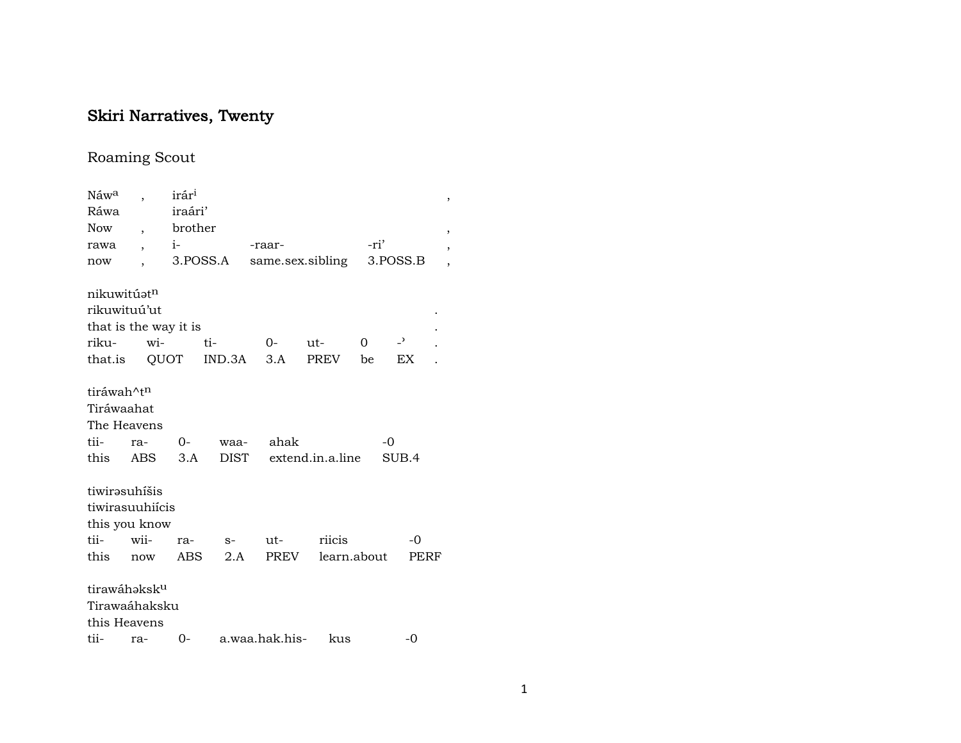# Skiri Narratives, Twenty

## Roaming Scout

| Náw <sup>a</sup>         |                          | irár <sup>i</sup> |          |                  |                  |             |                          | , |
|--------------------------|--------------------------|-------------------|----------|------------------|------------------|-------------|--------------------------|---|
| Ráwa                     |                          | iraári'           |          |                  |                  |             |                          |   |
| <b>Now</b>               | $\overline{\phantom{a}}$ | brother           |          |                  |                  |             |                          |   |
| rawa                     | $\overline{\phantom{a}}$ | $i-$              |          | -raar-           |                  | -ri'        |                          |   |
| now                      |                          |                   | 3.POSS.A | same.sex.sibling |                  |             | 3.POSS.B                 | , |
| nikuwitúatn              |                          |                   |          |                  |                  |             |                          |   |
| rikuwituú'ut             |                          |                   |          |                  |                  |             |                          |   |
| that is the way it is    |                          |                   |          |                  |                  |             |                          |   |
| riku-                    | wi-                      |                   | ti-      | $0-$             | $ut-$            | $\Omega$    | $\overline{\phantom{0}}$ |   |
| that.is QUOT             |                          |                   |          | $IND.3A$ $3.A$   | PREV             | be          | EX                       |   |
| tiráwah^t <sup>n</sup>   |                          |                   |          |                  |                  |             |                          |   |
| Tiráwaahat               |                          |                   |          |                  |                  |             |                          |   |
| The Heavens              |                          |                   |          |                  |                  |             |                          |   |
| tii-                     | ra-                      | $O-$              | waa-     | ahak             |                  | $-0$        |                          |   |
| this                     | ABS                      | 3.A               | DIST     |                  | extend.in.a.line |             | SUB.4                    |   |
| tiwirəsuhišis            |                          |                   |          |                  |                  |             |                          |   |
| tiwirasuuhiícis          |                          |                   |          |                  |                  |             |                          |   |
| this you know            |                          |                   |          |                  |                  |             |                          |   |
| tii-                     | wii-                     | ra-               | $S-$     | ut-              | riicis           |             | $-0$                     |   |
| this                     | now                      | ABS               | 2.A      | PREV             |                  | learn.about | <b>PERF</b>              |   |
| tirawáhaksk <sup>u</sup> |                          |                   |          |                  |                  |             |                          |   |
| Tirawaáhaksku            |                          |                   |          |                  |                  |             |                          |   |
| this Heavens             |                          |                   |          |                  |                  |             |                          |   |
| tii-                     | ra-                      | $0-$              |          | a.waa.hak.his-   | kus              |             | -0                       |   |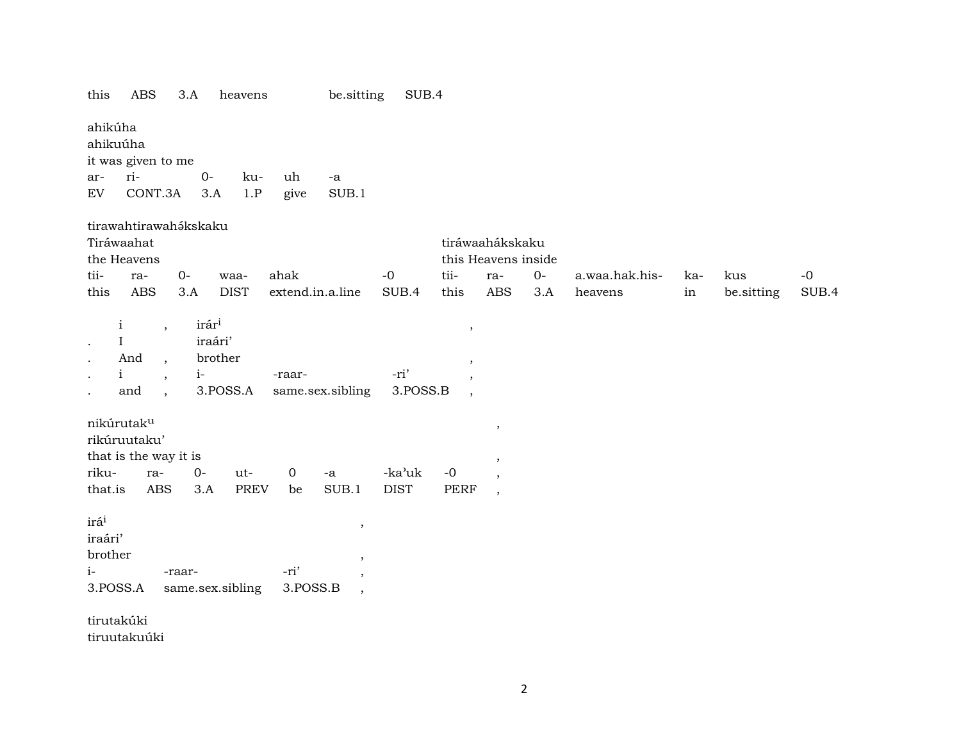| this                                                       | ABS                                                                                                                                                                                                 | 3.A    |                                                             | heavens          |                  | be sitting                                       | SUB.4            |                                                                |                                        |       |                |     |            |       |
|------------------------------------------------------------|-----------------------------------------------------------------------------------------------------------------------------------------------------------------------------------------------------|--------|-------------------------------------------------------------|------------------|------------------|--------------------------------------------------|------------------|----------------------------------------------------------------|----------------------------------------|-------|----------------|-----|------------|-------|
| ahikúha<br>ahikuúha                                        | it was given to me                                                                                                                                                                                  |        |                                                             |                  |                  |                                                  |                  |                                                                |                                        |       |                |     |            |       |
| ar-                                                        | ri-                                                                                                                                                                                                 |        | $O -$                                                       | ku-              | uh               | -a                                               |                  |                                                                |                                        |       |                |     |            |       |
| EV                                                         | CONT.3A                                                                                                                                                                                             |        | 3.A                                                         | 1.P              | give             | SUB.1                                            |                  |                                                                |                                        |       |                |     |            |       |
|                                                            | tirawahtirawahákskaku<br>Tiráwaahat<br>the Heavens                                                                                                                                                  |        |                                                             |                  |                  |                                                  |                  |                                                                | tiráwaahákskaku<br>this Heavens inside |       |                |     |            |       |
| tii-                                                       | ra-                                                                                                                                                                                                 | $0-$   |                                                             | waa-             | ahak             |                                                  | $-0$             | tii-                                                           | ra-                                    | $O -$ | a.waa.hak.his- | ka- | kus        | $-0$  |
| this                                                       | <b>ABS</b>                                                                                                                                                                                          | 3.A    |                                                             | <b>DIST</b>      | extend.in.a.line |                                                  | SUB.4            | this                                                           | <b>ABS</b>                             | 3.A   | heavens        | in  | be.sitting | SUB.4 |
| $\cdot$                                                    | $\mathbf{i}$<br>$\overline{\phantom{a}}$<br>$\mathbf I$<br>And<br>$\overline{\phantom{a}}$<br>$\mathbf{i}$<br>$\overline{\phantom{a}}$<br>and<br>$\overline{\phantom{a}}$<br>nikúrutak <sup>u</sup> |        | irár <sup>i</sup><br>iraári'<br>brother<br>$i-$<br>3.POSS.A |                  | -raar-           | same.sex.sibling                                 | -ri'<br>3.POSS.B | $\, ,$<br>$\overline{\phantom{a}}$<br>$\overline{\phantom{a}}$ | $\,$                                   |       |                |     |            |       |
|                                                            | rikúruutaku'                                                                                                                                                                                        |        |                                                             |                  |                  |                                                  |                  |                                                                |                                        |       |                |     |            |       |
|                                                            | that is the way it is                                                                                                                                                                               |        |                                                             |                  |                  |                                                  |                  |                                                                | ,                                      |       |                |     |            |       |
| riku-                                                      | ra-                                                                                                                                                                                                 |        | $0-$                                                        | ut-              | $\mathbf 0$      | $\mbox{-a}$                                      | -ka'uk           | $-0$                                                           | $\overline{\phantom{a}}$               |       |                |     |            |       |
| that.is                                                    | <b>ABS</b>                                                                                                                                                                                          |        | 3.A                                                         | <b>PREV</b>      | be               | SUB.1                                            | <b>DIST</b>      | <b>PERF</b>                                                    | $\overline{\phantom{a}}$               |       |                |     |            |       |
| irá <sup>i</sup><br>iraári'<br>brother<br>$i-$<br>3.POSS.A |                                                                                                                                                                                                     | -raar- |                                                             | same.sex.sibling | -ri'<br>3.POSS.B | $\,$<br>$\,$<br>$\,$<br>$\overline{\phantom{a}}$ |                  |                                                                |                                        |       |                |     |            |       |
| tirutakúki                                                 |                                                                                                                                                                                                     |        |                                                             |                  |                  |                                                  |                  |                                                                |                                        |       |                |     |            |       |

tiruutakuúki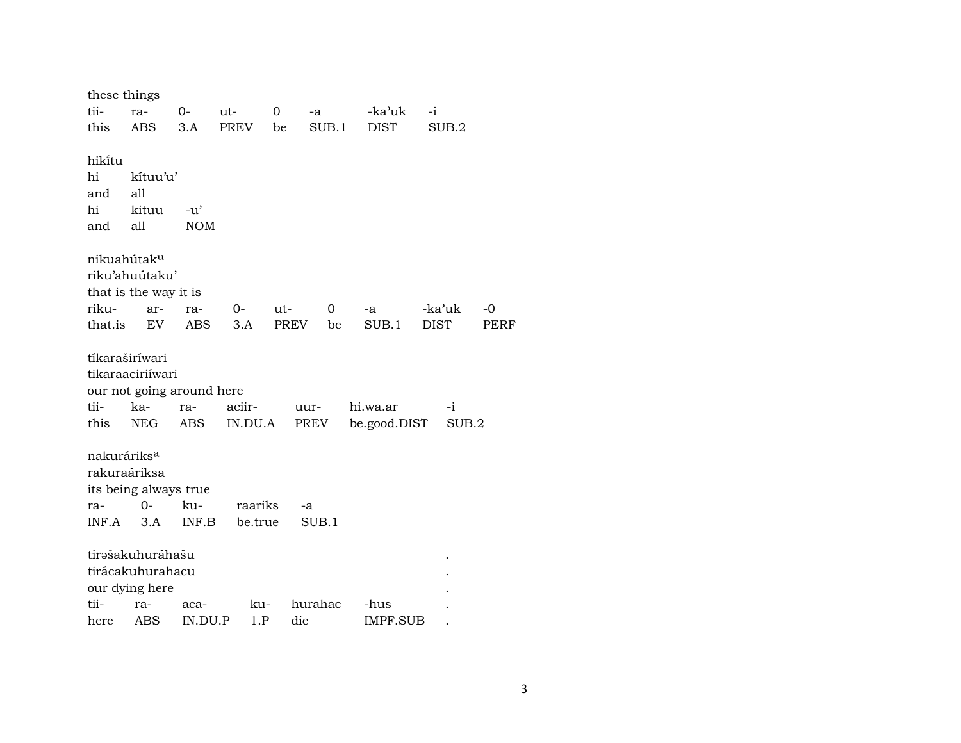| these things            |                       |                           |         |       |         |              |             |        |      |
|-------------------------|-----------------------|---------------------------|---------|-------|---------|--------------|-------------|--------|------|
| tii-                    | ra-                   | $0-$                      | $ut-$   | 0     | -a      | -ka'uk       | $-i$        |        |      |
| this                    | <b>ABS</b>            | 3.A                       | PREV    | be    | SUB.1   | <b>DIST</b>  |             | SUB.2  |      |
| hiki̇̃tu                |                       |                           |         |       |         |              |             |        |      |
| hi                      | kítuu'u'              |                           |         |       |         |              |             |        |      |
| and                     | all                   |                           |         |       |         |              |             |        |      |
| hi                      | kituu                 | $-u'$                     |         |       |         |              |             |        |      |
| and                     | all                   | <b>NOM</b>                |         |       |         |              |             |        |      |
| nikuahútak <sup>u</sup> |                       |                           |         |       |         |              |             |        |      |
|                         | riku'ahuútaku'        |                           |         |       |         |              |             |        |      |
|                         | that is the way it is |                           |         |       |         |              |             |        |      |
| riku-                   | ar-                   | ra-                       | 0-      | $ut-$ | 0       | -a           |             | -ka'uk | $-0$ |
| that.is                 | EV                    | ABS                       | 3.A     | PREV  | be      | SUB.1        | <b>DIST</b> |        | PERF |
|                         | tíkaraširíwari        |                           |         |       |         |              |             |        |      |
|                         | tikaraaciriíwari      |                           |         |       |         |              |             |        |      |
|                         |                       | our not going around here |         |       |         |              |             |        |      |
| tii-                    | ka-                   | ra-                       | aciir-  |       | uur-    | hi.wa.ar     |             | $-i$   |      |
| this                    | <b>NEG</b>            | ABS                       | IN.DU.A |       | PREV    | be.good.DIST |             | SUB.2  |      |
| nakuráriks <sup>a</sup> |                       |                           |         |       |         |              |             |        |      |
|                         | rakuraáriksa          |                           |         |       |         |              |             |        |      |
|                         | its being always true |                           |         |       |         |              |             |        |      |
| ra-                     | 0-                    | ku-                       | raariks |       | -a      |              |             |        |      |
| INF.A                   | 3.A                   | INF.B                     | be.true |       | SUB.1   |              |             |        |      |
|                         | tirašakuhuráhašu      |                           |         |       |         |              |             |        |      |
|                         | tirácakuhurahacu      |                           |         |       |         |              |             |        |      |
|                         | our dying here        |                           |         |       |         |              |             |        |      |
| tii-                    | ra-                   | aca-                      | ku-     |       | hurahac | -hus         |             |        |      |
| here                    | ABS                   | IN.DU.P                   | 1.P     |       | die     | IMPF.SUB     |             |        |      |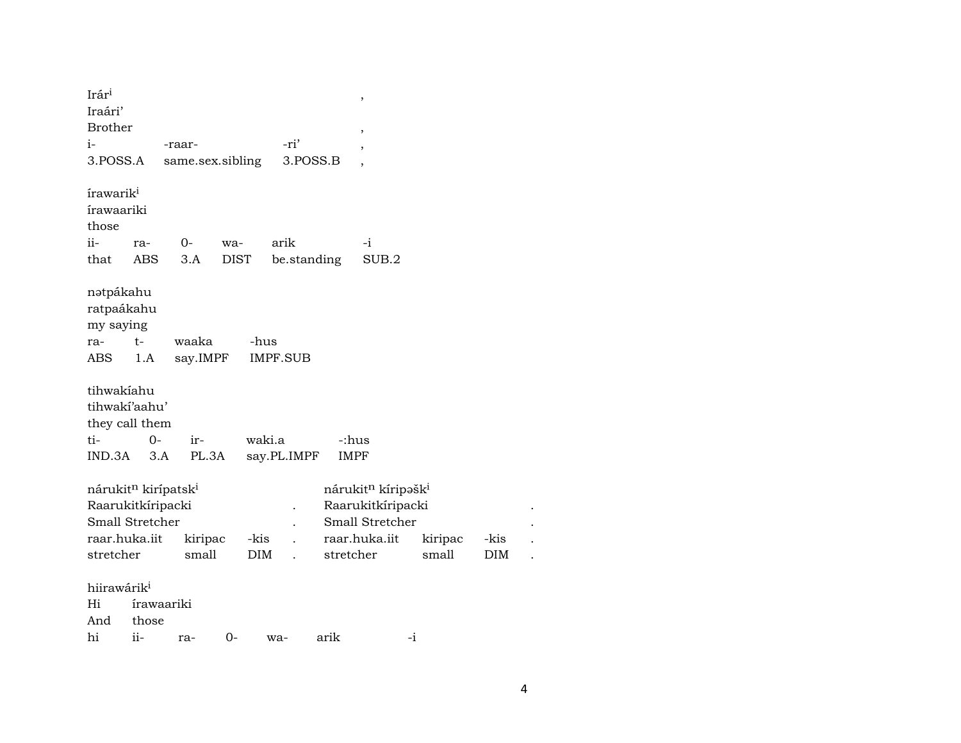| Irár <sup>i</sup><br>Iraári'                                          |                                                                                                      |                  |                    |                 |             | $\,$                                                                                                |                  |                    |  |
|-----------------------------------------------------------------------|------------------------------------------------------------------------------------------------------|------------------|--------------------|-----------------|-------------|-----------------------------------------------------------------------------------------------------|------------------|--------------------|--|
| <b>Brother</b>                                                        |                                                                                                      |                  |                    |                 |             | $\,$                                                                                                |                  |                    |  |
| i-                                                                    |                                                                                                      | -raar-           |                    | -ri'            |             |                                                                                                     |                  |                    |  |
| 3.POSS.A                                                              |                                                                                                      |                  | same.sex.sibling   |                 | 3.POSS.B    |                                                                                                     |                  |                    |  |
| írawarik <sup>i</sup><br><i>irawaariki</i><br>those<br>$ii -$<br>that | ra-<br>ABS                                                                                           | $O -$<br>3.A     | wa-<br><b>DIST</b> | arik            | be.standing | $-i$<br>SUB.2                                                                                       |                  |                    |  |
| nətpákahu<br>ratpaákahu<br>my saying<br>ra-                           | $t-$                                                                                                 | waaka            |                    | -hus            |             |                                                                                                     |                  |                    |  |
| ABS                                                                   | 1.A                                                                                                  | say.IMPF         |                    | <b>IMPF.SUB</b> |             |                                                                                                     |                  |                    |  |
| tihwakíahu<br>ti-                                                     | tihwakí'aahu'<br>they call them<br>$0-$                                                              | ir-              |                    | waki.a          |             | -:hus                                                                                               |                  |                    |  |
| IND.3A                                                                | 3.A                                                                                                  |                  | PL.3A              | say.PL.IMPF     |             | <b>IMPF</b>                                                                                         |                  |                    |  |
| stretcher                                                             | nárukit <sup>n</sup> kirípatsk <sup>i</sup><br>Raarukitkíripacki<br>Small Stretcher<br>raar.huka.iit | kiripac<br>small | -kis<br>DIM        |                 | stretcher   | nárukit <sup>n</sup> kíripəšk <sup>i</sup><br>Raarukitkíripacki<br>Small Stretcher<br>raar.huka.iit | kiripac<br>small | -kis<br><b>DIM</b> |  |
| hiirawárik <sup>i</sup><br>Hi<br>And<br>hi                            | írawaariki<br>those<br>ii-                                                                           | ra-              | $0-$               | wa-             | arik        |                                                                                                     | $-i$             |                    |  |
|                                                                       |                                                                                                      |                  |                    |                 |             |                                                                                                     |                  |                    |  |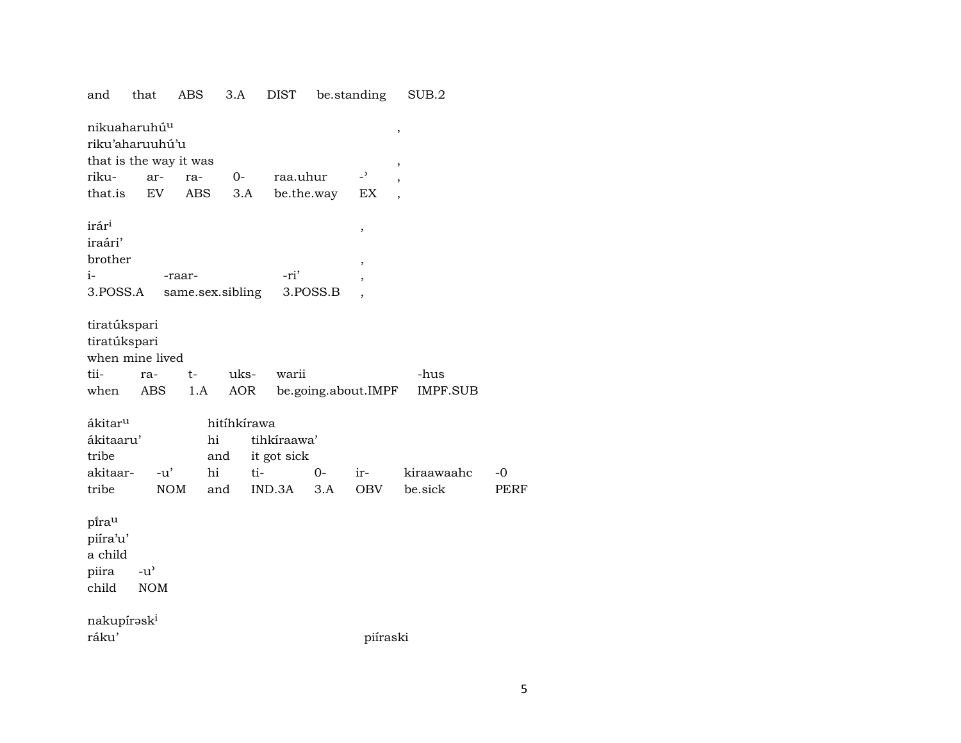| and                                            | that                                        | ABS                    | 3.A              | <b>DIST</b> |            | be.standing                     | SUB.2                    |      |
|------------------------------------------------|---------------------------------------------|------------------------|------------------|-------------|------------|---------------------------------|--------------------------|------|
|                                                | nikuaharuhú <sup>u</sup><br>riku'aharuuhú'u |                        |                  |             |            |                                 | ,                        |      |
|                                                |                                             | that is the way it was |                  |             |            |                                 | ,                        |      |
| riku-                                          | ar-                                         | ra-                    | $0 -$            | raa.uhur    |            | $\overline{a}$                  | $\overline{\phantom{a}}$ |      |
| that.is                                        | EV                                          | ABS                    | 3.A              |             | be.the.way | EX                              |                          |      |
| irár <sup>i</sup><br>iraári'<br>brother        |                                             |                        |                  |             |            | $^\mathrm{^{^\circ}}$<br>$\, ,$ |                          |      |
| $i-$                                           |                                             | -raar-                 |                  | -ri'        |            | ,                               |                          |      |
| 3.POSS.A                                       |                                             |                        | same.sex.sibling |             | 3.POSS.B   |                                 |                          |      |
| tiratúkspari<br>tiratúkspari<br>tii-<br>when   | when mine lived<br>ra-<br>ABS               | t-<br>1.A              | uks-<br>AOR      | warii       |            | be.going.about.IMPF             | -hus<br><b>IMPF.SUB</b>  |      |
| ákitar <sup>u</sup>                            |                                             |                        | hitíhkírawa      |             |            |                                 |                          |      |
| ákitaaru'                                      |                                             |                        | hi               | tihkíraawa' |            |                                 |                          |      |
| tribe                                          |                                             |                        | and              | it got sick |            |                                 |                          |      |
| akitaar-                                       | $-u'$                                       |                        | hi<br>ti-        |             | $0-$       | ir-                             | kiraawaahc               | -0   |
| tribe                                          |                                             | <b>NOM</b>             | and              | IND.3A      | 3.A        | <b>OBV</b>                      | be.sick                  | PERF |
| pirau<br>piíra'u'<br>a child<br>piira<br>child | $-u^{\prime}$<br><b>NOM</b>                 |                        |                  |             |            |                                 |                          |      |
| nakupírəsk <sup>i</sup>                        |                                             |                        |                  |             |            |                                 |                          |      |
| ráku'                                          |                                             |                        |                  |             |            | piíraski                        |                          |      |
|                                                |                                             |                        |                  |             |            |                                 |                          |      |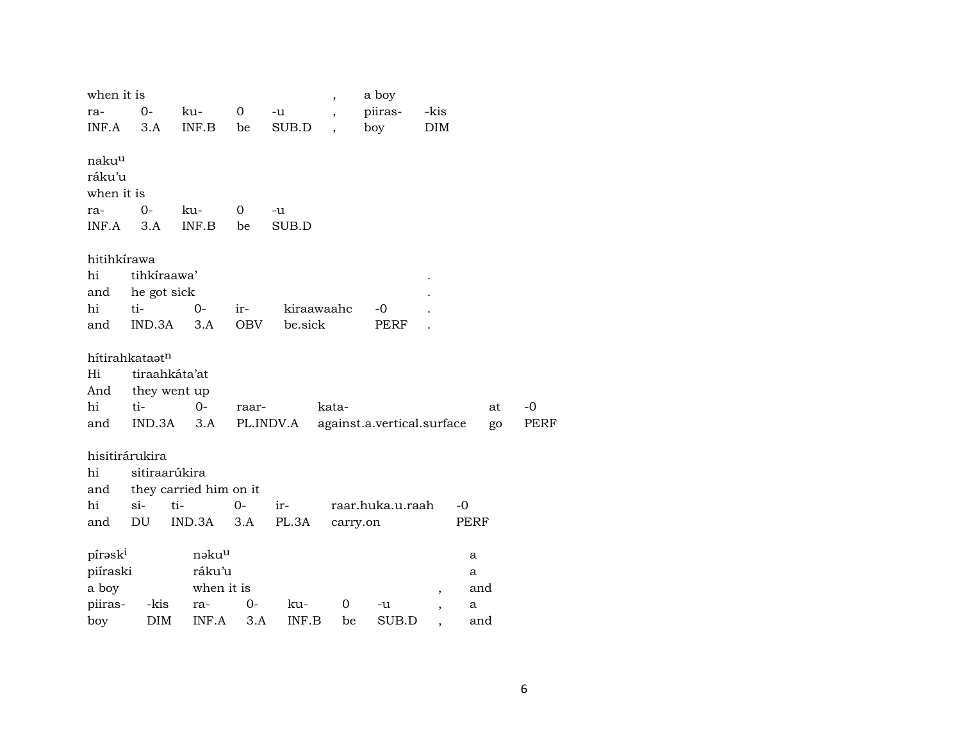| when it is        |                            |                        |                |           | $\overline{\phantom{a}}$ | a boy                      |                          |     |      |
|-------------------|----------------------------|------------------------|----------------|-----------|--------------------------|----------------------------|--------------------------|-----|------|
| ra-               | 0-                         | ku-                    | $\mathbf{0}$   | $-u$      | $\overline{\phantom{a}}$ | piiras-                    | -kis                     |     |      |
| INF.A             | 3.A                        | INF.B                  | be             | SUB.D     |                          | boy                        | DIM                      |     |      |
| naku <sup>u</sup> |                            |                        |                |           |                          |                            |                          |     |      |
| ráku'u            |                            |                        |                |           |                          |                            |                          |     |      |
| when it is        |                            |                        |                |           |                          |                            |                          |     |      |
| ra-               | $0-$                       | ku-                    | $\overline{0}$ | -u        |                          |                            |                          |     |      |
| INF.A             | 3.A                        | INF.B                  | be             | SUB.D     |                          |                            |                          |     |      |
|                   |                            |                        |                |           |                          |                            |                          |     |      |
| hitihkírawa       |                            |                        |                |           |                          |                            |                          |     |      |
| hi                | tihkíraawa'                |                        |                |           |                          |                            |                          |     |      |
| and               | he got sick                |                        |                |           |                          |                            |                          |     |      |
| hi                | ti-                        | $0-$                   | ir-            |           | kiraawaahc               | -0                         |                          |     |      |
| and               | IND.3A                     | 3.A                    | OBV            | be.sick   |                          | PERF                       |                          |     |      |
|                   |                            |                        |                |           |                          |                            |                          |     |      |
|                   | hítirahkataat <sup>n</sup> |                        |                |           |                          |                            |                          |     |      |
| Hi                | tiraahkáta'at              |                        |                |           |                          |                            |                          |     |      |
| And               | they went up               |                        |                |           |                          |                            |                          |     |      |
| hi                | ti-                        | $O -$                  | raar-          |           | kata-                    |                            |                          | at  | $-0$ |
| and               | IND.3A                     | 3.A                    |                | PL.INDV.A |                          | against.a.vertical.surface |                          | go  | PERF |
| hisitirárukira    |                            |                        |                |           |                          |                            |                          |     |      |
| hi                | sitiraarúkira              |                        |                |           |                          |                            |                          |     |      |
| and               |                            | they carried him on it |                |           |                          |                            |                          |     |      |
| hi                | si-                        | ti-                    | $0-$           | ir-       |                          | raar.huka.u.raah           | $-0$                     |     |      |
| and               | DU                         | IND.3A                 | 3.A            | PL.3A     | carry.on                 |                            | PERF                     |     |      |
|                   |                            | nəku <sup>u</sup>      |                |           |                          |                            |                          |     |      |
| píraski           |                            |                        |                |           |                          |                            | a                        |     |      |
| piíraski          |                            | ráku'u                 |                |           |                          |                            | a                        |     |      |
| a boy             |                            | when it is             |                |           |                          |                            | $\overline{\phantom{a}}$ | and |      |
| piiras-           | -kis                       | ra-                    | $O -$          | ku-       | 0                        | -u                         | а<br>,                   |     |      |
| boy               | DIM                        | INF.A                  | 3.A            | INF.B     | be                       | SUB.D                      |                          | and |      |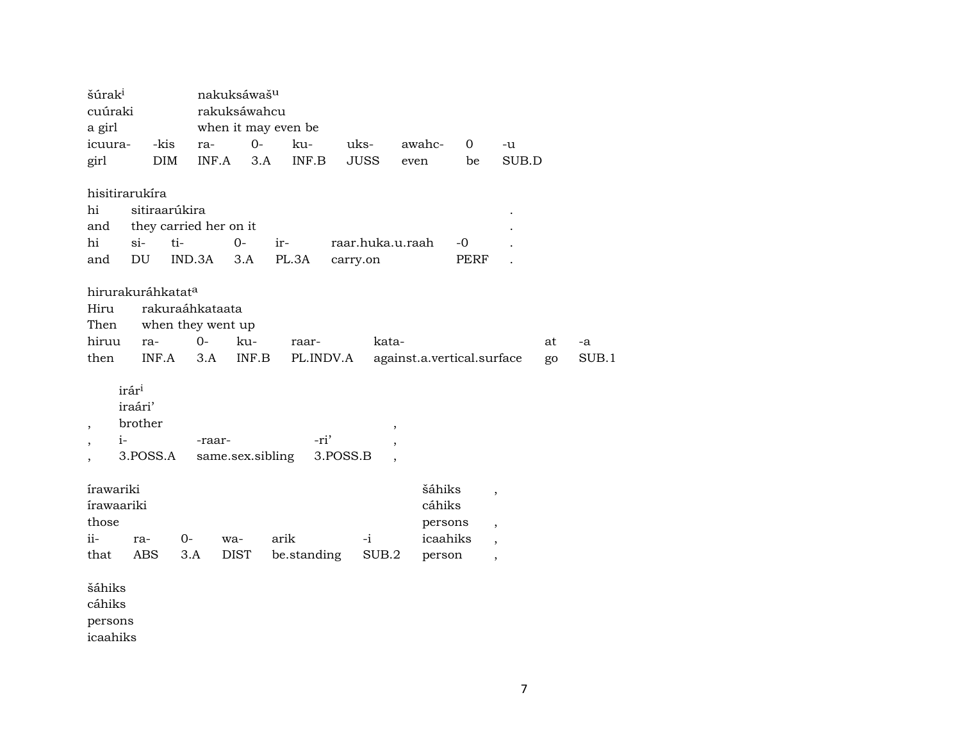| šúrak <sup>i</sup><br>cuúraki                                                |               | nakuksáwaš <sup>u</sup><br>rakuksáwahcu |                     |                  |                  |                                                               |             |                          |             |  |
|------------------------------------------------------------------------------|---------------|-----------------------------------------|---------------------|------------------|------------------|---------------------------------------------------------------|-------------|--------------------------|-------------|--|
| a girl                                                                       |               |                                         | when it may even be |                  |                  |                                                               |             |                          |             |  |
| icuura-                                                                      | -kis          | ra-                                     | $O-$                | ku-              | uks-             | awahc-                                                        | $\mathbf 0$ | -u                       |             |  |
| girl                                                                         | DIM           | INF.A                                   | 3.A                 | INF.B            | <b>JUSS</b>      | even                                                          | be          | SUB.D                    |             |  |
| hisitirarukíra                                                               |               |                                         |                     |                  |                  |                                                               |             |                          |             |  |
| hi                                                                           | sitiraarúkira |                                         |                     |                  |                  |                                                               |             |                          |             |  |
| and                                                                          |               | they carried her on it                  |                     |                  |                  |                                                               |             |                          |             |  |
| hi<br>$si$ -                                                                 | ti-           | $0-$                                    | ir-                 |                  | raar.huka.u.raah |                                                               | $-0$        |                          |             |  |
| DU<br>and                                                                    |               | IND.3A<br>3.A                           | PL.3A               |                  | carry.on         |                                                               | <b>PERF</b> |                          |             |  |
| hirurakuráhkatata                                                            |               |                                         |                     |                  |                  |                                                               |             |                          |             |  |
| Hiru                                                                         |               | rakuraáhkataata                         |                     |                  |                  |                                                               |             |                          |             |  |
| Then                                                                         |               | when they went up                       |                     |                  |                  |                                                               |             |                          |             |  |
| hiruu                                                                        | ra-           | $0-$<br>ku-                             |                     | raar-            | kata-            |                                                               |             |                          | at<br>-a    |  |
| then                                                                         | INF.A         | 3.A                                     | INF.B               | PL.INDV.A        |                  | against.a.vertical.surface                                    |             |                          | SUB.1<br>go |  |
| irár <sup>i</sup><br>iraári'<br>brother<br>$\overline{ }$<br>$i-$<br>$\cdot$ | 3.POSS.A      | -raar-<br>same.sex.sibling              |                     | -ri'<br>3.POSS.B |                  | $^\mathrm{^\mathrm{o}}$<br>$\, ,$<br>$\overline{\phantom{a}}$ |             |                          |             |  |
| írawariki                                                                    |               |                                         |                     |                  |                  | šáhiks                                                        |             |                          |             |  |
| írawaariki                                                                   |               |                                         |                     |                  |                  | cáhiks                                                        |             | $\overline{\phantom{a}}$ |             |  |
| those                                                                        |               |                                         |                     |                  |                  |                                                               | persons     |                          |             |  |
| ii-<br>ra-                                                                   | $0-$          | wa-                                     | arik                |                  | $-i$             |                                                               | icaahiks    | $\overline{\phantom{a}}$ |             |  |
| <b>ABS</b>                                                                   |               |                                         |                     |                  |                  |                                                               |             | $\overline{\phantom{a}}$ |             |  |
| that                                                                         | 3.A           | <b>DIST</b>                             |                     | be.standing      | SUB.2            | person                                                        |             | $\overline{\phantom{a}}$ |             |  |
| šáhiks                                                                       |               |                                         |                     |                  |                  |                                                               |             |                          |             |  |
| cáhiks                                                                       |               |                                         |                     |                  |                  |                                                               |             |                          |             |  |
| persons                                                                      |               |                                         |                     |                  |                  |                                                               |             |                          |             |  |
| icaahiks                                                                     |               |                                         |                     |                  |                  |                                                               |             |                          |             |  |
|                                                                              |               |                                         |                     |                  |                  |                                                               |             |                          |             |  |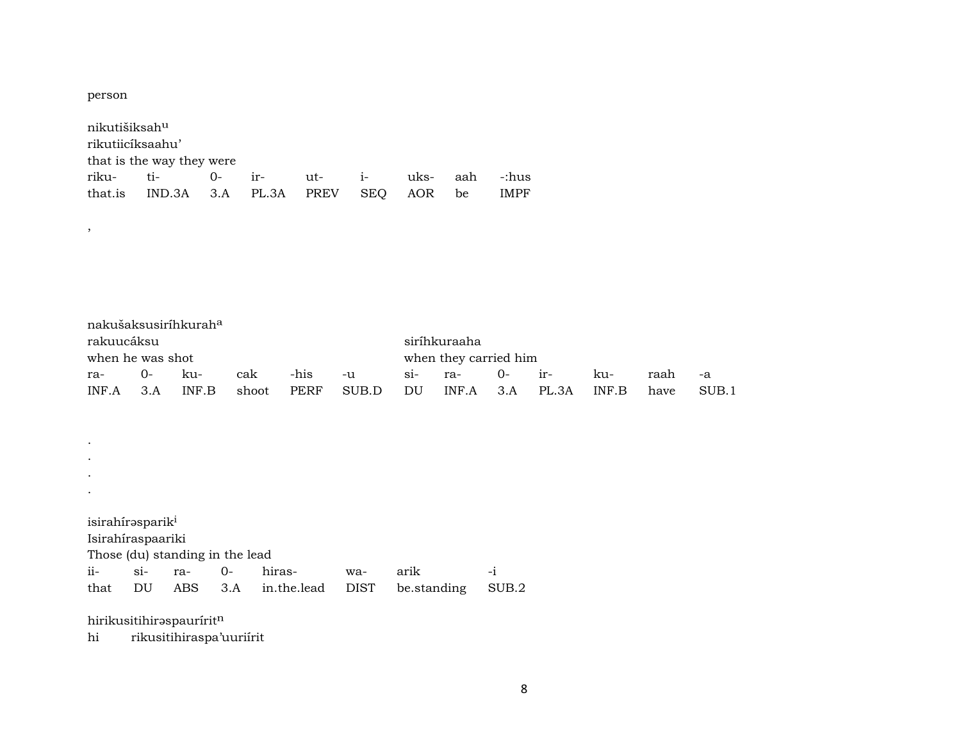person

 $\,$  ,

 $\bullet$ 

| nikutišiksah <sup>u</sup> |                                       |  |  |  |  |          |    |             |  |  |  |  |
|---------------------------|---------------------------------------|--|--|--|--|----------|----|-------------|--|--|--|--|
| rikutiicíksaahu'          |                                       |  |  |  |  |          |    |             |  |  |  |  |
|                           | that is the way they were             |  |  |  |  |          |    |             |  |  |  |  |
|                           |                                       |  |  |  |  | uks- aah |    | -:hus       |  |  |  |  |
|                           | that.is IND.3A 3.A PL.3A PREV SEQ AOR |  |  |  |  |          | be | <b>IMPF</b> |  |  |  |  |

|                  |    | nakušaksusiríhkurah <sup>a</sup> |     |      |                  |    |                       |          |       |       |      |       |
|------------------|----|----------------------------------|-----|------|------------------|----|-----------------------|----------|-------|-------|------|-------|
| rakuucáksu       |    |                                  |     |      |                  |    | siríhkuraaha          |          |       |       |      |       |
| when he was shot |    |                                  |     |      |                  |    | when they carried him |          |       |       |      |       |
| ra-              | O- | ku-                              | cak | -his | $-u$             |    | si- ra-               | $0-$ ir- |       | ku-   | raah | -а    |
| $INFA$ 3.A       |    | INF.B                            |     |      | shoot PERF SUB.D | DU | INF.A 3.A             |          | PL 3A | INF B | have | SUB.1 |

 $\mathcal{L}^{\pm}$  $\mathcal{L}^{\pm}$  $\mathcal{L}_{\mathcal{A}}$ 

isirahírəsparik<sup>i</sup>

Isirahíraspaariki

Those (du) standing in the lead

|  |  | ii- si- ra- 0- hiras-  wa- arik |                                                    |  |
|--|--|---------------------------------|----------------------------------------------------|--|
|  |  |                                 | that DU ABS 3.A in.the.lead DIST be.standing SUB.2 |  |

hirikusitihirəspauririt $^{\rm n}$ 

rikusitihiraspa'uuriírit  $\hbox{hi}$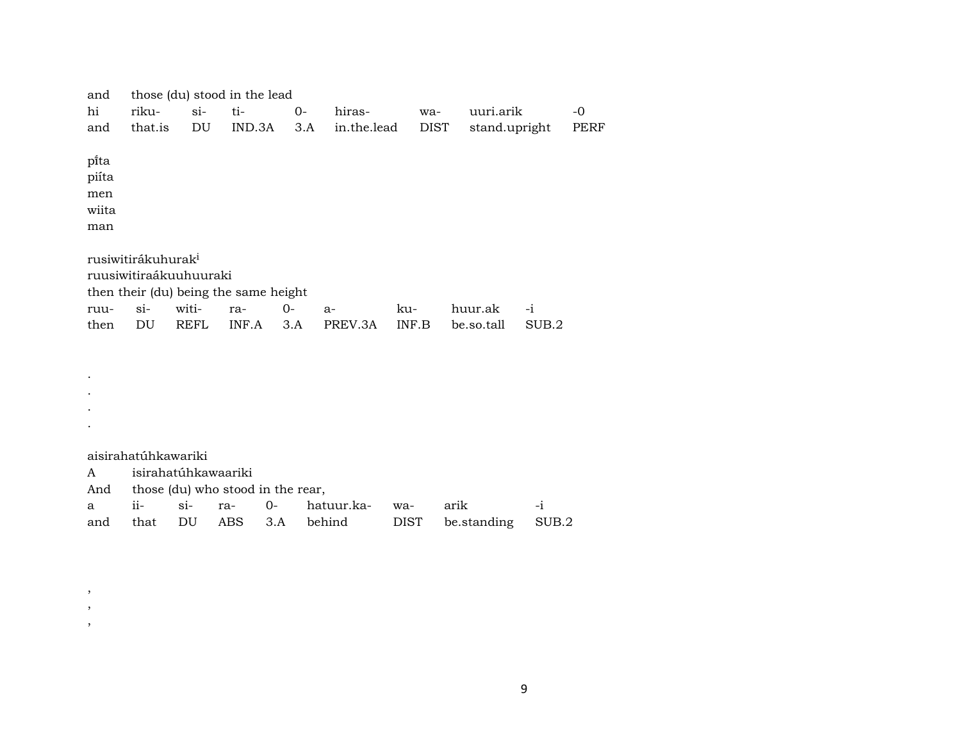| and                             |                                                          |               | those (du) stood in the lead          |           |               |              |                       |               |             |
|---------------------------------|----------------------------------------------------------|---------------|---------------------------------------|-----------|---------------|--------------|-----------------------|---------------|-------------|
| hi                              | riku-                                                    | $si$ -        | ti-                                   | $0-$      | hiras-        | wa-          | uuri.arik             |               | -0          |
| and                             | that.is                                                  | DU            | IND.3A                                | 3.A       | in.the.lead   | DIST         | stand.upright         |               | <b>PERF</b> |
| pi̇̃ta<br>piíta<br>men<br>wiita |                                                          |               |                                       |           |               |              |                       |               |             |
| man                             |                                                          |               |                                       |           |               |              |                       |               |             |
|                                 |                                                          |               |                                       |           |               |              |                       |               |             |
|                                 | rusiwitirákuhurak <sup>i</sup><br>ruusiwitiraákuuhuuraki |               |                                       |           |               |              |                       |               |             |
|                                 |                                                          |               | then their (du) being the same height |           |               |              |                       |               |             |
| ruu-<br>then                    | $Si-$<br>DU                                              | witi-<br>REFL | ra-<br>INF.A                          | 0-<br>3.A | a-<br>PREV.3A | ku-<br>INF.B | huur.ak<br>be.so.tall | $-i$<br>SUB.2 |             |
|                                 |                                                          |               |                                       |           |               |              |                       |               |             |
|                                 |                                                          |               |                                       |           |               |              |                       |               |             |
|                                 |                                                          |               |                                       |           |               |              |                       |               |             |
|                                 |                                                          |               |                                       |           |               |              |                       |               |             |

aisirahatúhkawariki

. .

, , ,

| A isirahatúhkawaariki |  |                                       |  |                                      |  |                                                   |  |  |  |  |  |
|-----------------------|--|---------------------------------------|--|--------------------------------------|--|---------------------------------------------------|--|--|--|--|--|
|                       |  | And those (du) who stood in the rear, |  |                                      |  |                                                   |  |  |  |  |  |
|                       |  |                                       |  | a ii- si- ra- 0- hatuur.ka- wa- arik |  |                                                   |  |  |  |  |  |
|                       |  |                                       |  |                                      |  | and that DU ABS 3.A behind DIST be standing SUB.2 |  |  |  |  |  |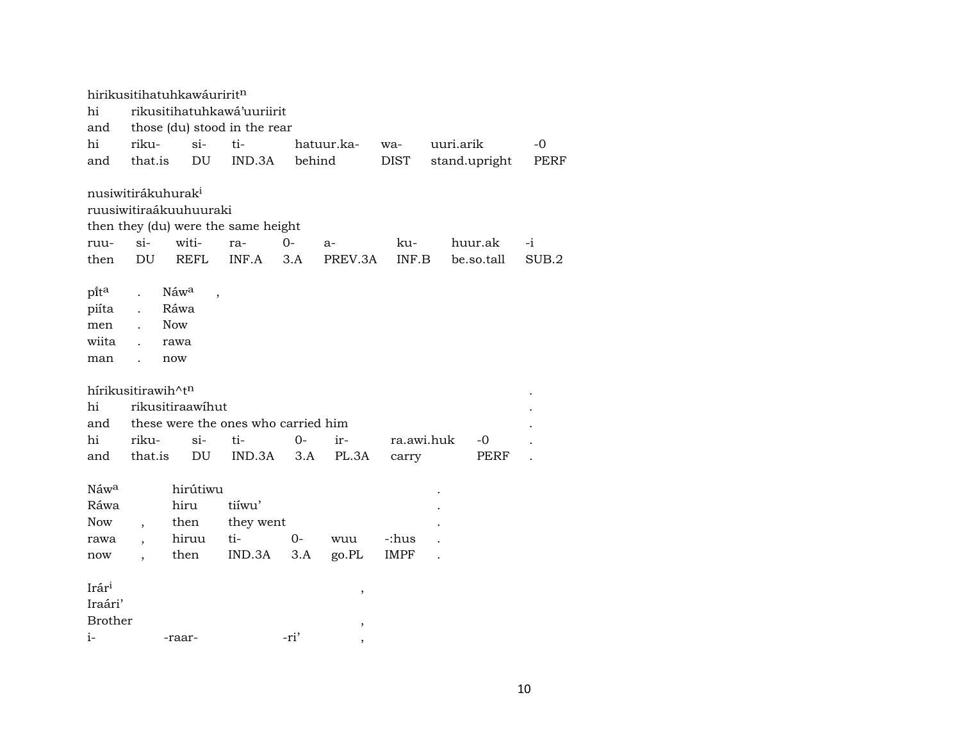|                   |                                | hirikusitihatuhkawáuriritn       |                                     |                                                                                                                                                               |            |            |           |      |       |
|-------------------|--------------------------------|----------------------------------|-------------------------------------|---------------------------------------------------------------------------------------------------------------------------------------------------------------|------------|------------|-----------|------|-------|
| hi                |                                |                                  | rikusitihatuhkawá'uuriirit          |                                                                                                                                                               |            |            |           |      |       |
| and               |                                |                                  | those (du) stood in the rear        |                                                                                                                                                               |            |            |           |      |       |
| hi                | riku-                          | $si-$                            | ti-                                 |                                                                                                                                                               | hatuur.ka- | wa-        | uuri.arik |      | -0    |
| and               | that.is                        | DU                               | IND.3A                              | behind<br>stand.upright<br><b>DIST</b><br>then they (du) were the same height<br>$0-$<br>ku-<br>huur.ak<br>ra-<br>a-<br>3.A<br>PREV.3A<br>INF.B<br>be.so.tall |            | PERF       |           |      |       |
|                   |                                |                                  |                                     |                                                                                                                                                               |            |            |           |      |       |
|                   | nusiwitirákuhurak <sup>i</sup> |                                  |                                     |                                                                                                                                                               |            |            |           |      |       |
|                   |                                | ruusiwitiraákuuhuuraki           |                                     |                                                                                                                                                               |            |            |           |      |       |
|                   |                                |                                  |                                     |                                                                                                                                                               |            |            |           |      |       |
| ruu-              | $si-$                          | witi-                            |                                     |                                                                                                                                                               |            |            |           |      | $-i$  |
| then              | DU                             | REFL                             | INF.A                               |                                                                                                                                                               |            |            |           |      | SUB.2 |
|                   |                                |                                  |                                     |                                                                                                                                                               |            |            |           |      |       |
| pita              | $\ddot{\phantom{a}}$           | Náwa<br>$\overline{\phantom{a}}$ |                                     |                                                                                                                                                               |            |            |           |      |       |
| piíta             | $\ddot{\phantom{a}}$           | Ráwa                             |                                     |                                                                                                                                                               |            |            |           |      |       |
| men               | $\mathbf{r}$                   | <b>Now</b>                       |                                     |                                                                                                                                                               |            |            |           |      |       |
| wiita             |                                | rawa                             |                                     |                                                                                                                                                               |            |            |           |      |       |
| man               | $\ddot{\phantom{a}}$           | now                              |                                     |                                                                                                                                                               |            |            |           |      |       |
|                   |                                |                                  |                                     |                                                                                                                                                               |            |            |           |      |       |
|                   | hírikusitirawih^tn             |                                  |                                     |                                                                                                                                                               |            |            |           |      |       |
| hi                |                                | rikusitiraawihut                 |                                     |                                                                                                                                                               |            |            |           |      |       |
| and               |                                |                                  | these were the ones who carried him |                                                                                                                                                               |            |            |           |      |       |
| hi                | riku-                          | $\sin$                           | ti-                                 | $0-$                                                                                                                                                          | ir-        | ra.awi.huk |           | -0   |       |
| and               | that.is                        | DU                               | IND.3A                              | 3.A                                                                                                                                                           | PL.3A      | carry      |           | PERF |       |
|                   |                                |                                  |                                     |                                                                                                                                                               |            |            |           |      |       |
| Náw <sup>a</sup>  |                                | hirútiwu                         |                                     |                                                                                                                                                               |            |            |           |      |       |
| Ráwa              |                                | hiru                             | tiíwu'                              |                                                                                                                                                               |            |            |           |      |       |
| Now               |                                | then                             | they went                           |                                                                                                                                                               |            |            |           |      |       |
| rawa              | $\overline{\phantom{a}}$       | hiruu                            | ti-                                 | $0 -$                                                                                                                                                         | wuu        | -:hus      |           |      |       |
| now               |                                | then                             | IND.3A                              | 3.A                                                                                                                                                           | go.PL      | IMPF       |           |      |       |
|                   |                                |                                  |                                     |                                                                                                                                                               |            |            |           |      |       |
| Irár <sup>i</sup> |                                |                                  |                                     |                                                                                                                                                               | $\, ,$     |            |           |      |       |
| Iraári'           |                                |                                  |                                     |                                                                                                                                                               |            |            |           |      |       |
| <b>Brother</b>    |                                |                                  |                                     |                                                                                                                                                               | ,          |            |           |      |       |
| i-                |                                | -raar-                           |                                     | -ri'                                                                                                                                                          |            |            |           |      |       |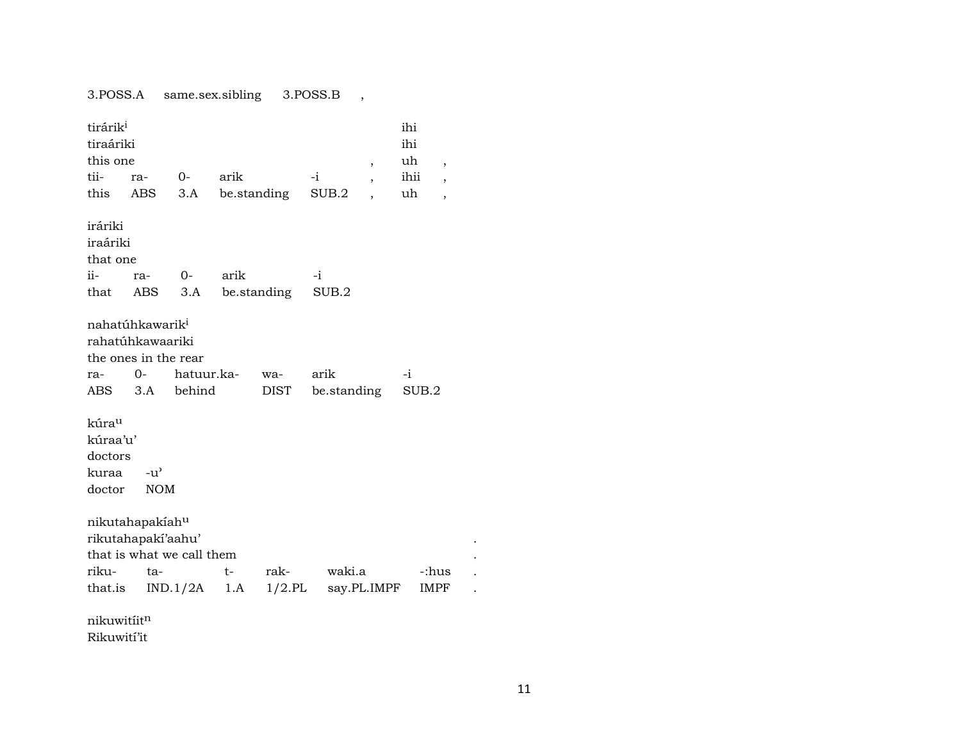### 3.POSS.A same.sex.sibling 3.POSS.B ,

| tirárik <sup>i</sup><br>tiraáriki<br>this one |                                                                         |            |      |             |             | $\overline{\phantom{a}}$ | ihi<br>ihi<br>uh | ,                        |
|-----------------------------------------------|-------------------------------------------------------------------------|------------|------|-------------|-------------|--------------------------|------------------|--------------------------|
| tii-                                          | ra-                                                                     | $0-$       | arik |             | $-i$        |                          | ihii             | $\overline{\phantom{a}}$ |
|                                               | this ABS                                                                | 3.A        |      | be.standing | SUB.2       |                          | uh               | $\overline{\phantom{a}}$ |
| iráriki<br>iraáriki<br>that one               |                                                                         |            |      |             |             |                          |                  |                          |
| ii-                                           | ra-                                                                     | $O-$       | arik |             | $-i$        |                          |                  |                          |
| that                                          | ABS                                                                     | 3.A        |      | be.standing | SUB.2       |                          |                  |                          |
|                                               | nahatúhkawarik <sup>i</sup><br>rahatúhkawaariki<br>the ones in the rear |            |      |             |             |                          |                  |                          |
| ra-                                           | $0-$                                                                    | hatuur.ka- |      | wa-         | arik        |                          | $-i$             |                          |
| ABS 3.A                                       |                                                                         | behind     |      | DIST        | be.standing |                          | SUB.2            |                          |
| kúra <sup>u</sup>                             |                                                                         |            |      |             |             |                          |                  |                          |
| kúraa'u'                                      |                                                                         |            |      |             |             |                          |                  |                          |
| doctors                                       |                                                                         |            |      |             |             |                          |                  |                          |
| kuraa                                         | $-u^{\prime}$                                                           |            |      |             |             |                          |                  |                          |
| doctor                                        | <b>NOM</b>                                                              |            |      |             |             |                          |                  |                          |
|                                               | nikutahapakiahu                                                         |            |      |             |             |                          |                  |                          |
|                                               | rikutahapakí'aahu'                                                      |            |      |             |             |                          |                  |                          |
|                                               | that is what we call them                                               |            |      |             |             |                          |                  |                          |
| riku-                                         | ta-                                                                     |            | t-   | rak-        | waki.a      |                          | -:hus            |                          |
| that.is                                       |                                                                         | IND.1/2A   | 1.A  | $1/2$ .PL   |             | say.PL.IMPF              | IMPF             |                          |
| nikuwitiitn                                   |                                                                         |            |      |             |             |                          |                  |                          |

Rikuwití'it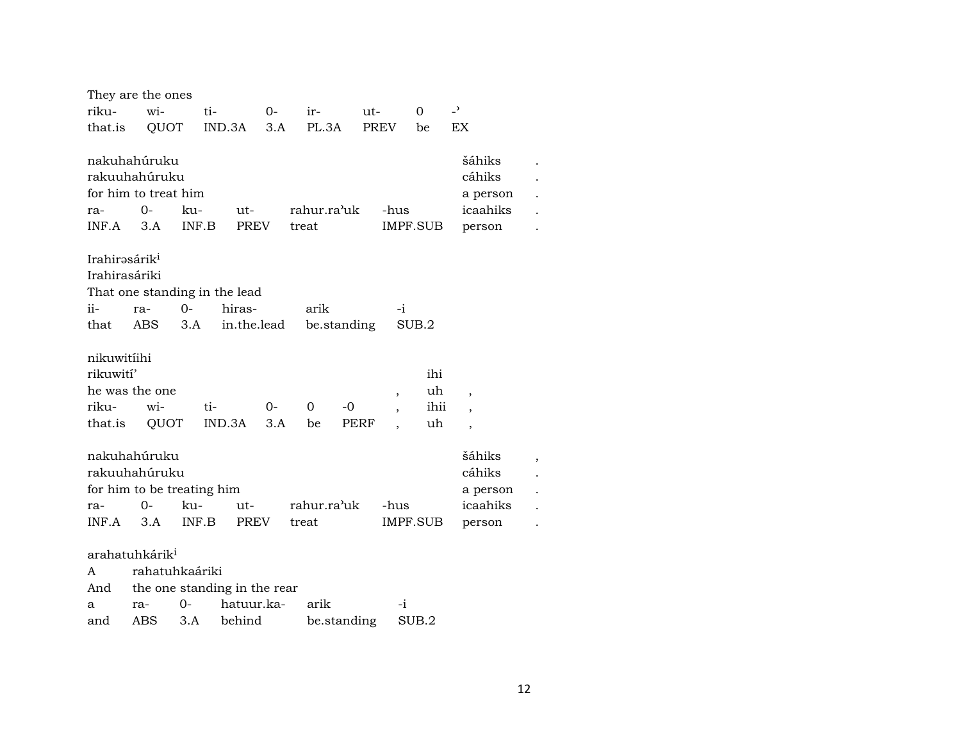|                           | They are the ones          |       |                               |      |             |             |                          |          |                          |  |
|---------------------------|----------------------------|-------|-------------------------------|------|-------------|-------------|--------------------------|----------|--------------------------|--|
| riku-                     | wi-                        |       | ti-                           | $O-$ | ir-         | ut-         |                          | 0        | $\overline{a}$           |  |
| that.is                   | QUOT                       |       | IND.3A                        | 3.A  | PL.3A       |             | <b>PREV</b>              | be       | <b>EX</b>                |  |
|                           |                            |       |                               |      |             |             |                          |          |                          |  |
|                           | nakuhahúruku               |       |                               |      |             |             |                          |          | šáhiks                   |  |
|                           | rakuuhahúruku              |       |                               |      |             |             |                          |          | cáhiks                   |  |
|                           | for him to treat him       |       |                               |      |             |             |                          |          | a person                 |  |
| ra-                       | $O -$                      | ku-   | ut-                           |      | rahur.ra'uk |             | -hus                     |          | icaahiks                 |  |
| INF.A                     | 3.A                        | INF.B | <b>PREV</b>                   |      | treat       |             |                          | IMPF.SUB | person                   |  |
|                           |                            |       |                               |      |             |             |                          |          |                          |  |
| Irahirəsárik <sup>i</sup> |                            |       |                               |      |             |             |                          |          |                          |  |
| Irahirasáriki             |                            |       |                               |      |             |             |                          |          |                          |  |
|                           |                            |       | That one standing in the lead |      |             |             |                          |          |                          |  |
| ii-                       | ra-                        | $O -$ | hiras-                        |      | arik        |             | $-i$                     |          |                          |  |
| that                      | ABS                        | 3.A   | in.the.lead                   |      |             | be.standing |                          | SUB.2    |                          |  |
|                           |                            |       |                               |      |             |             |                          |          |                          |  |
| nikuwitiihi               |                            |       |                               |      |             |             |                          |          |                          |  |
| rikuwití'                 |                            |       |                               |      |             |             |                          | ihi      |                          |  |
|                           | he was the one             |       |                               |      |             |             | $\overline{\phantom{a}}$ | uh       | $\overline{\phantom{a}}$ |  |
| riku-                     | wi-                        |       | ti-                           | $0-$ | 0           | $-0$        | $\overline{\phantom{a}}$ | ihii     | $\overline{\phantom{a}}$ |  |
| that.is                   | QUOT                       |       | IND.3A                        | 3.A  | be          | PERF        |                          | uh       | ,                        |  |
|                           |                            |       |                               |      |             |             |                          |          |                          |  |
|                           | nakuhahúruku               |       |                               |      |             |             |                          |          | šáhiks                   |  |
|                           | rakuuhahúruku              |       |                               |      |             |             |                          |          | cáhiks                   |  |
|                           | for him to be treating him |       |                               |      |             |             |                          |          | a person                 |  |
| ra-                       | 0-                         | ku-   | ut-                           |      | rahur.ra'uk |             | -hus                     |          | icaahiks                 |  |
| INF.A                     | 3.A                        | INF.B | <b>PREV</b>                   |      | treat       |             |                          | IMPF.SUB | person                   |  |
|                           |                            |       |                               |      |             |             |                          |          |                          |  |
|                           | arahatuhkárik <sup>i</sup> |       |                               |      |             |             |                          |          |                          |  |
| A                         | rahatuhkaáriki             |       |                               |      |             |             |                          |          |                          |  |
| And                       |                            |       | the one standing in the rear  |      |             |             |                          |          |                          |  |
| a                         | ra-                        | 0-    | hatuur.ka-                    |      | arik        |             | -i                       |          |                          |  |
| and                       | ABS                        | 3.A   | behind                        |      |             | be.standing |                          | SUB.2    |                          |  |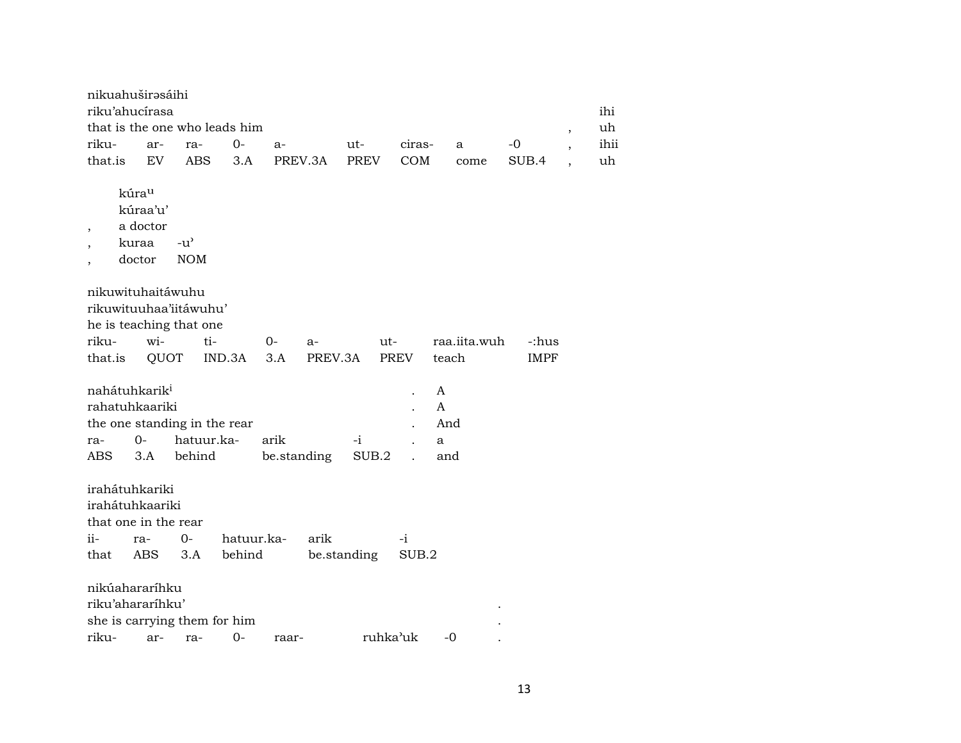| nikuahuširəsáihi<br>riku'ahucírasa                        |                                                  |                                                      |            |                     |         |               |     |          |                           |              |             |                          |            |
|-----------------------------------------------------------|--------------------------------------------------|------------------------------------------------------|------------|---------------------|---------|---------------|-----|----------|---------------------------|--------------|-------------|--------------------------|------------|
|                                                           |                                                  | that is the one who leads him                        |            |                     |         |               |     |          |                           |              |             |                          | ihi        |
|                                                           |                                                  |                                                      | 0-         |                     |         |               |     |          |                           |              | -0          | $\, ,$                   | uh<br>ihii |
| riku-                                                     | ar-                                              | ra-                                                  |            | $a-$                |         | ut-           |     | ciras-   |                           | a            |             | $\overline{\phantom{a}}$ |            |
| that.is                                                   | EV                                               | ABS                                                  | 3.A        | PREV.3A             |         | PREV          |     | COM      |                           | come         | SUB.4       | $\ddot{\phantom{0}}$     | uh         |
| $\overline{\phantom{a}}$                                  | kúrau<br>kúraa'u'<br>a doctor<br>kuraa<br>doctor | $-u^{\prime}$<br><b>NOM</b>                          |            |                     |         |               |     |          |                           |              |             |                          |            |
| nikuwituhaitáwuhu                                         |                                                  | rikuwituuhaa'iitáwuhu'<br>he is teaching that one    |            |                     |         |               |     |          |                           |              |             |                          |            |
| riku-                                                     | wi-                                              | ti-                                                  |            | 0-                  | $a-$    |               | ut- |          |                           | raa.iita.wuh | c:hus:-     |                          |            |
| that.is                                                   | QUOT                                             |                                                      | IND.3A     | 3.A                 | PREV.3A |               |     | PREV     | teach                     |              | <b>IMPF</b> |                          |            |
| nahátuhkarik <sup>i</sup><br>rahatuhkaariki<br>ra-<br>ABS | $0 -$<br>3.A                                     | the one standing in the rear<br>hatuur.ka-<br>behind |            | arik<br>be.standing |         | $-i$<br>SUB.2 |     |          | A<br>A<br>And<br>a<br>and |              |             |                          |            |
| irahátuhkariki<br>irahátuhkaariki<br>that one in the rear |                                                  |                                                      |            |                     |         |               |     |          |                           |              |             |                          |            |
| ii-                                                       | ra-                                              | $O -$                                                | hatuur.ka- |                     | arik    |               |     | $-i$     |                           |              |             |                          |            |
| that                                                      | <b>ABS</b>                                       | 3.A                                                  | behind     |                     |         | be.standing   |     | SUB.2    |                           |              |             |                          |            |
| nikúahararíhku<br>riku'ahararíhku'<br>riku-               | ar-                                              | she is carrying them for him<br>ra-                  | 0-         | raar-               |         |               |     | ruhka'uk | -0                        |              |             |                          |            |
|                                                           |                                                  |                                                      |            |                     |         |               |     |          |                           |              |             |                          |            |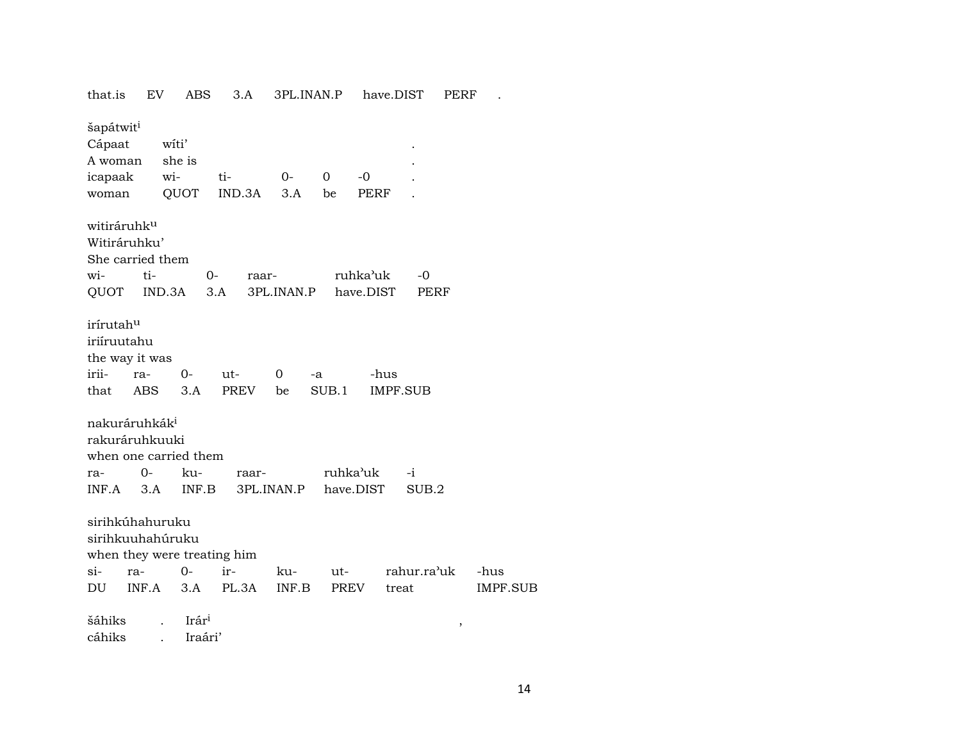that.is EV ABS 3.A 3PL.INAN.P have.DIST PERF . šapátwit<sup>i</sup> Cápaat wíti' A woman she is . icapaak wi- ti- 0- 0 -0 . woman QUOT IND.3A 3.A be PERF witiráruhkµ Witiráruhku' She carried them wi- ti- 0- raar- ruhka"uk -0 QUOT IND.3A 3.A 3PL.INAN.P have.DIST PERF irírutahµ iriíruutahu the way it was irii- ra- 0- ut- 0 -a -hus that ABS 3.A PREV be SUB.1 IMPF.SUB nakuráruhkák<sup>i</sup> rakuráruhkuuki when one carried them ra- 0- ku- raar- ruhka"uk -i INF.A 3.A INF.B 3PL.INAN.P have.DIST SUB.2 sirihkúhahuruku sirihkuuhahúruku when they were treating him si- ra- 0- ir- ku- ut- rahur.ra"uk -hus DU INF.A 3.A PL.3A INF.B PREV treat IMPF.SUB šáhiks . Irár³ , cáhiks . Iraári'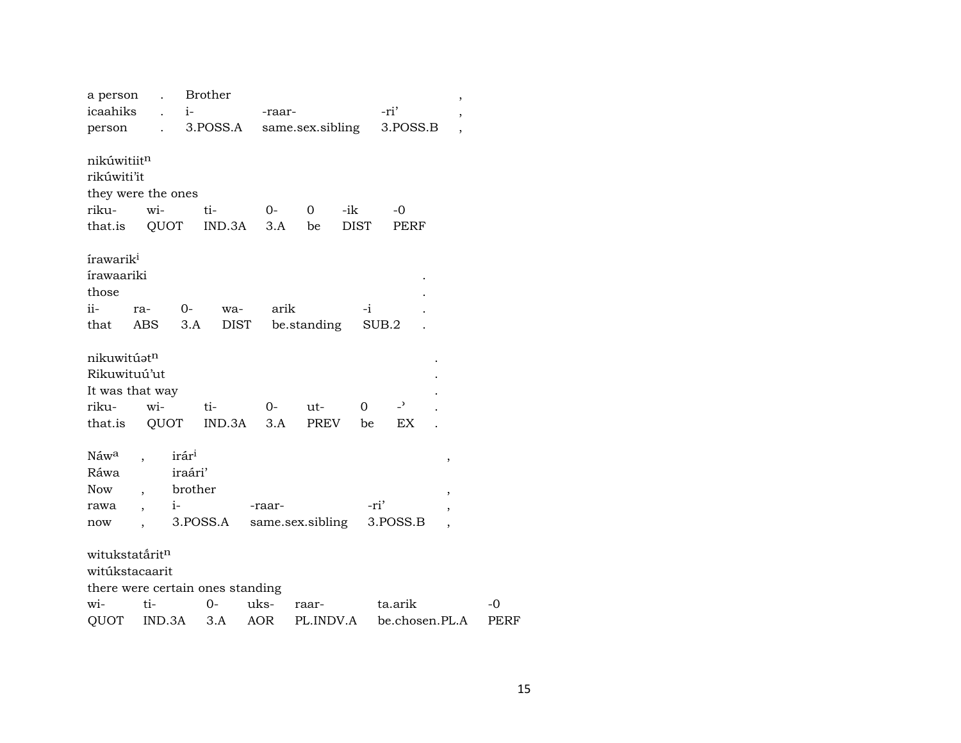| a person<br>icaahiks<br>person                                                            | $\ddot{\phantom{0}}$<br>$i-$<br>$\mathbf{L}$<br>$\mathcal{L}^{\text{max}}$  | <b>Brother</b><br>3.POSS.A                   | -raar- | same.sex.sibling |             | -ri'<br>3.POSS.B         | $\, ,$<br>,                                               |      |
|-------------------------------------------------------------------------------------------|-----------------------------------------------------------------------------|----------------------------------------------|--------|------------------|-------------|--------------------------|-----------------------------------------------------------|------|
|                                                                                           |                                                                             |                                              |        |                  |             |                          | $\overline{\phantom{a}}$                                  |      |
| nikúwitiitn<br>rikúwiti'it                                                                | they were the ones                                                          |                                              |        |                  |             |                          |                                                           |      |
| riku-                                                                                     | wi-                                                                         | ti-                                          | $O-$   | 0<br>-ik         |             | -0                       |                                                           |      |
| that.is                                                                                   | QUOT                                                                        | $IND.3A$ $3.A$                               |        | be               | <b>DIST</b> | PERF                     |                                                           |      |
| írawarik <sup>i</sup><br><i>irawaariki</i><br>those<br>ii-<br>that                        | $0-$<br>ra-<br>ABS                                                          | wa-<br>3.A<br>DIST                           | arik   | be.standing      | $-i$        | SUB.2                    |                                                           |      |
| nikuwitúatn<br>Rikuwituú'ut<br>It was that way<br>riku-                                   | wi-                                                                         | ti-                                          | $0-$   | ut-              | $\Omega$    | $\overline{\phantom{0}}$ |                                                           |      |
| that.is                                                                                   | QUOT                                                                        | IND.3A                                       | 3.A    | <b>PREV</b>      | be          | EX                       |                                                           |      |
| Náw <sup>a</sup><br>Ráwa<br><b>Now</b><br>rawa<br>now<br>witukstatáritn<br>witúkstacaarit | irár <sup>i</sup><br>iraári'<br>brother<br>$i-$<br>$\overline{\phantom{a}}$ | 3.POSS.A<br>there were certain ones standing | -raar- | same.sex.sibling | -ri'        | 3.POSS.B                 | ,<br>$\overline{\phantom{a}}$<br>$\overline{\phantom{a}}$ |      |
| wi-                                                                                       | ti-                                                                         | $0-$                                         | uks-   | raar-            |             | ta.arik                  |                                                           | $-0$ |
| QUOT                                                                                      | IND.3A                                                                      | 3.A                                          | AOR    | PL.INDV.A        |             | be.chosen.PL.A           |                                                           | PERF |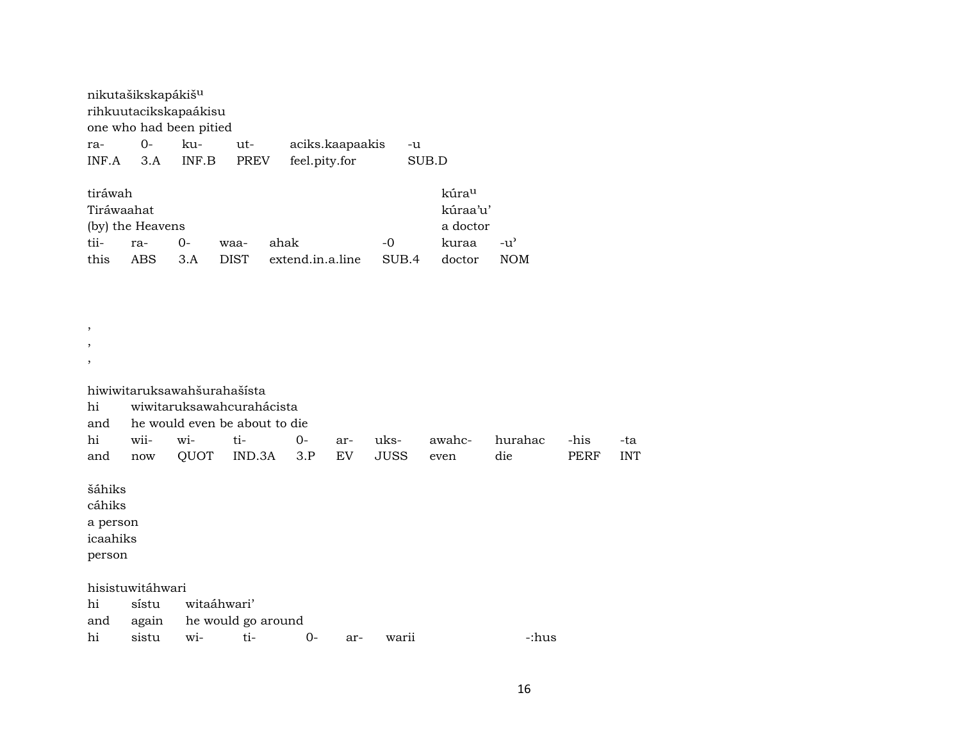| nikutašikskapákiš <sup>u</sup> |        |                         |      |                 |       |
|--------------------------------|--------|-------------------------|------|-----------------|-------|
| rihkuutacikskapaákisu          |        |                         |      |                 |       |
|                                |        | one who had been pitied |      |                 |       |
| ra-                            | $() -$ | ku-                     | ut-  | aciks.kaapaakis | -u    |
| INF A                          | 3 A    | INF.B                   | PREV | feel.pity.for   | SUB.D |

| tiráwah    |                  |             |      |                             |      | kúra <sup>u</sup> |                    |
|------------|------------------|-------------|------|-----------------------------|------|-------------------|--------------------|
| Tiráwaahat |                  |             |      |                             |      | kúraa'u'          |                    |
|            | (by) the Heavens |             |      |                             |      | a doctor          |                    |
| tii-       | ra-              | <u>ດ-</u>   | waa- | ahak                        | $-0$ | kuraa             | $-11$ <sup>2</sup> |
| this       | ABS.             | $\beta$ . A |      | DIST extend.in.a.line SUB.4 |      | doctor            | <b>NOM</b>         |

| $^\mathrm{,}$                                      |                  |                                            |                                                                             |           |           |                     |                |                |              |                   |
|----------------------------------------------------|------------------|--------------------------------------------|-----------------------------------------------------------------------------|-----------|-----------|---------------------|----------------|----------------|--------------|-------------------|
| $^\mathrm{,}$                                      |                  |                                            |                                                                             |           |           |                     |                |                |              |                   |
| $\, ,$                                             |                  |                                            |                                                                             |           |           |                     |                |                |              |                   |
| hi<br>and<br>hi<br>and                             | wii-<br>now      | hiwiwitaruksawahšurahašísta<br>wi-<br>QUOT | wiwitaruksawahcurahácista<br>he would even be about to die<br>ti-<br>IND.3A | 0-<br>3.P | ar-<br>EV | uks-<br><b>JUSS</b> | awahc-<br>even | hurahac<br>die | -his<br>PERF | -ta<br><b>INT</b> |
| šáhiks<br>cáhiks<br>a person<br>icaahiks<br>person |                  |                                            |                                                                             |           |           |                     |                |                |              |                   |
|                                                    | hisistuwitáhwari |                                            |                                                                             |           |           |                     |                |                |              |                   |
| hi                                                 | sístu            | witaáhwari'                                |                                                                             |           |           |                     |                |                |              |                   |
| and                                                | again            |                                            | he would go around                                                          |           |           |                     |                |                |              |                   |
| hi                                                 | sistu            | wi-                                        | ti-                                                                         | $O -$     | ar-       | warii               |                | -:hus          |              |                   |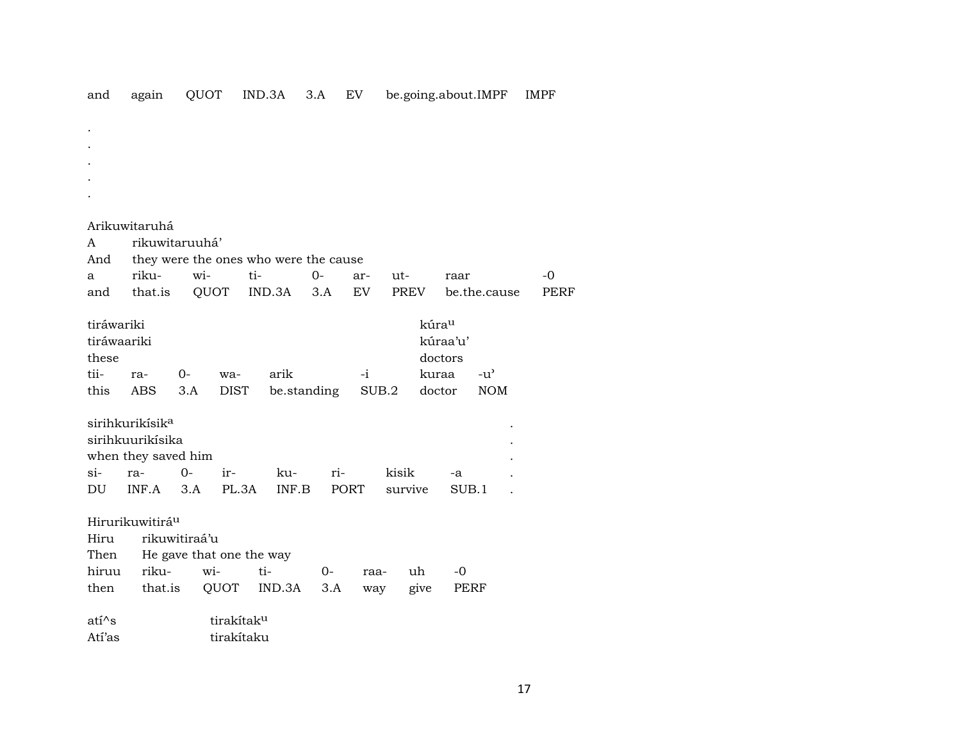|  |  |  |  |  |  | and again QUOT IND.3A 3.A EV be.going.about.IMPF IMPF |  |
|--|--|--|--|--|--|-------------------------------------------------------|--|
|--|--|--|--|--|--|-------------------------------------------------------|--|

. .

Atí'as tirakítaku

|             | Arikuwitaruhá               |                          |                        |                                       |      |             |         |                   |               |      |
|-------------|-----------------------------|--------------------------|------------------------|---------------------------------------|------|-------------|---------|-------------------|---------------|------|
| A           | rikuwitaruuhá'              |                          |                        |                                       |      |             |         |                   |               |      |
| And         |                             |                          |                        | they were the ones who were the cause |      |             |         |                   |               |      |
| a           | riku-                       | wi-                      |                        | ti-                                   | $0-$ | ar-         | ut-     |                   | raar          | -0   |
| and         | that.is                     | QUOT                     |                        | IND.3A                                | 3.A  | EV          | PREV    |                   | be.the.cause  | PERF |
| tiráwariki  |                             |                          |                        |                                       |      |             |         | kúra <sup>u</sup> |               |      |
| tiráwaariki |                             |                          |                        |                                       |      |             |         | kúraa'u'          |               |      |
| these       |                             |                          |                        |                                       |      |             |         | doctors           |               |      |
| tii-        | ra-                         | 0-                       | wa-                    | arik                                  |      | $-i$        |         | kuraa             | $-u^{\prime}$ |      |
| this        | ABS                         | 3.A                      | <b>DIST</b>            | be.standing                           |      |             | SUB.2   | doctor            | <b>NOM</b>    |      |
|             | sirihkurikísik <sup>a</sup> |                          |                        |                                       |      |             |         |                   |               |      |
|             | sirihkuurikísika            |                          |                        |                                       |      |             |         |                   |               |      |
|             | when they saved him         |                          |                        |                                       |      |             |         |                   |               |      |
| $\sin$      | ra-                         | $0-$                     | ir-                    | ku-                                   | ri-  |             | kisik   |                   | -a            |      |
| DU          | INF.A                       | 3.A                      | PL.3A                  | INF.B                                 |      | <b>PORT</b> | survive |                   | SUB.1         |      |
|             | Hirurikuwitirá <sup>u</sup> |                          |                        |                                       |      |             |         |                   |               |      |
| Hiru        |                             | rikuwitiraá'u            |                        |                                       |      |             |         |                   |               |      |
| Then        |                             | He gave that one the way |                        |                                       |      |             |         |                   |               |      |
| hiruu       | riku-                       | wi-                      |                        | ti-                                   | $0-$ | raa-        |         | uh                | -0            |      |
| then        | that.is                     |                          | QUOT                   | IND.3A                                | 3.A  | way         |         | give              | PERF          |      |
| $ati^s$     |                             |                          | tirakítak <sup>u</sup> |                                       |      |             |         |                   |               |      |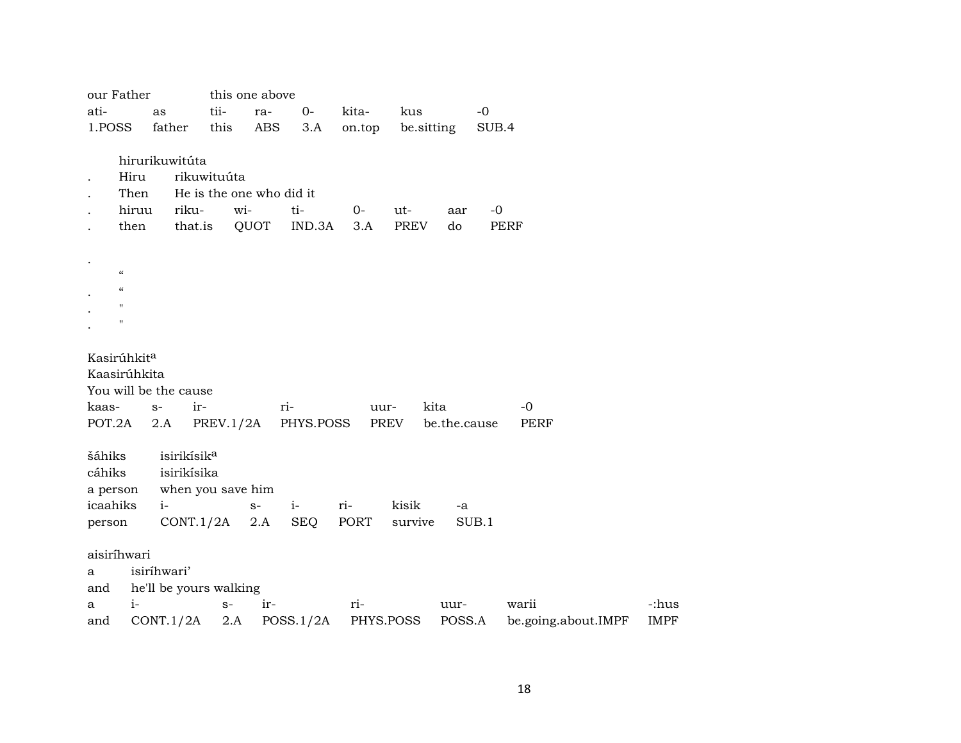|          | our Father                 |                         |                          | this one above |                     |             |            |              |             |                     |             |
|----------|----------------------------|-------------------------|--------------------------|----------------|---------------------|-------------|------------|--------------|-------------|---------------------|-------------|
| ati-     |                            | as                      | tii-                     | ra-            | $0-$                | kita-       | kus        |              | $-0$        |                     |             |
| 1.POSS   |                            | father                  | this                     | <b>ABS</b>     | 3.A                 | on.top      | be.sitting |              | SUB.4       |                     |             |
|          |                            |                         |                          |                |                     |             |            |              |             |                     |             |
|          |                            | hirurikuwitúta          |                          |                |                     |             |            |              |             |                     |             |
|          | Hiru                       |                         | rikuwituúta              |                |                     |             |            |              |             |                     |             |
|          | Then                       |                         | He is the one who did it |                |                     |             |            |              |             |                     |             |
|          | hiruu                      | riku-                   | wi-                      |                | ti-                 | 0-          | ut-        | aar          | $-0$        |                     |             |
|          | then                       | that.is                 |                          | QUOT           | IND.3A              | 3.A         | PREV       | do           | <b>PERF</b> |                     |             |
|          |                            |                         |                          |                |                     |             |            |              |             |                     |             |
|          |                            |                         |                          |                |                     |             |            |              |             |                     |             |
|          | $\boldsymbol{\mathcal{C}}$ |                         |                          |                |                     |             |            |              |             |                     |             |
|          | $\alpha$                   |                         |                          |                |                     |             |            |              |             |                     |             |
|          | $\pmb{\mathsf{H}}$         |                         |                          |                |                     |             |            |              |             |                     |             |
|          | $\pmb{\mathsf{H}}$         |                         |                          |                |                     |             |            |              |             |                     |             |
|          |                            |                         |                          |                |                     |             |            |              |             |                     |             |
|          | Kasirúhkit <sup>a</sup>    |                         |                          |                |                     |             |            |              |             |                     |             |
|          | Kaasirúhkita               |                         |                          |                |                     |             |            |              |             |                     |             |
|          |                            | You will be the cause   |                          |                |                     |             |            |              |             |                     |             |
| kaas-    |                            | ir-<br>$S-$             |                          |                | ri-                 | uur-        | kita       |              |             | $-0$                |             |
| POT.2A   |                            | 2.A                     |                          |                | PREV.1/2A PHYS.POSS |             | PREV       | be.the.cause |             | <b>PERF</b>         |             |
|          |                            |                         |                          |                |                     |             |            |              |             |                     |             |
| šáhiks   |                            | isirikísik <sup>a</sup> |                          |                |                     |             |            |              |             |                     |             |
| cáhiks   |                            | isirikísika             |                          |                |                     |             |            |              |             |                     |             |
| a person |                            | when you save him       |                          |                |                     |             |            |              |             |                     |             |
| icaahiks |                            | $i-$                    |                          | $S-$           | $i-$                | ri-         | kisik      | -a           |             |                     |             |
| person   |                            | CONT.1/2A               |                          | 2.A            | <b>SEQ</b>          | <b>PORT</b> | survive    |              | SUB.1       |                     |             |
|          |                            |                         |                          |                |                     |             |            |              |             |                     |             |
|          | aisiríhwari                |                         |                          |                |                     |             |            |              |             |                     |             |
| a        |                            | isiríhwari'             |                          |                |                     |             |            |              |             |                     |             |
| and      |                            | he'll be yours walking  |                          |                |                     |             |            |              |             |                     |             |
| a        | $i-$                       |                         | $\mathbf{S}^-$           | ir-            |                     | ri-         |            | uur-         |             | warii               | -:hus       |
| and      |                            | CONT.1/2A               | 2.A                      |                | POSS.1/2A           | PHYS.POSS   |            | POSS.A       |             | be.going.about.IMPF | <b>IMPF</b> |
|          |                            |                         |                          |                |                     |             |            |              |             |                     |             |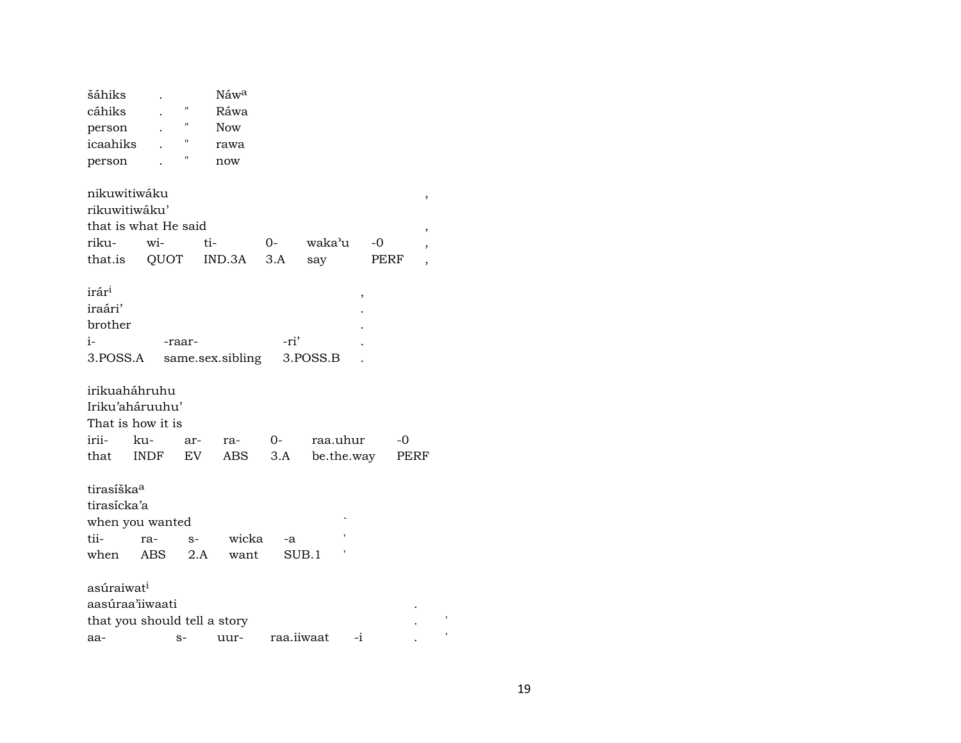| šáhiks                       |             |                    | Náw <sup>a</sup> |            |            |      |      |                          |  |  |
|------------------------------|-------------|--------------------|------------------|------------|------------|------|------|--------------------------|--|--|
| cáhiks                       |             | П                  | Ráwa             |            |            |      |      |                          |  |  |
| person                       |             | "                  | Now              |            |            |      |      |                          |  |  |
| icaahiks                     |             | $\pmb{\mathsf{H}}$ | rawa             |            |            |      |      |                          |  |  |
| person                       |             | 11                 | now              |            |            |      |      |                          |  |  |
|                              |             |                    |                  |            |            |      |      |                          |  |  |
| nikuwitiwáku                 |             |                    |                  |            |            |      |      | $\,$                     |  |  |
| rikuwitiwáku'                |             |                    |                  |            |            |      |      |                          |  |  |
| that is what He said         |             |                    |                  |            |            |      |      | $\, ,$                   |  |  |
| riku-                        | wi-         | ti-                |                  | 0-         | waka'u     | -0   |      | $\overline{\phantom{a}}$ |  |  |
| that.is                      | QUOT        |                    | IND.3A           | 3.A        | say        | PERF |      | $\overline{\phantom{a}}$ |  |  |
|                              |             |                    |                  |            |            |      |      |                          |  |  |
| irár <sup>i</sup>            |             |                    |                  |            |            | ,    |      |                          |  |  |
| iraári'                      |             |                    |                  |            |            |      |      |                          |  |  |
| brother                      |             |                    |                  |            |            |      |      |                          |  |  |
| $i-$                         |             | -raar-             |                  | -ri'       |            |      |      |                          |  |  |
| 3.POSS.A                     |             |                    | same.sex.sibling |            | 3.POSS.B   |      |      |                          |  |  |
|                              |             |                    |                  |            |            |      |      |                          |  |  |
| irikuaháhruhu                |             |                    |                  |            |            |      |      |                          |  |  |
| Iriku'aháruuhu'              |             |                    |                  |            |            |      |      |                          |  |  |
| That is how it is            |             |                    |                  |            |            |      |      |                          |  |  |
| irii-                        | ku-         | ar-                | ra-              | $0-$       | raa.uhur   |      | -0   |                          |  |  |
| that                         | <b>INDF</b> | EV                 | ABS              | 3.A        | be.the.way |      | PERF |                          |  |  |
|                              |             |                    |                  |            |            |      |      |                          |  |  |
| tirasíška <sup>a</sup>       |             |                    |                  |            |            |      |      |                          |  |  |
| tirasícka'a                  |             |                    |                  |            |            |      |      |                          |  |  |
| when you wanted              |             |                    |                  |            |            |      |      |                          |  |  |
| tii-                         | ra-         | $S-$               | wicka            | -a         |            |      |      |                          |  |  |
| when                         | ABS         | 2.A                | want             |            | SUB.1      |      |      |                          |  |  |
|                              |             |                    |                  |            |            |      |      |                          |  |  |
| asúraiwat <sup>i</sup>       |             |                    |                  |            |            |      |      |                          |  |  |
| aasúraa'iiwaati              |             |                    |                  |            |            |      |      |                          |  |  |
| that you should tell a story |             |                    |                  |            |            |      |      | ,                        |  |  |
| aa-                          |             | $S-$               | uur-             | raa.iiwaat | $-i$       |      |      |                          |  |  |
|                              |             |                    |                  |            |            |      |      |                          |  |  |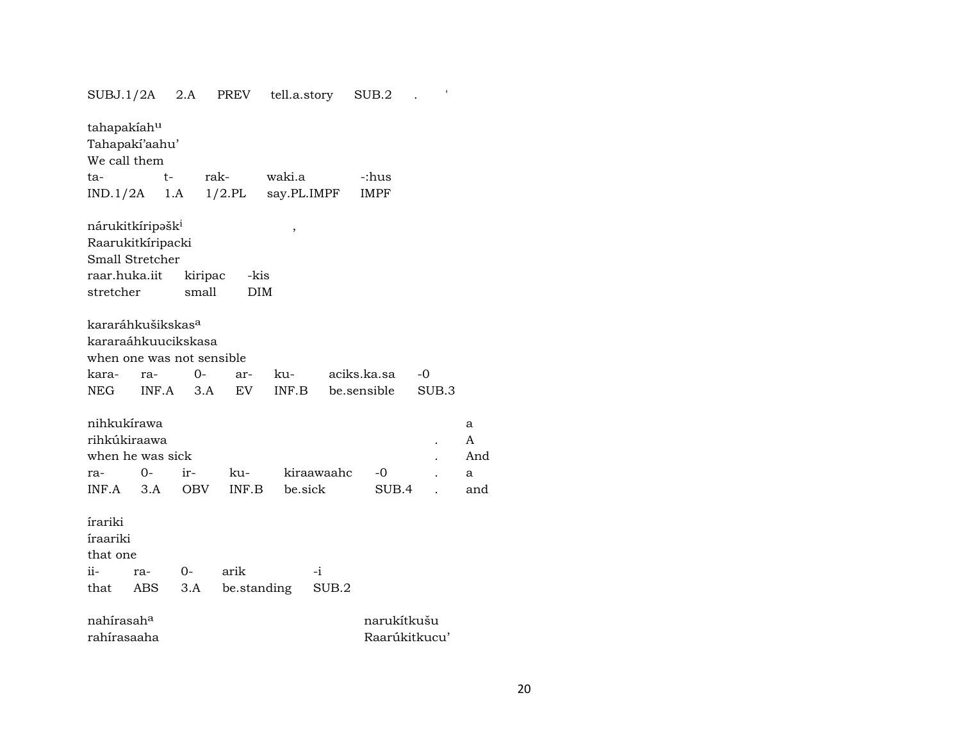| $SUBJ.1/2A$ 2.A               |       |            | PREV       | tell.a.story |             | SUB.2         | $\pmb{\mathsf{I}}$ |     |
|-------------------------------|-------|------------|------------|--------------|-------------|---------------|--------------------|-----|
| tahapakiahu                   |       |            |            |              |             |               |                    |     |
| Tahapakí'aahu'                |       |            |            |              |             |               |                    |     |
| We call them                  |       |            |            |              |             |               |                    |     |
| ta-                           | $t-$  | rak-       |            | waki.a       |             | -:hus         |                    |     |
| IND.1/2A                      |       | 1.A        | $1/2$ .PL  |              | say.PL.IMPF | <b>IMPF</b>   |                    |     |
|                               |       |            |            |              |             |               |                    |     |
| nárukitkíripəšk <sup>i</sup>  |       |            |            |              |             |               |                    |     |
| Raarukitkíripacki             |       |            |            | ,            |             |               |                    |     |
| Small Stretcher               |       |            |            |              |             |               |                    |     |
| raar.huka.iit                 |       | kiripac    | -kis       |              |             |               |                    |     |
| stretcher                     |       | small      | <b>DIM</b> |              |             |               |                    |     |
|                               |       |            |            |              |             |               |                    |     |
| kararáhkušikskas <sup>a</sup> |       |            |            |              |             |               |                    |     |
| kararaáhkuucikskasa           |       |            |            |              |             |               |                    |     |
| when one was not sensible     |       |            |            |              |             |               |                    |     |
|                               |       | 0-         |            |              |             | aciks.ka.sa   |                    |     |
| kara-                         | ra-   |            | ar-        | ku-          |             |               | -0                 |     |
| NEG                           | INF.A | 3.A        | EV         | INF.B        |             | be.sensible   | SUB.3              |     |
| nihkukírawa                   |       |            |            |              |             |               |                    |     |
| rihkúkiraawa                  |       |            |            |              |             |               |                    | a   |
|                               |       |            |            |              |             |               |                    | A   |
| when he was sick              |       |            |            |              |             |               |                    | And |
| ra-                           | 0-    | ir-        | ku-        |              | kiraawaahc  | -0            |                    | a   |
| INF.A                         | 3.A   | <b>OBV</b> | INF.B      |              | be.sick     | SUB.4         |                    | and |
|                               |       |            |            |              |             |               |                    |     |
| írariki                       |       |            |            |              |             |               |                    |     |
| íraariki                      |       |            |            |              |             |               |                    |     |
| that one                      |       |            |            |              |             |               |                    |     |
| ii-                           | ra-   | $0-$       | arik       |              | $-i$        |               |                    |     |
| that                          | ABS   | 3.A        |            | be.standing  | SUB.2       |               |                    |     |
| nahírasah <sup>a</sup>        |       |            |            |              |             | narukítkušu   |                    |     |
| rahírasaaha                   |       |            |            |              |             | Raarúkitkucu' |                    |     |

20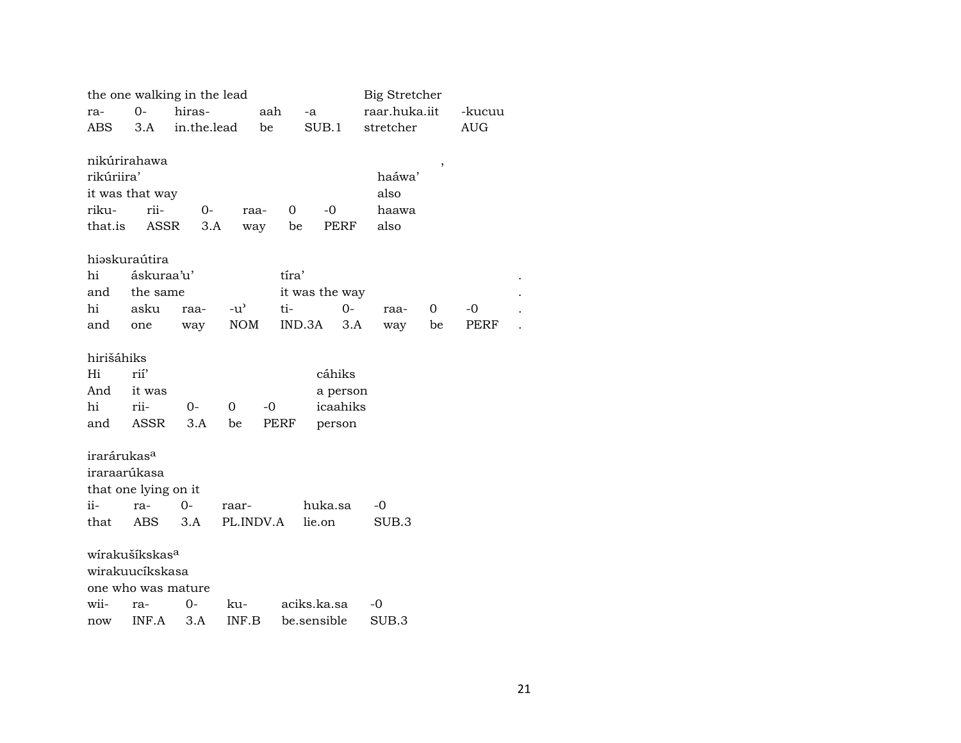|                         |                            | the one walking in the lead |              |             |                | Big Stretcher |    |            |  |
|-------------------------|----------------------------|-----------------------------|--------------|-------------|----------------|---------------|----|------------|--|
| ra-                     | $0-$                       | hiras-                      |              | aah         | -a             | raar.huka.iit |    | -kucuu     |  |
| ABS                     | 3.A                        | in.the.lead                 | be           |             | SUB.1          | stretcher     |    | <b>AUG</b> |  |
|                         |                            |                             |              |             |                |               |    |            |  |
|                         | nikúrirahawa               |                             |              |             |                |               | ,  |            |  |
| rikúriira'              |                            |                             |              |             |                | haáwa'        |    |            |  |
|                         | it was that way            |                             |              |             |                | also          |    |            |  |
| riku-                   | rii-                       | $0-$                        | raa-         | 0           | $-0$           | haawa         |    |            |  |
| that.is                 | <b>ASSR</b>                |                             | 3.A<br>way   | be          | <b>PERF</b>    | also          |    |            |  |
|                         |                            |                             |              |             |                |               |    |            |  |
|                         | hiəskuraútira              |                             |              |             |                |               |    |            |  |
| hi                      | áskuraa'u'                 |                             |              | tíra'       |                |               |    |            |  |
| and                     | the same                   |                             |              |             | it was the way |               |    |            |  |
| hi                      | asku                       | raa-                        | $-u^{\flat}$ | ti-         | $0 -$          | raa-          | 0  | -0         |  |
| and                     | one                        | way                         | <b>NOM</b>   | IND.3A      | 3.A            | way           | be | PERF       |  |
|                         |                            |                             |              |             |                |               |    |            |  |
| hirišáhiks              |                            |                             |              |             |                |               |    |            |  |
| Hi                      | rií'                       |                             |              |             | cáhiks         |               |    |            |  |
| And                     | it was                     |                             |              |             | a person       |               |    |            |  |
| hi                      | rii-                       | $0-$                        | $\Omega$     | -0          | icaahiks       |               |    |            |  |
| and                     | <b>ASSR</b>                | 3.A                         | be           | <b>PERF</b> | person         |               |    |            |  |
|                         |                            |                             |              |             |                |               |    |            |  |
| irarárukas <sup>a</sup> |                            |                             |              |             |                |               |    |            |  |
|                         | iraraarúkasa               |                             |              |             |                |               |    |            |  |
|                         | that one lying on it       |                             |              |             |                |               |    |            |  |
| ii-                     | $ra-$                      | 0-                          | raar-        |             | huka.sa        | -0            |    |            |  |
| that                    | ABS.                       | 3.A                         | PL.INDV.A    |             | lie.on         | SUB.3         |    |            |  |
|                         |                            |                             |              |             |                |               |    |            |  |
|                         | wírakušíkskas <sup>a</sup> |                             |              |             |                |               |    |            |  |
|                         | wirakuucíkskasa            |                             |              |             |                |               |    |            |  |
|                         |                            | one who was mature          |              |             |                |               |    |            |  |
| wii-                    | ra-                        | 0-                          | ku-          |             | aciks.ka.sa    | -0            |    |            |  |
| now                     | INF.A                      | 3.A                         | INF.B        |             | be.sensible    | SUB.3         |    |            |  |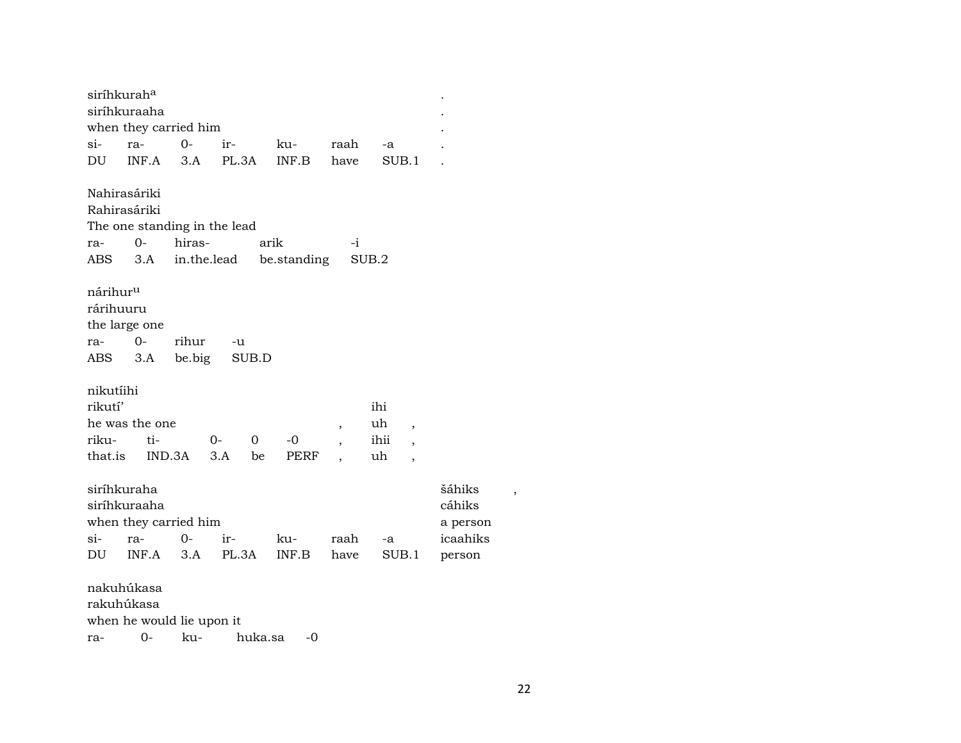| siríhkurah <sup>a</sup> |       |                              |                        |             |                          |                                |          |   |
|-------------------------|-------|------------------------------|------------------------|-------------|--------------------------|--------------------------------|----------|---|
| siríhkuraaha            |       |                              |                        |             |                          |                                |          |   |
|                         |       | when they carried him        |                        |             |                          |                                |          |   |
| si-                     | ra-   | $0-$                         | ir-                    | ku-         | raah                     | -a                             |          |   |
| DU                      | INF.A | 3.A                          | PL.3A                  | INF.B       | have                     | SUB.1                          |          |   |
|                         |       |                              |                        |             |                          |                                |          |   |
| Nahirasáriki            |       |                              |                        |             |                          |                                |          |   |
| Rahirasáriki            |       |                              |                        |             |                          |                                |          |   |
|                         |       | The one standing in the lead |                        |             |                          |                                |          |   |
| ra-                     | $O -$ | hiras-                       |                        | arik        | $-i$                     |                                |          |   |
| ABS.                    | 3.A   | in.the.lead                  |                        | be.standing |                          | SUB.2                          |          |   |
|                         |       |                              |                        |             |                          |                                |          |   |
| nárihur <sup>u</sup>    |       |                              |                        |             |                          |                                |          |   |
| rárihuuru               |       |                              |                        |             |                          |                                |          |   |
| the large one           |       |                              |                        |             |                          |                                |          |   |
| ra-                     | $O -$ | rihur                        | -u                     |             |                          |                                |          |   |
| ABS                     | 3.A   | be.big                       | SUB.D                  |             |                          |                                |          |   |
|                         |       |                              |                        |             |                          |                                |          |   |
| nikutíihi               |       |                              |                        |             |                          |                                |          |   |
| rikutí'                 |       |                              |                        |             |                          | ihi                            |          |   |
| he was the one          |       |                              |                        |             | $\overline{\phantom{a}}$ | uh<br>$\overline{\phantom{a}}$ |          |   |
| riku-                   | ti-   |                              | $0-$<br>$\overline{0}$ | -0          | $\overline{\phantom{a}}$ | ihii                           |          |   |
| that.is                 |       | IND.3A                       | 3.A<br>be              | PERF        |                          | uh<br>$\overline{ }$           |          |   |
|                         |       |                              |                        |             |                          |                                |          |   |
| siríhkuraha             |       |                              |                        |             |                          |                                | šáhiks   |   |
| siríhkuraaha            |       |                              |                        |             |                          |                                | cáhiks   | , |
|                         |       | when they carried him        |                        |             |                          |                                | a person |   |
| si-                     | ra-   | $0-$                         | ir-                    | ku-         | raah                     | -a                             | icaahiks |   |
| DU                      | INF.A | 3.A                          | PL.3A                  | INF.B       | have                     | SUB.1                          | person   |   |
|                         |       |                              |                        |             |                          |                                |          |   |
| nakuhúkasa              |       |                              |                        |             |                          |                                |          |   |
| rakuhúkasa              |       |                              |                        |             |                          |                                |          |   |
|                         |       |                              |                        |             |                          |                                |          |   |

when he would lie upon it

ra- 0- ku- huka.sa -0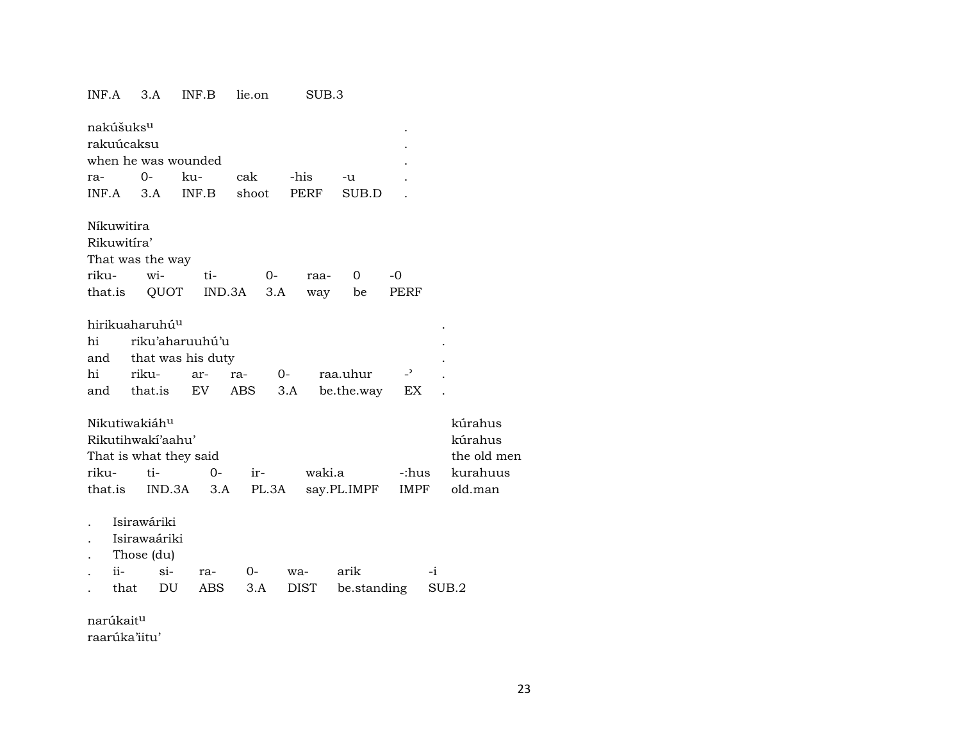#### INF.A 3.A INF.B lie.on SUB.3

| nakúšuks <sup>u</sup><br>rakuúcaksu           |                                                           | when he was wounded                               |                        |             |                        |                      |             |
|-----------------------------------------------|-----------------------------------------------------------|---------------------------------------------------|------------------------|-------------|------------------------|----------------------|-------------|
| ra-                                           | $O -$                                                     | ku-                                               | cak                    | -his        | -u                     |                      |             |
| INF.A                                         | 3.A                                                       | INF.B                                             | shoot                  | PERF        | SUB.D                  |                      |             |
| Níkuwitira<br>Rikuwitira'<br>riku-<br>that.is | That was the way<br>wi-<br>QUOT                           | ti-                                               | $O -$<br>IND.3A<br>3.A | raa-<br>way | 0<br>be                | -0<br>PERF           |             |
| hi<br>and<br>hi<br>and                        | hirikuaharuhú <sup>u</sup><br>riku-<br>that.is            | riku'aharuuhú'u<br>that was his duty<br>ar-<br>EV | ra-<br>ABS             | $0-$<br>3.A | raa.uhur<br>be.the.way | $\overline{a}$<br>EX |             |
|                                               | Nikutiwakiáh <sup>u</sup>                                 |                                                   |                        |             |                        |                      | kúrahus     |
|                                               | Rikutihwakí'aahu'                                         |                                                   |                        |             |                        |                      | kúrahus     |
|                                               |                                                           | That is what they said                            |                        |             |                        |                      | the old men |
| riku-                                         | ti-                                                       | $0-$                                              | ir-                    | waki.a      |                        | -:hus                | kurahuus    |
| that.is                                       |                                                           | IND.3A<br>3.A                                     | PL.3A                  |             | say.PL.IMPF            | IMPF                 | old.man     |
| ii-<br>that                                   | Isirawáriki<br>Isirawaáriki<br>Those (du)<br>$\sin$<br>DU | ra-<br><b>ABS</b>                                 | $O -$<br>3.A           | wa-<br>DIST | arik<br>be.standing    | $-i$                 | SUB.2       |

narúkaitµ

raarúka'iitu'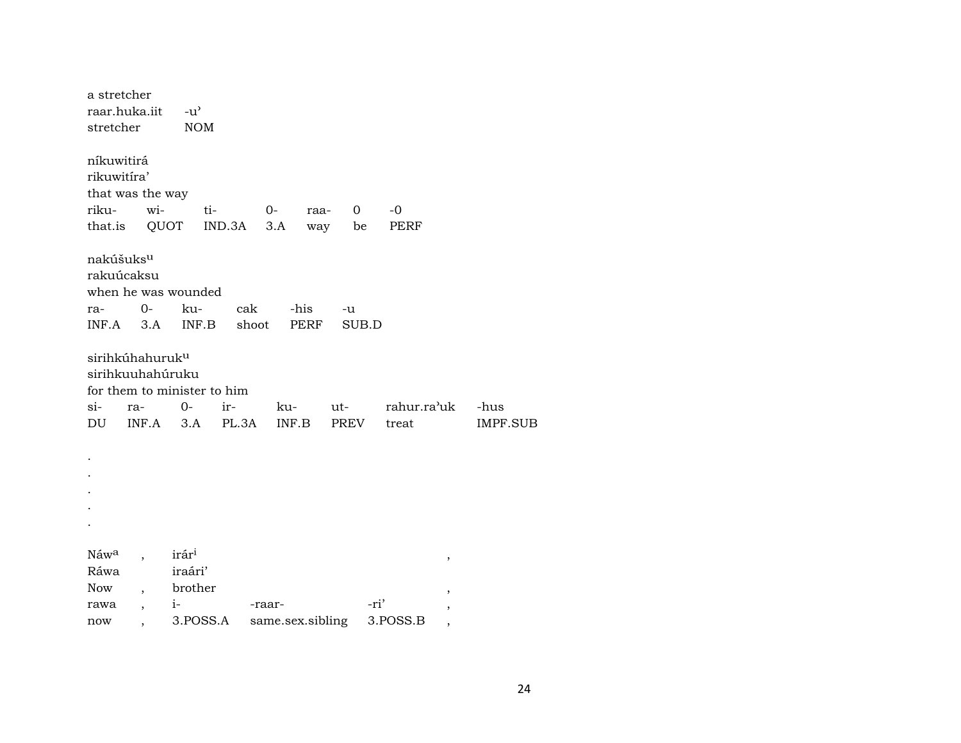| a stretcher           |                             |                             |        |                  |      |          |      |             |   |
|-----------------------|-----------------------------|-----------------------------|--------|------------------|------|----------|------|-------------|---|
|                       | raar.huka.iit               | $-u^{\prime}$               |        |                  |      |          |      |             |   |
| stretcher             |                             | <b>NOM</b>                  |        |                  |      |          |      |             |   |
|                       |                             |                             |        |                  |      |          |      |             |   |
| níkuwitirá            |                             |                             |        |                  |      |          |      |             |   |
| rikuwitíra'           |                             |                             |        |                  |      |          |      |             |   |
|                       | that was the way            |                             |        |                  |      |          |      |             |   |
| riku-                 | wi-                         | ti-                         |        | $O-$             | raa- | $\Omega$ |      | $-0$        |   |
| that.is               | QUOT                        |                             | IND.3A | 3.A              | way  | be       |      | PERF        |   |
|                       |                             |                             |        |                  |      |          |      |             |   |
| nakúšuks <sup>u</sup> |                             |                             |        |                  |      |          |      |             |   |
| rakuúcaksu            |                             |                             |        |                  |      |          |      |             |   |
|                       |                             | when he was wounded         |        |                  |      |          |      |             |   |
| ra-                   | $O -$                       | ku-                         | cak    |                  | -his | -u       |      |             |   |
|                       | $INF.A$ 3.A                 | INF.B                       | shoot  |                  | PERF | SUB.D    |      |             |   |
|                       |                             |                             |        |                  |      |          |      |             |   |
|                       | sirihkúhahuruk <sup>u</sup> |                             |        |                  |      |          |      |             |   |
|                       | sirihkuuhahúruku            |                             |        |                  |      |          |      |             |   |
|                       |                             | for them to minister to him |        |                  |      |          |      |             |   |
| si-                   | ra-                         | $0-$                        | ir-    | ku-              |      | ut-      |      | rahur.ra'uk |   |
| DU                    | $INF.A$ 3.A                 |                             | PL.3A  | INF.B            |      | PREV     |      | treat       |   |
|                       |                             |                             |        |                  |      |          |      |             |   |
|                       |                             |                             |        |                  |      |          |      |             |   |
|                       |                             |                             |        |                  |      |          |      |             |   |
|                       |                             |                             |        |                  |      |          |      |             |   |
|                       |                             |                             |        |                  |      |          |      |             |   |
|                       |                             |                             |        |                  |      |          |      |             |   |
|                       |                             |                             |        |                  |      |          |      |             |   |
| Náw <sup>a</sup>      |                             | irár <sup>i</sup>           |        |                  |      |          |      |             | , |
| Ráwa                  |                             | iraári'                     |        |                  |      |          |      |             |   |
| <b>Now</b>            |                             | brother                     |        |                  |      |          |      |             | , |
| rawa                  | $\overline{\phantom{a}}$    | $i-$                        |        | -raar-           |      |          | -ri' |             | , |
| now                   | ,                           | 3.POSS.A                    |        | same.sex.sibling |      |          |      | 3.POSS.B    | , |

-hus IMPF.SUB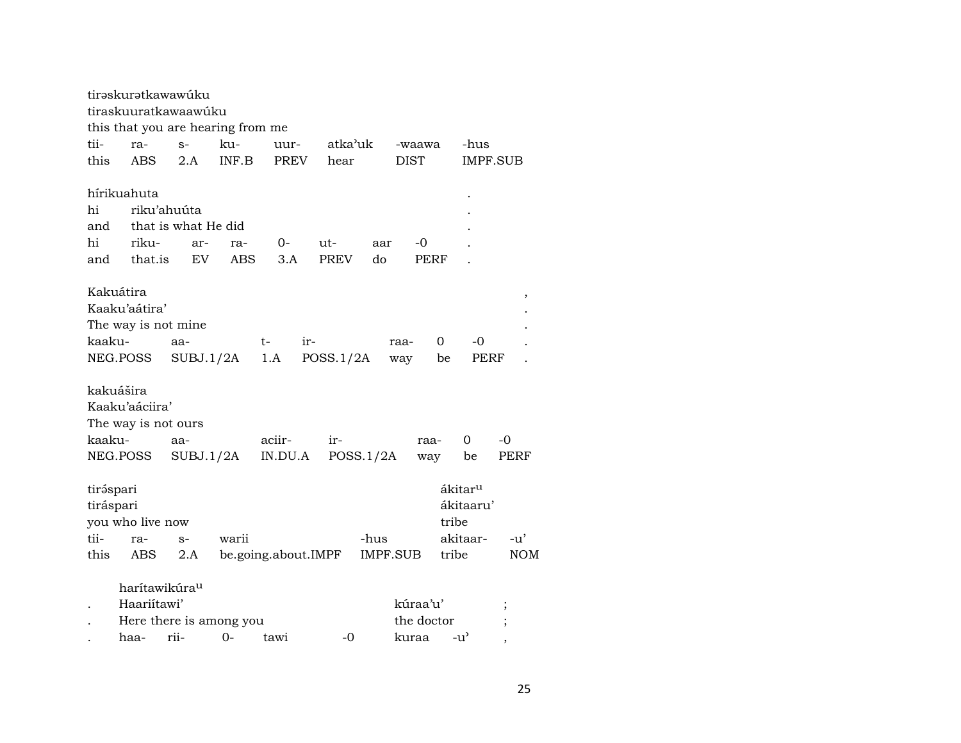|           |                  | tirəskurətkawawúku<br>tiraskuuratkawaawúku<br>this that you are hearing from me |       |                     |             |           |             |                     |            |
|-----------|------------------|---------------------------------------------------------------------------------|-------|---------------------|-------------|-----------|-------------|---------------------|------------|
| tii-      | ra-              | $S-$                                                                            | ku-   | uur-                | atka'uk     |           | -waawa      | -hus                |            |
| this      | ABS              | 2.A                                                                             | INF.B | <b>PREV</b>         | hear        |           | <b>DIST</b> |                     | IMPF.SUB   |
|           |                  |                                                                                 |       |                     |             |           |             |                     |            |
|           | hírikuahuta      |                                                                                 |       |                     |             |           |             |                     |            |
| hi        |                  | riku'ahuúta                                                                     |       |                     |             |           |             |                     |            |
| and       |                  | that is what He did                                                             |       |                     |             |           |             |                     |            |
| hi        | riku-            | ar-                                                                             | ra-   | 0-                  | ut-         | aar       | -0          |                     |            |
| and       | that.is          | EV.                                                                             | ABS   | 3.A                 | <b>PREV</b> | do        | PERF        |                     |            |
|           |                  |                                                                                 |       |                     |             |           |             |                     |            |
| Kakuátira |                  |                                                                                 |       |                     |             |           |             |                     |            |
|           | Kaaku'aátira'    |                                                                                 |       |                     |             |           |             |                     | ,          |
|           |                  |                                                                                 |       |                     |             |           |             |                     |            |
|           |                  | The way is not mine                                                             |       |                     |             |           |             |                     |            |
| kaaku-    |                  | aa-                                                                             |       | $t-$<br>ir-         |             | raa-      | 0           | -0                  |            |
|           | NEG.POSS         | SUBJ.1/2A                                                                       |       | 1.A                 | POSS.1/2A   | way       |             | PERF<br>be          |            |
|           |                  |                                                                                 |       |                     |             |           |             |                     |            |
| kakuášira |                  |                                                                                 |       |                     |             |           |             |                     |            |
|           | Kaaku'aáciira'   |                                                                                 |       |                     |             |           |             |                     |            |
|           |                  | The way is not ours                                                             |       |                     |             |           |             |                     |            |
| kaaku-    |                  | aa-                                                                             |       | aciir-              | ir-         |           | raa-        | 0                   | -0         |
|           | NEG.POSS         | SUBJ.1/2A                                                                       |       | IN.DU.A             |             | POSS.1/2A | way         | be                  | PERF       |
|           |                  |                                                                                 |       |                     |             |           |             |                     |            |
| tiráspari |                  |                                                                                 |       |                     |             |           |             | ákitar <sup>u</sup> |            |
| tiráspari |                  |                                                                                 |       |                     |             |           |             | ákitaaru'           |            |
|           | you who live now |                                                                                 |       |                     |             |           |             | tribe               |            |
| tii-      | ra-              | $S-$                                                                            | warii |                     |             | -hus      |             | akitaar-            | -u'        |
| this      | ABS              | 2.A                                                                             |       | be.going.about.IMPF |             | IMPF.SUB  |             | tribe               | <b>NOM</b> |
|           |                  |                                                                                 |       |                     |             |           |             |                     |            |
|           |                  | harítawikúra <sup>u</sup>                                                       |       |                     |             |           |             |                     |            |
|           | Haariitawi'      |                                                                                 |       |                     |             |           | kúraa'u'    |                     |            |
|           |                  | Here there is among you                                                         |       |                     |             |           | the doctor  |                     |            |
|           | haa-             | rii-                                                                            | 0-    | tawi                | -0          |           | kuraa       | -u'                 |            |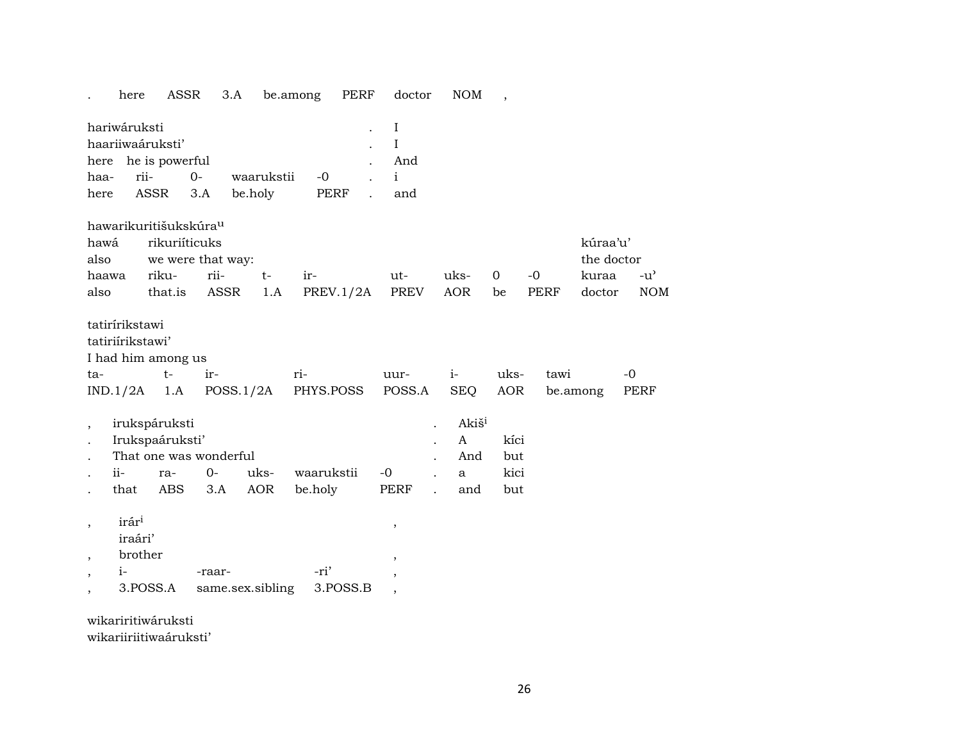|                                                       | here                                    | ASSR                                                                                        | 3.A                        |                       | be.among              | PERF      | doctor                               | NOM                                                  | $\overline{\phantom{a}}$   |                     |                                           |                             |
|-------------------------------------------------------|-----------------------------------------|---------------------------------------------------------------------------------------------|----------------------------|-----------------------|-----------------------|-----------|--------------------------------------|------------------------------------------------------|----------------------------|---------------------|-------------------------------------------|-----------------------------|
| hariwáruksti<br>haariiwaáruksti'<br>haa-<br>here      | rii-<br><b>ASSR</b>                     | here he is powerful<br>$0-$<br>3.A                                                          |                            | waarukstii<br>be.holy | $-0$<br><b>PERF</b>   |           | I<br>I<br>And<br>$\mathbf{i}$<br>and |                                                      |                            |                     |                                           |                             |
| hawá<br>also<br>haawa<br>also                         |                                         | hawarikuritišukskúra <sup>u</sup><br>rikuriíticuks<br>we were that way:<br>riku-<br>that.is | rii-<br>ASSR               | $t-$<br>1.A           | ir-                   | PREV.1/2A | ut-<br><b>PREV</b>                   | uks-<br><b>AOR</b>                                   | $\mathbf 0$<br>be          | $-0$<br><b>PERF</b> | kúraa'u'<br>the doctor<br>kuraa<br>doctor | $-u^{\prime}$<br><b>NOM</b> |
| tatirírikstawi<br>tatiriirikstawi'<br>ta-<br>IND.1/2A |                                         | I had him among us<br>$t-$<br>1.A                                                           | ir-<br>POSS.1/2A           |                       | ri-<br>PHYS.POSS      |           | uur-<br>POSS.A                       | $i-$<br><b>SEQ</b>                                   | uks-<br><b>AOR</b>         | tawi                | be.among                                  | $-0$<br>PERF                |
| ii-<br>that                                           |                                         | irukspáruksti<br>Irukspaáruksti'<br>That one was wonderful<br>ra-<br>ABS                    | $0-$<br>3.A                | uks-<br><b>AOR</b>    | waarukstii<br>be.holy |           | $-0$<br>PERF                         | Akiš <sup>i</sup><br>$\mathbf{A}$<br>And<br>a<br>and | kíci<br>but<br>kici<br>but |                     |                                           |                             |
| $^\mathrm{,}$<br>$^\mathrm{,}$<br>$i-$                | irári<br>iraári'<br>brother<br>3.POSS.A |                                                                                             | -raar-<br>same.sex.sibling |                       | -ri'                  | 3.POSS.B  | ,<br>$\,$<br>$\overline{ }$          |                                                      |                            |                     |                                           |                             |

wikariritiwáruksti

wikariiriitiwaáruksti'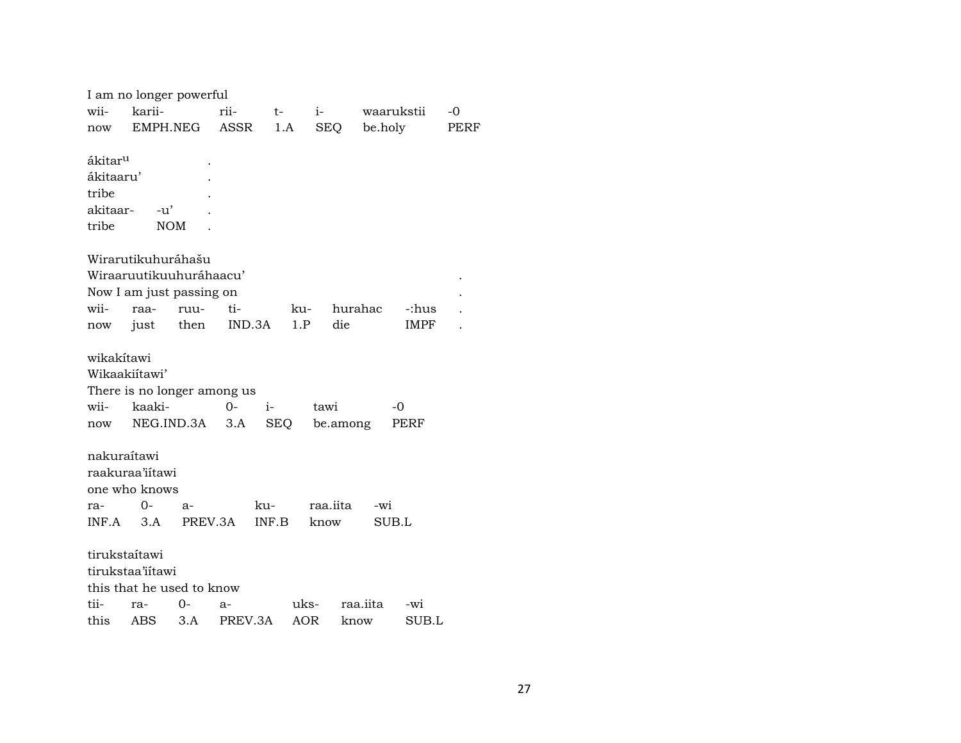|                     | I am no longer powerful     |          |         |       |      |            |          |             |      |
|---------------------|-----------------------------|----------|---------|-------|------|------------|----------|-------------|------|
| wii-                | karii-                      |          | rii-    | $t-$  |      | $i-$       |          | waarukstii  | -0   |
| now                 |                             | EMPH.NEG | ASSR    | 1.A   |      | <b>SEQ</b> | be.holy  |             | PERF |
|                     |                             |          |         |       |      |            |          |             |      |
| ákitar <sup>u</sup> |                             |          |         |       |      |            |          |             |      |
| ákitaaru'           |                             |          |         |       |      |            |          |             |      |
| tribe               |                             |          |         |       |      |            |          |             |      |
| akitaar-            | -u'                         |          |         |       |      |            |          |             |      |
| tribe               | <b>NOM</b>                  |          |         |       |      |            |          |             |      |
|                     | Wirarutikuhuráhašu          |          |         |       |      |            |          |             |      |
|                     | Wiraaruutikuuhuráhaacu'     |          |         |       |      |            |          |             |      |
|                     | Now I am just passing on    |          |         |       |      |            |          |             |      |
| wii-                | raa-                        | ruu-     | ti-     |       | ku-  | hurahac    |          | -:hus       |      |
| now                 | just                        | then     | IND.3A  |       | 1.P  | die        |          | <b>IMPF</b> |      |
|                     |                             |          |         |       |      |            |          |             |      |
| wikakítawi          |                             |          |         |       |      |            |          |             |      |
|                     | Wikaakiitawi'               |          |         |       |      |            |          |             |      |
|                     | There is no longer among us |          |         |       |      |            |          |             |      |
| wii-                | kaaki-                      |          | $0 -$   | $i-$  |      | tawi       |          | $-0$        |      |
| now                 | NEG.IND.3A                  |          | 3.A     | SEQ   |      | be.among   |          | PERF        |      |
|                     |                             |          |         |       |      |            |          |             |      |
| nakuraítawi         |                             |          |         |       |      |            |          |             |      |
|                     | raakuraa'iitawi             |          |         |       |      |            |          |             |      |
|                     | one who knows               |          |         |       |      |            |          |             |      |
| ra-                 | $0-$                        | a-       |         | ku-   |      | raa.iita   | -wi      |             |      |
| INF.A               | 3.A                         | PREV.3A  |         | INF.B |      | know       |          | SUB.L       |      |
|                     |                             |          |         |       |      |            |          |             |      |
|                     | tirukstaítawi               |          |         |       |      |            |          |             |      |
|                     | tirukstaa'iitawi            |          |         |       |      |            |          |             |      |
|                     | this that he used to know   |          |         |       |      |            |          |             |      |
| tii-                | ra-                         | 0-       | a-      |       | uks- |            | raa.iita | $-wi$       |      |
| this                | ABS                         | 3.A      | PREV.3A |       | AOR  | know       |          | SUB.L       |      |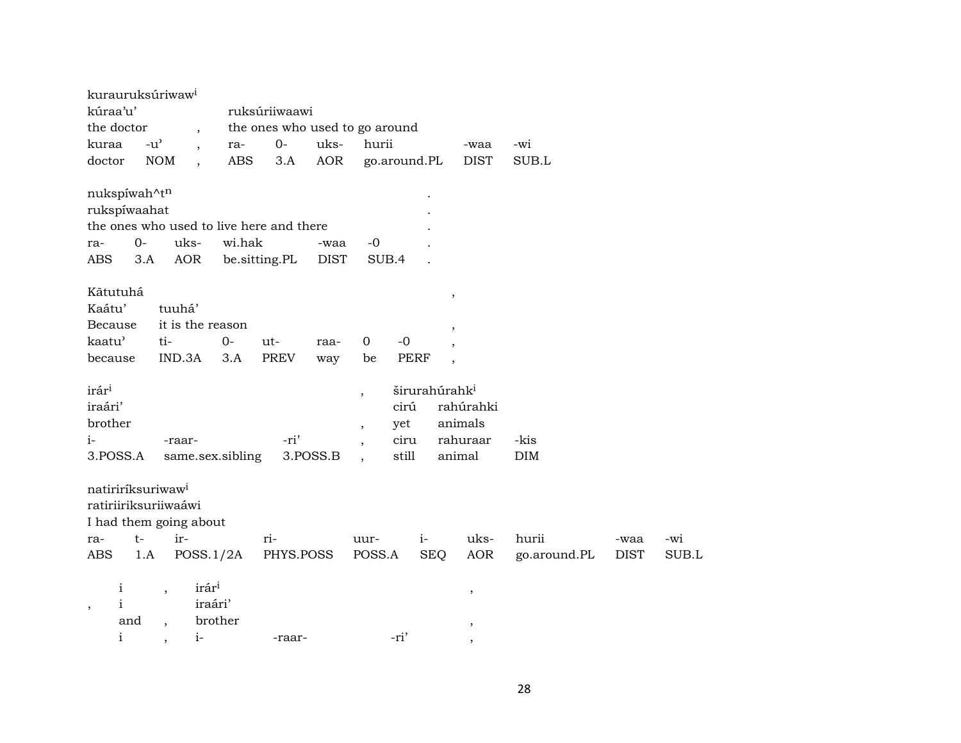| kurauruksúriwaw <sup>i</sup><br>kúraa'u'<br>the doctor<br>kuraa<br>doctor                                           | $\overline{\phantom{a}}$<br>$-u^{\prime}$<br>$\overline{\phantom{a}}$<br><b>NOM</b><br>$\overline{\phantom{a}}$ | ra-<br><b>ABS</b>       | ruksúriiwaawi<br>the ones who used to go around<br>$0-$<br>3.A | uks-<br>AOR         | hurii             |                              | go.around.PL                                   | -waa<br><b>DIST</b>                        | -wi<br>SUB.L          |                     |              |
|---------------------------------------------------------------------------------------------------------------------|-----------------------------------------------------------------------------------------------------------------|-------------------------|----------------------------------------------------------------|---------------------|-------------------|------------------------------|------------------------------------------------|--------------------------------------------|-----------------------|---------------------|--------------|
| nukspíwah^tn<br>rukspíwaahat<br>the ones who used to live here and there<br>$O -$<br>ra-<br>ABS<br>3.A              | uks-<br>AOR                                                                                                     | wi.hak<br>be.sitting.PL |                                                                | -waa<br><b>DIST</b> | -0<br>SUB.4       |                              |                                                |                                            |                       |                     |              |
| Kãtutuhá<br>Kaátu'<br>Because<br>kaatu'<br>because                                                                  | tuuhá'<br>it is the reason<br>ti-<br>IND.3A                                                                     | $0-$<br>3.A             | ut-<br><b>PREV</b>                                             | raa-<br>way         | $\mathbf 0$<br>be | $-0$<br><b>PERF</b>          | $^\mathrm{,}$<br>,<br>$\overline{\phantom{a}}$ |                                            |                       |                     |              |
| irár <sup>i</sup><br>iraári'<br>brother<br>i-<br>3.POSS.A                                                           | -raar-<br>same.sex.sibling                                                                                      |                         | -ri'                                                           | 3.POSS.B            |                   | cirú<br>yet<br>ciru<br>still | širurahúrahk <sup>i</sup>                      | rahúrahki<br>animals<br>rahuraar<br>animal | -kis<br><b>DIM</b>    |                     |              |
| natiriríksuriwaw <sup>i</sup><br>ratiriiriksuriiwaáwi<br>I had them going about<br>$t-$<br>ra-<br><b>ABS</b><br>1.A | ir-<br>POSS.1/2A                                                                                                |                         | ri-<br>PHYS.POSS                                               |                     | uur-<br>POSS.A    |                              | $i-$<br><b>SEQ</b>                             | uks-<br>AOR                                | hurii<br>go.around.PL | -waa<br><b>DIST</b> | -wi<br>SUB.L |
| $\mathbf{i}$<br>$\mathbf{i}$<br>$\cdot$<br>and<br>$\mathbf{i}$                                                      | irár <sup>i</sup><br>$\, ,$<br>iraári'<br>$i-$                                                                  | brother                 | -raar-                                                         |                     |                   | -ri'                         |                                                | ,<br>,                                     |                       |                     |              |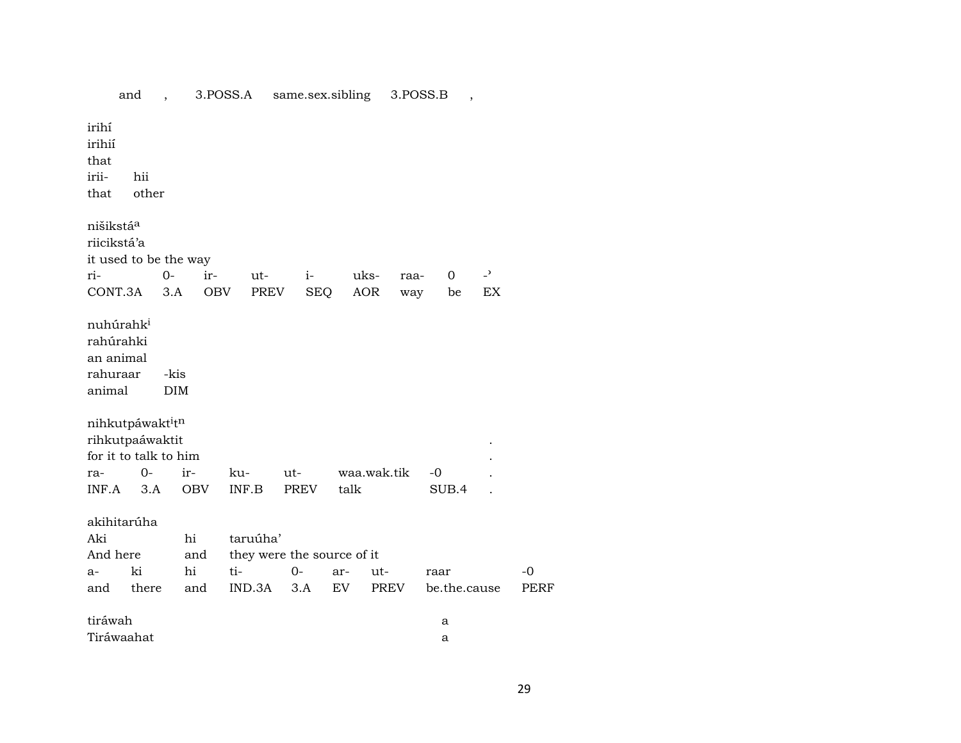|                                                                       |              |                    |     |                                                         |             | -------------- |           |             |      |      |              |                |                     |
|-----------------------------------------------------------------------|--------------|--------------------|-----|---------------------------------------------------------|-------------|----------------|-----------|-------------|------|------|--------------|----------------|---------------------|
| irihí<br>irihií<br>that<br>irii-<br>that                              | hii<br>other |                    |     |                                                         |             |                |           |             |      |      |              |                |                     |
| nišikstá <sup>a</sup><br>riicikstá'a<br>it used to be the way         |              |                    |     |                                                         |             |                |           |             |      |      |              |                |                     |
| ri-                                                                   |              | $O -$              | ir- | ut-                                                     |             | $i-$           |           | uks-        | raa- |      | 0            | $\overline{a}$ |                     |
| CONT.3A                                                               |              | 3.A                | OBV | PREV                                                    |             | <b>SEQ</b>     |           | AOR         | way  |      | be           | EX             |                     |
| nuhúrahk <sup>i</sup><br>rahúrahki<br>an animal<br>rahuraar<br>animal |              | -kis<br><b>DIM</b> |     |                                                         |             |                |           |             |      |      |              |                |                     |
| nihkutpáwaktitn                                                       |              |                    |     |                                                         |             |                |           |             |      |      |              |                |                     |
| rihkutpaáwaktit                                                       |              |                    |     |                                                         |             |                |           |             |      |      |              |                |                     |
| for it to talk to him                                                 |              |                    |     |                                                         |             |                |           |             |      |      |              |                |                     |
| ra-                                                                   | $O -$        | ir-                |     | ku-                                                     | ut-         |                |           | waa.wak.tik |      | $-0$ |              |                |                     |
| INF.A                                                                 | 3.A          | <b>OBV</b>         |     | INF.B                                                   | PREV        |                | talk      |             |      |      | SUB.4        |                |                     |
| akihitarúha<br>Aki<br>And here<br>$a-$<br>and                         | ki           | hi<br>hi           | and | taruúha'<br>they were the source of it<br>ti-<br>IND.3A | $0-$<br>3.A |                | ar-<br>EV | ut-<br>PREV |      | raar | be.the.cause |                | $-0$<br><b>PERF</b> |
|                                                                       | there        | and                |     |                                                         |             |                |           |             |      |      |              |                |                     |
| tiráwah                                                               |              |                    |     |                                                         |             |                |           |             |      | a    |              |                |                     |
| Tiráwaahat                                                            |              |                    |     |                                                         |             |                |           |             |      | a    |              |                |                     |
|                                                                       |              |                    |     |                                                         |             |                |           |             |      |      |              |                |                     |

and, 3.POSS.A same.sex.sibling 3.POSS.B,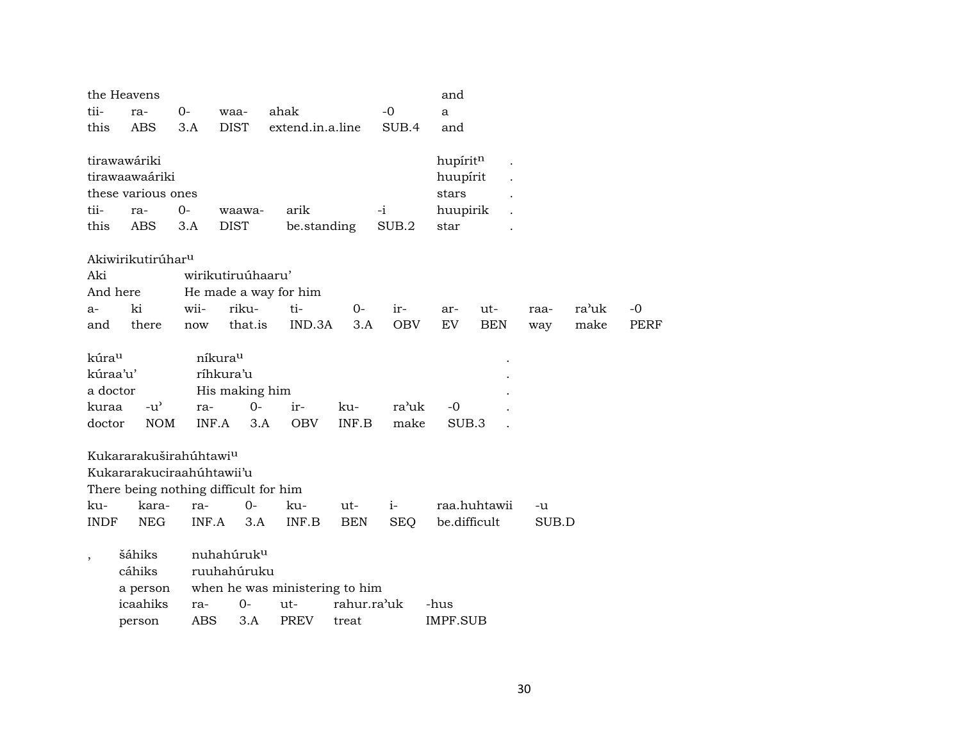|                          | the Heavens                           |            |                       |                                |             |            | and               |              |       |       |             |
|--------------------------|---------------------------------------|------------|-----------------------|--------------------------------|-------------|------------|-------------------|--------------|-------|-------|-------------|
| tii-                     | ra-                                   | $0-$       | waa-                  | ahak                           |             | $-0$       | $\mathbf{a}$      |              |       |       |             |
| this                     | <b>ABS</b>                            | 3.A        | <b>DIST</b>           | extend.in.a.line               |             | SUB.4      | and               |              |       |       |             |
|                          |                                       |            |                       |                                |             |            |                   |              |       |       |             |
|                          | tirawawáriki<br>tirawaawaáriki        |            |                       |                                |             |            | hupíritn          |              |       |       |             |
|                          | these various ones                    |            |                       |                                |             |            | huupírit<br>stars |              |       |       |             |
| tii-                     | ra-                                   | $0-$       |                       | arik                           |             | $-i$       |                   |              |       |       |             |
| this                     | <b>ABS</b>                            | 3.A        | waawa-<br><b>DIST</b> | be.standing                    |             | SUB.2      | huupirik<br>star  |              |       |       |             |
|                          |                                       |            |                       |                                |             |            |                   |              |       |       |             |
|                          | Akiwirikutirúhar <sup>u</sup>         |            |                       |                                |             |            |                   |              |       |       |             |
| Aki                      |                                       |            | wirikutiruúhaaru'     |                                |             |            |                   |              |       |       |             |
|                          | And here                              |            |                       | He made a way for him          |             |            |                   |              |       |       |             |
| $a-$                     | ki                                    | wii-       | riku-                 | ti-                            | $0-$        | ir-        | ar-               | ut-          | raa-  | ra'uk | $-0$        |
| and                      | there                                 | now        | that.is               | IND.3A                         | 3.A         | <b>OBV</b> | EV                | <b>BEN</b>   | way   | make  | <b>PERF</b> |
|                          |                                       |            |                       |                                |             |            |                   |              |       |       |             |
| kúra <sup>u</sup>        |                                       |            | níkura <sup>u</sup>   |                                |             |            |                   |              |       |       |             |
| kúraa'u'                 |                                       |            | ríhkura'u             |                                |             |            |                   |              |       |       |             |
| a doctor                 |                                       |            | His making him        |                                |             |            |                   |              |       |       |             |
| kuraa                    | $-u^{\prime}$                         | ra-        | $0-$                  | ir-                            | ku-         | ra'uk      | $-0$              |              |       |       |             |
| doctor                   | <b>NOM</b>                            |            | INF.A<br>3.A          | <b>OBV</b>                     | INF.B       | make       | SUB.3             |              |       |       |             |
|                          | Kukararakuširahúhtawi <sup>u</sup>    |            |                       |                                |             |            |                   |              |       |       |             |
|                          | Kukararakuciraahúhtawii'u             |            |                       |                                |             |            |                   |              |       |       |             |
|                          | There being nothing difficult for him |            |                       |                                |             |            |                   |              |       |       |             |
| ku-                      | kara-                                 | ra-        | $0-$                  | ku-                            | ut-         | $i-$       |                   | raa.huhtawii | -u    |       |             |
| <b>INDF</b>              | <b>NEG</b>                            | INF.A      | 3.A                   | INF.B                          | <b>BEN</b>  | <b>SEQ</b> | be.difficult      |              | SUB.D |       |             |
|                          |                                       |            |                       |                                |             |            |                   |              |       |       |             |
| $\overline{\phantom{a}}$ | šáhiks                                |            | nuhahúruku            |                                |             |            |                   |              |       |       |             |
|                          | cáhiks                                |            | ruuhahúruku           |                                |             |            |                   |              |       |       |             |
|                          | a person                              |            |                       | when he was ministering to him |             |            |                   |              |       |       |             |
|                          | icaahiks                              | ra-        | $0-$                  | ut-                            | rahur.ra'uk |            | -hus              |              |       |       |             |
|                          | person                                | <b>ABS</b> | 3.A                   | <b>PREV</b>                    | treat       |            | <b>IMPF.SUB</b>   |              |       |       |             |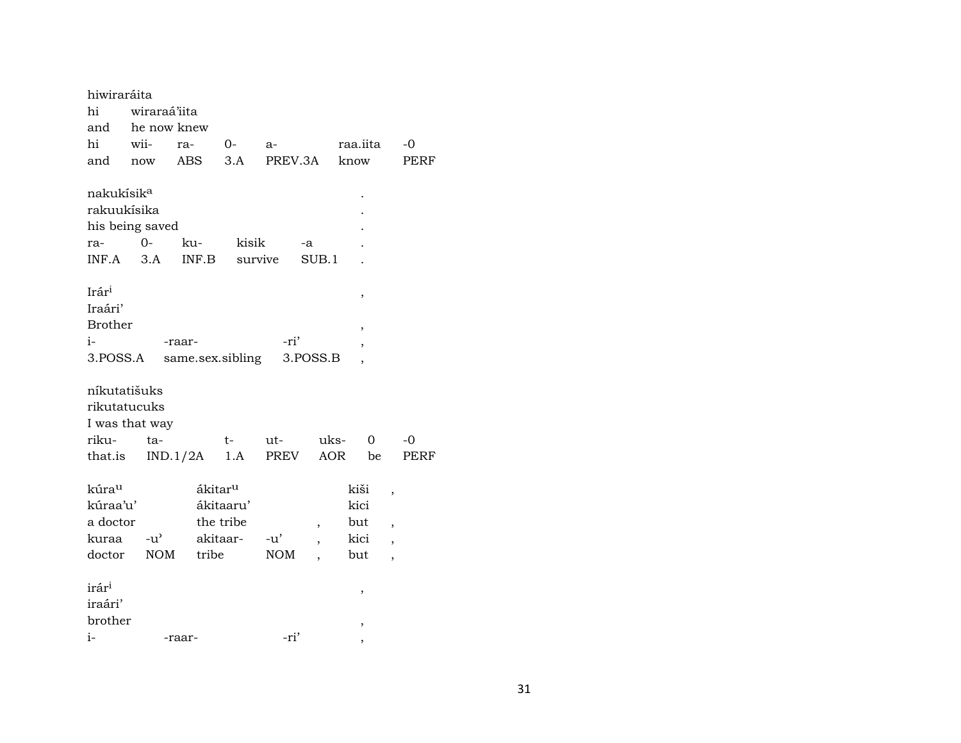| hiwiraráita                                                      |                             |                              |                                    |                             |          |                                    |                                                                |
|------------------------------------------------------------------|-----------------------------|------------------------------|------------------------------------|-----------------------------|----------|------------------------------------|----------------------------------------------------------------|
| hi                                                               | wiraraá'iita                |                              |                                    |                             |          |                                    |                                                                |
| and                                                              | he now knew                 |                              |                                    |                             |          |                                    |                                                                |
| hi                                                               | wii-                        | ra-                          | $O-$                               | a-                          |          | raa.iita                           | $-0$                                                           |
| and                                                              | now                         | <b>ABS</b>                   | 3.A                                | PREV.3A                     |          | know                               | PERF                                                           |
| nakukísik <sup>a</sup><br>rakuukísika                            | his being saved             |                              |                                    |                             |          |                                    |                                                                |
| ra-                                                              | $0 -$                       | ku-                          | kisik                              |                             | -a       |                                    |                                                                |
| INF.A                                                            | 3.A                         | INF.B                        |                                    | survive                     | SUB.1    |                                    |                                                                |
| Irár <sup>i</sup><br>Iraári'<br><b>Brother</b><br>i-<br>3.POSS.A |                             | -raar-<br>same.sex.sibling   |                                    | -ri'                        | 3.POSS.B | ,<br>,                             |                                                                |
| níkutatišuks<br>rikutatucuks                                     | I was that way              |                              |                                    |                             |          |                                    |                                                                |
| riku-                                                            | ta-                         |                              | t-                                 | ut-                         | uks-     | 0                                  | $-0$                                                           |
| that.is                                                          |                             | $IND.1/2A$ 1.A               |                                    | PREV                        | AOR      | be                                 | <b>PERF</b>                                                    |
| kúrau<br>kúraa'u'<br>a doctor<br>kuraa<br>doctor                 | $-u^{\prime}$<br><b>NOM</b> | ákitar <sup>u</sup><br>tribe | ákitaaru'<br>the tribe<br>akitaar- | $-u^{\prime}$<br><b>NOM</b> | ,        | kiši<br>kici<br>but<br>kici<br>but | ,<br>$\overline{\phantom{a}}$<br>$\overline{\phantom{a}}$<br>, |
| irár <sup>i</sup><br>iraári'<br>brother<br>$i-$                  |                             | -raar-                       |                                    | -ri'                        |          | ,<br>,<br>,                        |                                                                |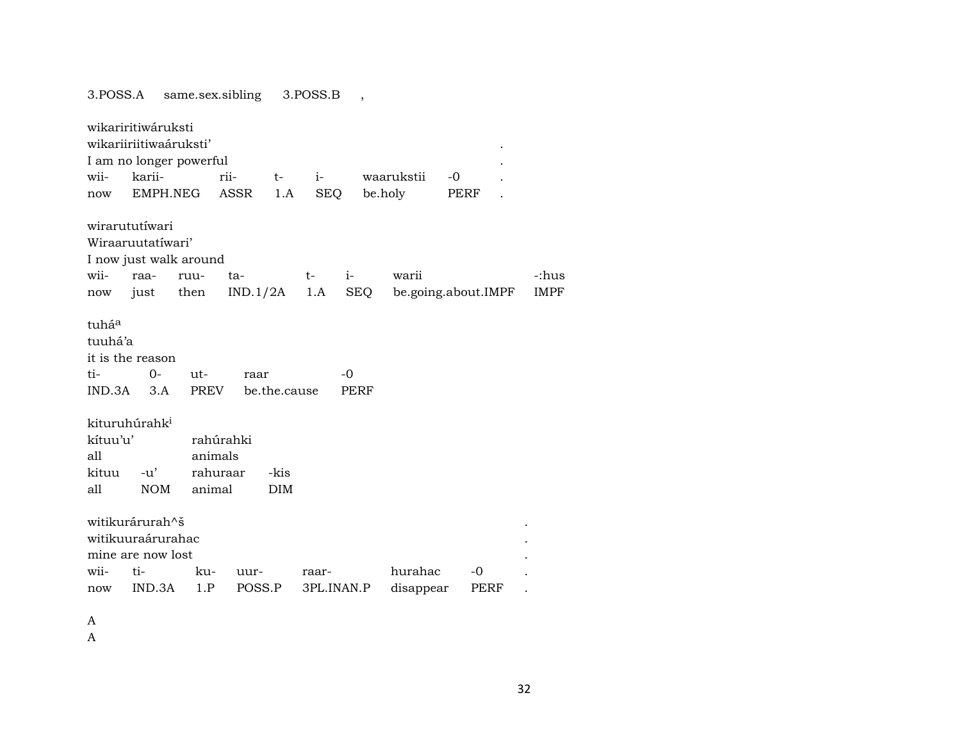3.POSS.A same.sex.sibling 3.POSS.B ,

|          | wikariritiwáruksti        |         |               |              |                |      |            |      |                     |             |
|----------|---------------------------|---------|---------------|--------------|----------------|------|------------|------|---------------------|-------------|
|          | wikariiriitiwaáruksti'    |         |               |              |                |      |            |      |                     |             |
|          | I am no longer powerful   |         |               |              |                |      |            |      |                     |             |
| wii-     | karii-                    |         | rii-          | $t-$         | $i$ - $\sim$   |      | waarukstii | $-0$ |                     |             |
| now      |                           |         | EMPH.NEG ASSR | 1.A          | SEQ            |      | be.holy    | PERF |                     |             |
|          | wirarututíwari            |         |               |              |                |      |            |      |                     |             |
|          | Wiraaruutatíwari'         |         |               |              |                |      |            |      |                     |             |
|          |                           |         |               |              |                |      |            |      |                     |             |
|          | I now just walk around    |         |               |              |                |      |            |      |                     |             |
| wii-     | raa-                      | ruu-    | ta-           |              | $t-$           | $i-$ | warii      |      |                     | -:hus       |
| now      | just then                 |         |               |              | $IND.1/2A$ 1.A | SEQ  |            |      | be.going.about.IMPF | <b>IMPF</b> |
| tuháa    |                           |         |               |              |                |      |            |      |                     |             |
| tuuhá'a  |                           |         |               |              |                |      |            |      |                     |             |
|          | it is the reason          |         |               |              |                |      |            |      |                     |             |
| ti-      | $0-$                      | $ut -$  | raar          |              |                | $-0$ |            |      |                     |             |
| IND.3A   | 3.A                       | PREV    |               | be.the.cause |                | PERF |            |      |                     |             |
|          |                           |         |               |              |                |      |            |      |                     |             |
|          | kituruhúrahk <sup>i</sup> |         |               |              |                |      |            |      |                     |             |
| kítuu'u' |                           |         | rahúrahki     |              |                |      |            |      |                     |             |
| all      |                           | animals |               |              |                |      |            |      |                     |             |
| kituu    | $-u'$                     |         | rahuraar      | -kis         |                |      |            |      |                     |             |
| all      | <b>NOM</b>                | animal  |               | <b>DIM</b>   |                |      |            |      |                     |             |
|          |                           |         |               |              |                |      |            |      |                     |             |
|          | witikurárurah^š           |         |               |              |                |      |            |      |                     |             |
|          | witikuuraárurahac         |         |               |              |                |      |            |      |                     |             |
|          | mine are now lost         |         |               |              |                |      |            |      |                     |             |
| wii-     | ti-                       | ku-     | uur-          |              | raar-          |      | hurahac    |      | -0                  |             |
| now      | IND.3A                    | 1.P     | POSS.P        |              | 3PL.INAN.P     |      | disappear  |      | PERF                |             |
|          |                           |         |               |              |                |      |            |      |                     |             |

A

A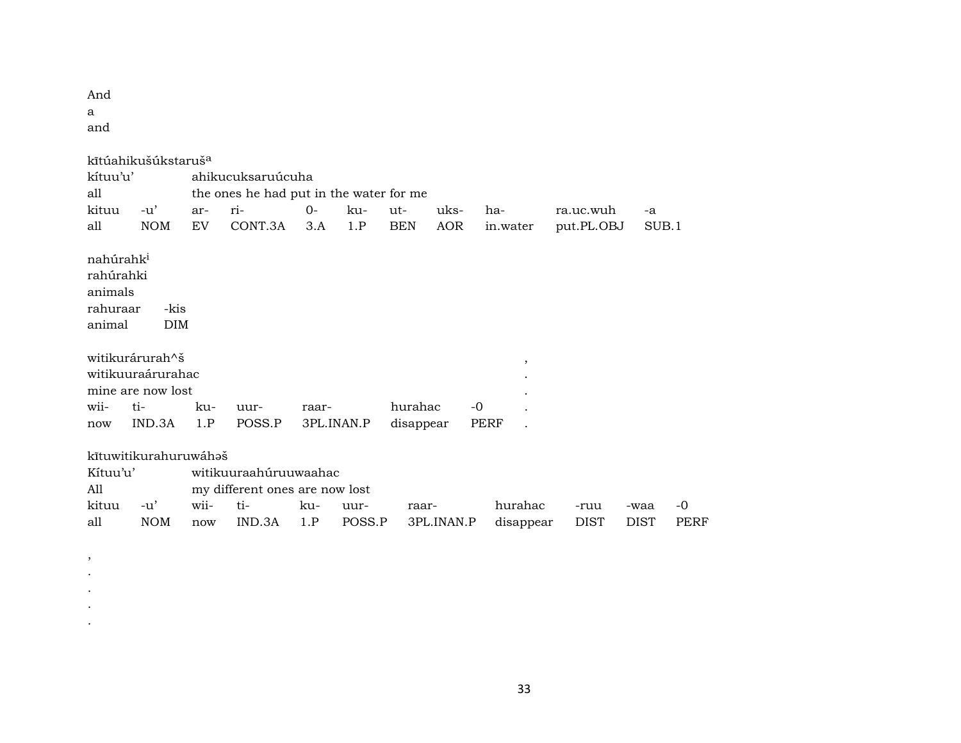And a

and

, . . . .

|                                                                     | kītúahikušúkstaruš <sup>a</sup> |      |                                         |            |        |            |            |      |                          |             |             |      |
|---------------------------------------------------------------------|---------------------------------|------|-----------------------------------------|------------|--------|------------|------------|------|--------------------------|-------------|-------------|------|
| kítuu'u'                                                            |                                 |      | ahikucuksaruúcuha                       |            |        |            |            |      |                          |             |             |      |
| all                                                                 |                                 |      | the ones he had put in the water for me |            |        |            |            |      |                          |             |             |      |
| kituu                                                               | $-u'$                           | ar-  | ri-                                     | $O-$       | ku-    | ut-        | uks-       | ha-  |                          | ra.uc.wuh   | $-a$        |      |
| all                                                                 | <b>NOM</b>                      | EV   | CONT.3A                                 | 3.A        | 1.P    | <b>BEN</b> | AOR        |      | in.water                 | put.PL.OBJ  | SUB.1       |      |
| nahúrahk <sup>i</sup><br>rahúrahki<br>animals<br>rahuraar<br>animal | -kis<br><b>DIM</b>              |      |                                         |            |        |            |            |      |                          |             |             |      |
|                                                                     | witikurárurah^š                 |      |                                         |            |        |            |            |      |                          |             |             |      |
|                                                                     | witikuuraárurahac               |      |                                         |            |        |            |            |      | $\overline{\phantom{a}}$ |             |             |      |
|                                                                     | mine are now lost               |      |                                         |            |        |            |            |      |                          |             |             |      |
| wii-                                                                | ti-                             | ku-  | uur-                                    | raar-      |        | hurahac    |            | $-0$ |                          |             |             |      |
| now                                                                 | IND.3A                          | 1.P  | POSS.P                                  | 3PL.INAN.P |        | disappear  |            | PERF |                          |             |             |      |
|                                                                     |                                 |      |                                         |            |        |            |            |      |                          |             |             |      |
|                                                                     | kītuwitikurahuruwáhəš           |      |                                         |            |        |            |            |      |                          |             |             |      |
| Kítuu'u'                                                            |                                 |      | witikuuraahúruuwaahac                   |            |        |            |            |      |                          |             |             |      |
| A11                                                                 |                                 |      | my different ones are now lost          |            |        |            |            |      |                          |             |             |      |
| kituu                                                               | $-u'$                           | wii- | ti-                                     | ku-        | uur-   | raar-      |            |      | hurahac                  | -ruu        | -waa        | -0   |
| all                                                                 | <b>NOM</b>                      | now  | IND.3A                                  | 1.P        | POSS.P |            | 3PL.INAN.P |      | disappear                | <b>DIST</b> | <b>DIST</b> | PERF |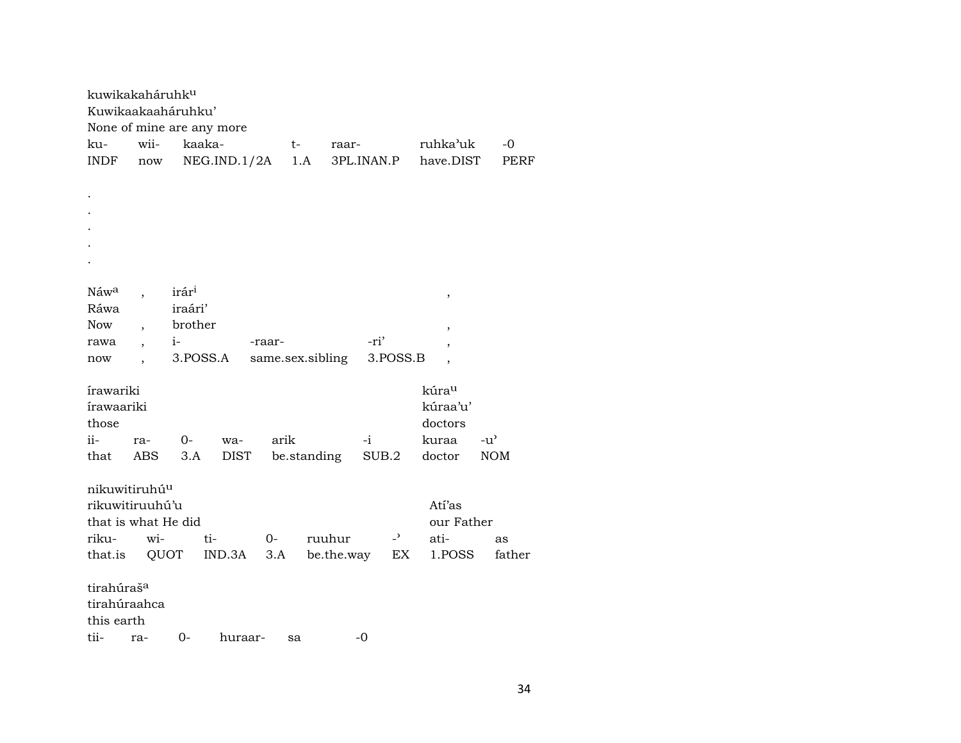| kuwikakaháruhk <sup>u</sup> |                          |                   |             |                  |             |            |       |                          |                          |               |
|-----------------------------|--------------------------|-------------------|-------------|------------------|-------------|------------|-------|--------------------------|--------------------------|---------------|
| Kuwikaakaaháruhku'          |                          |                   |             |                  |             |            |       |                          |                          |               |
| None of mine are any more   |                          |                   |             |                  |             |            |       |                          |                          |               |
| ku-                         | wii-                     | kaaka-            |             |                  | t-          | raar-      |       |                          | ruhka'uk                 | -0            |
| INDF                        | $\operatorname{now}$     |                   | NEG.ID.1/2A |                  | 1.A         | 3PL.INAN.P |       |                          | have.DIST                | PERF          |
|                             |                          |                   |             |                  |             |            |       |                          |                          |               |
|                             |                          |                   |             |                  |             |            |       |                          |                          |               |
|                             |                          |                   |             |                  |             |            |       |                          |                          |               |
|                             |                          |                   |             |                  |             |            |       |                          |                          |               |
|                             |                          |                   |             |                  |             |            |       |                          |                          |               |
|                             |                          |                   |             |                  |             |            |       |                          |                          |               |
|                             |                          |                   |             |                  |             |            |       |                          |                          |               |
| Náwa                        |                          | irár <sup>i</sup> |             |                  |             |            |       |                          | $\, ,$                   |               |
| Ráwa                        |                          | iraári'           |             |                  |             |            |       |                          |                          |               |
| <b>Now</b>                  | $\overline{\phantom{a}}$ | brother           |             |                  |             |            |       |                          |                          |               |
| rawa                        | $\overline{ }$           | $i-$              |             | -raar-           |             |            | -ri'  |                          | ,                        |               |
| now                         |                          | 3.POSS.A          |             | same.sex.sibling |             |            |       | 3.POSS.B                 | $\,$                     |               |
|                             |                          |                   |             |                  |             |            |       |                          | $\overline{\phantom{a}}$ |               |
| írawariki                   |                          |                   |             |                  |             |            |       |                          | kúrau                    |               |
| írawaariki                  |                          |                   |             |                  |             |            |       |                          | kúraa'u'                 |               |
| those                       |                          |                   |             |                  |             |            |       |                          | doctors                  |               |
| ii-                         |                          |                   |             |                  |             |            |       |                          |                          |               |
|                             | ra-                      | 0-                | wa-         | arik             |             |            | -i    |                          | kuraa                    | $-u^{\prime}$ |
| that                        | <b>ABS</b>               | 3.A               | <b>DIST</b> |                  | be.standing |            | SUB.2 |                          | doctor                   | <b>NOM</b>    |
|                             |                          |                   |             |                  |             |            |       |                          |                          |               |
| nikuwitiruhú <sup>u</sup>   |                          |                   |             |                  |             |            |       |                          |                          |               |
| rikuwitiruuhú'u             |                          |                   |             |                  |             |            |       |                          | Atí'as                   |               |
| that is what He did         |                          |                   |             |                  |             |            |       |                          | our Father               |               |
| riku-                       | wi-                      |                   | ti-         | 0-               |             | ruuhur     |       | $\overline{\phantom{0}}$ | ati-                     | as            |
| that.is                     | QUOT                     |                   | IND.3A      | 3.A              |             | be.the.way |       | EX                       | 1.POSS                   | father        |
|                             |                          |                   |             |                  |             |            |       |                          |                          |               |
| tirahúraš <sup>a</sup>      |                          |                   |             |                  |             |            |       |                          |                          |               |
| tirahúraahca                |                          |                   |             |                  |             |            |       |                          |                          |               |
| this earth                  |                          |                   |             |                  |             |            |       |                          |                          |               |
| tii-                        | ra-                      | $0-$              | huraar-     |                  | sa          |            | $-0$  |                          |                          |               |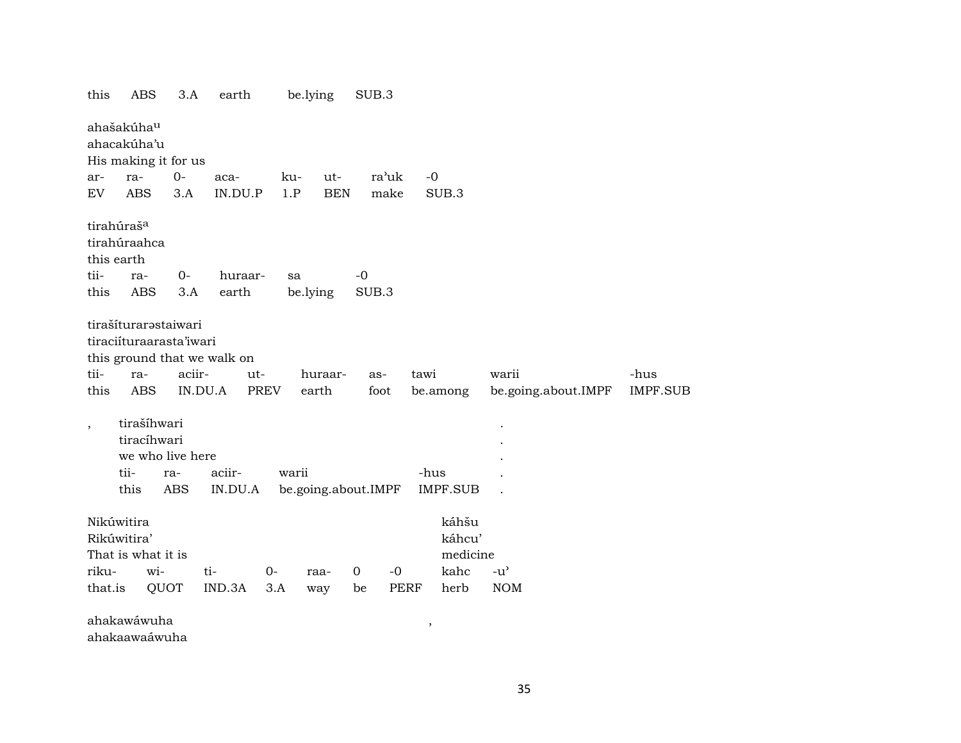| ahašakúha <sup>u</sup><br>ahacakúha'u<br>His making it for us<br>ra'uk<br>$0-$<br>ut-<br>$-0$<br>ra-<br>ku-<br>ar-<br>aca-<br><b>ABS</b><br>IN.DU.P<br>1.P<br><b>BEN</b><br>make<br>SUB.3<br>EV<br>3.A<br>tirahúraš <sup>a</sup><br>tirahúraahca<br>this earth<br>tii-<br>$0-$<br>$-0$<br>huraar-<br>ra-<br>sa<br><b>ABS</b><br>this<br>earth<br>be.lying<br>SUB.3<br>3.A<br>tirašíturarastaiwari<br>tiraciíturaarasta'iwari<br>this ground that we walk on<br>tii-<br>aciir-<br>tawi<br>-hus<br>ut-<br>huraar-<br>warii<br>ra-<br>as-<br>this<br>ABS<br>IN.DU.A<br>be.going.about.IMPF<br>PREV<br>earth<br>foot<br>be.among<br>tirašíhwari<br>$\overline{\phantom{a}}$<br>tiracíhwari<br>we who live here<br>tii-<br>aciir-<br>warii<br>-hus<br>ra-<br><b>IMPF.SUB</b><br>this<br>ABS<br>IN.DU.A<br>be.going.about.IMPF<br>káhšu<br>Nikúwitira<br>Rikúwitira'<br>káhcu'<br>That is what it is<br>medicine<br>kahc<br>riku-<br>wi-<br>ti-<br>$\mathbf 0$<br>$-0$<br>$-u^{\prime}$<br>$0-$<br>raa-<br>IND.3A<br><b>NOM</b><br>that.is<br>QUOT<br>3.A<br>PERF<br>herb<br>be<br>way | this | ABS | 3.A | earth | be.lying | SUB.3 |  |                 |
|----------------------------------------------------------------------------------------------------------------------------------------------------------------------------------------------------------------------------------------------------------------------------------------------------------------------------------------------------------------------------------------------------------------------------------------------------------------------------------------------------------------------------------------------------------------------------------------------------------------------------------------------------------------------------------------------------------------------------------------------------------------------------------------------------------------------------------------------------------------------------------------------------------------------------------------------------------------------------------------------------------------------------------------------------------------------------------|------|-----|-----|-------|----------|-------|--|-----------------|
|                                                                                                                                                                                                                                                                                                                                                                                                                                                                                                                                                                                                                                                                                                                                                                                                                                                                                                                                                                                                                                                                                  |      |     |     |       |          |       |  |                 |
|                                                                                                                                                                                                                                                                                                                                                                                                                                                                                                                                                                                                                                                                                                                                                                                                                                                                                                                                                                                                                                                                                  |      |     |     |       |          |       |  |                 |
|                                                                                                                                                                                                                                                                                                                                                                                                                                                                                                                                                                                                                                                                                                                                                                                                                                                                                                                                                                                                                                                                                  |      |     |     |       |          |       |  | <b>IMPF.SUB</b> |
|                                                                                                                                                                                                                                                                                                                                                                                                                                                                                                                                                                                                                                                                                                                                                                                                                                                                                                                                                                                                                                                                                  |      |     |     |       |          |       |  |                 |
|                                                                                                                                                                                                                                                                                                                                                                                                                                                                                                                                                                                                                                                                                                                                                                                                                                                                                                                                                                                                                                                                                  |      |     |     |       |          |       |  |                 |

ahakawáwuha , ahakaawaáwuha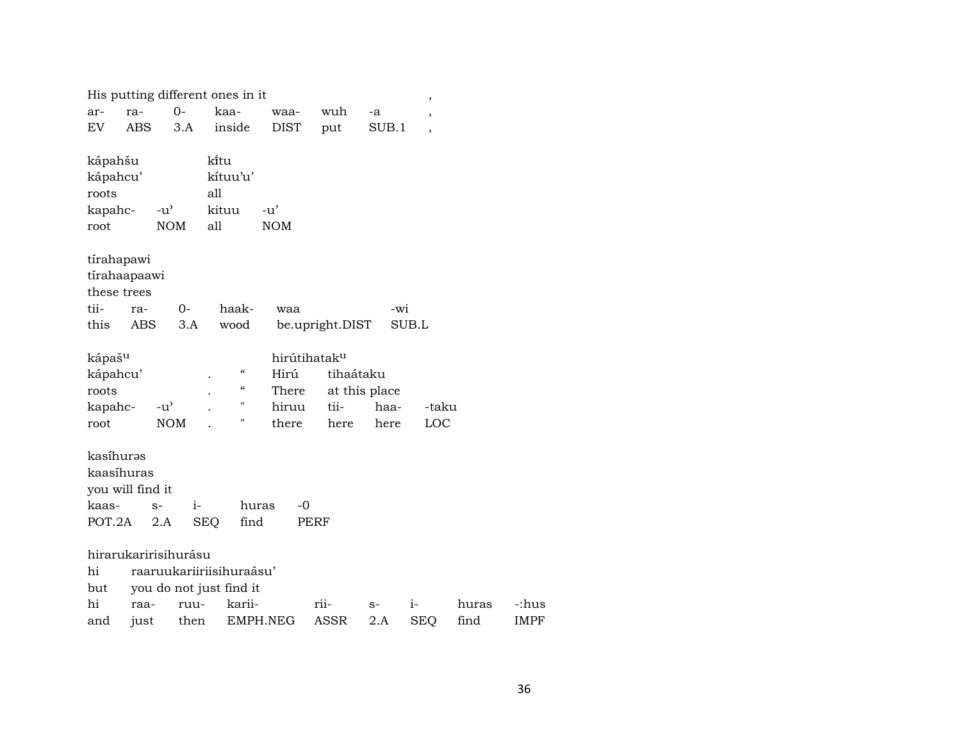|                     |                  |                      | His putting different ones in it |               |                 |               | $\,$           |       |             |
|---------------------|------------------|----------------------|----------------------------------|---------------|-----------------|---------------|----------------|-------|-------------|
| ar-                 | ra-              | $0-$                 | kaa-                             | waa-          | wuh             | -a            | $\overline{ }$ |       |             |
| EV                  | <b>ABS</b>       | 3.A                  | inside                           | <b>DIST</b>   | put             | SUB.1         | $\overline{ }$ |       |             |
|                     |                  |                      |                                  |               |                 |               |                |       |             |
| kápahšu<br>kápahcu' |                  |                      | kītu<br>kítuu'u'                 |               |                 |               |                |       |             |
| roots               |                  |                      | all                              |               |                 |               |                |       |             |
| kapahc-             |                  | $-u^{\prime}$        | kituu                            | $-u'$         |                 |               |                |       |             |
| root                |                  | <b>NOM</b>           | all                              | <b>NOM</b>    |                 |               |                |       |             |
|                     |                  |                      |                                  |               |                 |               |                |       |             |
|                     | tírahapawi       |                      |                                  |               |                 |               |                |       |             |
|                     | tírahaapaawi     |                      |                                  |               |                 |               |                |       |             |
|                     | these trees      |                      |                                  |               |                 |               |                |       |             |
| tii-                | ra-              | $0-$                 | haak-                            | waa           |                 | -wi           |                |       |             |
| this                | ABS              | 3.A                  | wood                             |               | be.upright.DIST |               | SUB.L          |       |             |
|                     |                  |                      |                                  |               |                 |               |                |       |             |
| kápaš <sup>u</sup>  |                  |                      |                                  | hirútihataku  |                 |               |                |       |             |
| kápahcu'            |                  |                      | $\mathcal{C}\mathcal{C}$         | Hirú          | tihaátaku       |               |                |       |             |
| roots               |                  |                      | $\mathcal{C}\mathcal{C}$         | There         |                 | at this place |                |       |             |
| kapahc-             |                  | $-u^{\prime}$        | Н<br>н                           | hiruu         | tii-            | haa-          | -taku          |       |             |
| root                |                  | <b>NOM</b>           |                                  | there         | here            | here          | LOC            |       |             |
| kasíhuras           |                  |                      |                                  |               |                 |               |                |       |             |
|                     | kaasíhuras       |                      |                                  |               |                 |               |                |       |             |
|                     | you will find it |                      |                                  |               |                 |               |                |       |             |
| kaas-               |                  | $i-$<br>$S-$         |                                  | $-0$<br>huras |                 |               |                |       |             |
| POT.2A              |                  | 2.A                  | <b>SEQ</b><br>find               |               | PERF            |               |                |       |             |
|                     |                  |                      |                                  |               |                 |               |                |       |             |
|                     |                  | hirarukaririsihurásu |                                  |               |                 |               |                |       |             |
| hi                  |                  |                      | raaruukariiriisihuraásu'         |               |                 |               |                |       |             |
| but                 |                  |                      | you do not just find it          |               |                 |               |                |       |             |
| hi                  | raa-             | ruu-                 | karii-                           |               | rii-            | $S-$          | $i-$           | huras | -:hus       |
| and                 | just             | then                 |                                  | EMPH.NEG      | <b>ASSR</b>     | 2.A           | <b>SEQ</b>     | find  | <b>IMPF</b> |
|                     |                  |                      |                                  |               |                 |               |                |       |             |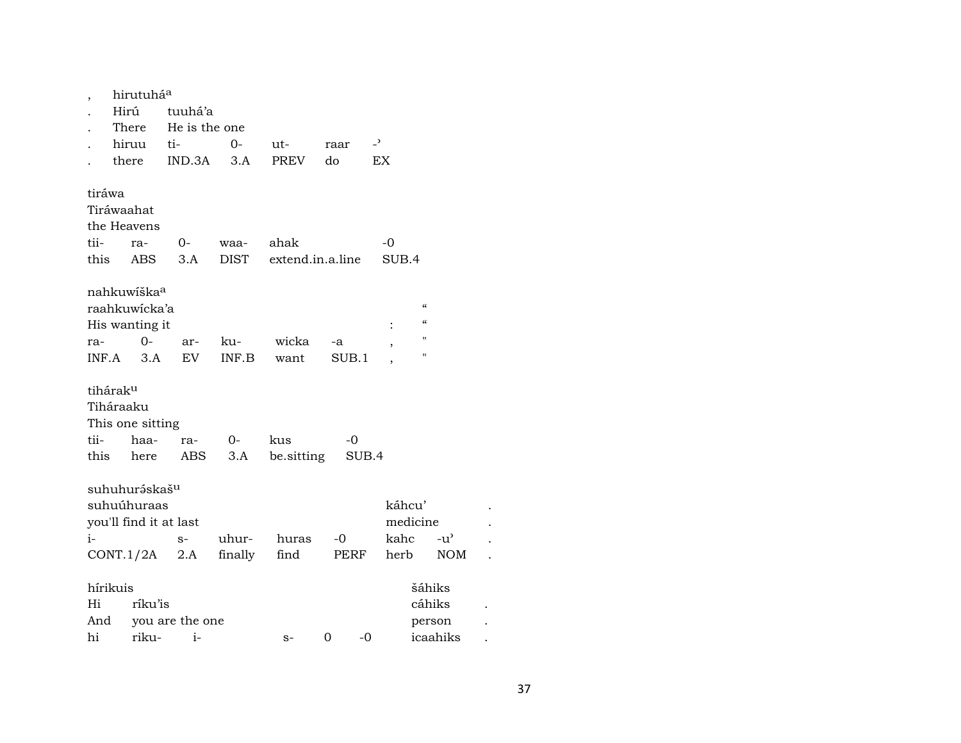| ,                    | hirutuhá <sup>a</sup>     |                       |       |                  |       |                |                                        |  |
|----------------------|---------------------------|-----------------------|-------|------------------|-------|----------------|----------------------------------------|--|
|                      | Hirú                      | tuuhá'a               |       |                  |       |                |                                        |  |
|                      | There                     | He is the one         |       |                  |       |                |                                        |  |
|                      | hiruu                     | ti-                   | $0-$  | ut-              | raar  | $\overline{a}$ |                                        |  |
|                      | there                     | IND.3A                | 3.A   | <b>PREV</b>      | do    | EX             |                                        |  |
|                      |                           |                       |       |                  |       |                |                                        |  |
| tiráwa               |                           |                       |       |                  |       |                |                                        |  |
|                      | Tiráwaahat                |                       |       |                  |       |                |                                        |  |
|                      | the Heavens               |                       |       |                  |       |                |                                        |  |
| tii-                 | ra-                       | 0-                    | waa-  | ahak             |       | -0             |                                        |  |
|                      | this ABS                  | 3.A                   | DIST  | extend.in.a.line |       | SUB.4          |                                        |  |
|                      |                           |                       |       |                  |       |                |                                        |  |
|                      | nahkuwíška <sup>a</sup>   |                       |       |                  |       |                |                                        |  |
|                      | raahkuwicka'a             |                       |       |                  |       |                | $\epsilon$                             |  |
|                      |                           |                       |       |                  |       |                | $\boldsymbol{\zeta}\boldsymbol{\zeta}$ |  |
|                      | His wanting it<br>$0-$    |                       |       |                  |       | $\ddot{\cdot}$ | П                                      |  |
| ra-                  |                           | ar-                   | ku-   | wicka            | -a    | ,              | п                                      |  |
| INF.A                | 3.A                       | EV                    | INF.B | want             | SUB.1 |                |                                        |  |
|                      |                           |                       |       |                  |       |                |                                        |  |
| tihárak <sup>u</sup> |                           |                       |       |                  |       |                |                                        |  |
|                      | Tiháraaku                 |                       |       |                  |       |                |                                        |  |
|                      | This one sitting          |                       |       |                  |       |                |                                        |  |
| tii-                 | haa-                      | ra-                   | 0-    | kus              | -0    |                |                                        |  |
| this                 | here                      | ABS                   | 3.A   | be.sitting       |       | SUB.4          |                                        |  |
|                      |                           |                       |       |                  |       |                |                                        |  |
|                      | suhuhuráskaš <sup>u</sup> |                       |       |                  |       |                |                                        |  |
|                      | suhuúhuraas               |                       |       |                  |       | káhcu'         |                                        |  |
|                      | you'll find it at last    |                       |       |                  |       | medicine       |                                        |  |
| $i-$                 |                           | $S-$                  | uhur- | huras            | -0    | kahc           | $-u'$                                  |  |
|                      |                           | CONT.1/2A 2.A finally |       | find             | PERF  | herb           | <b>NOM</b>                             |  |
|                      |                           |                       |       |                  |       |                |                                        |  |
| hírikuis             |                           |                       |       |                  |       |                | šáhiks                                 |  |
| Hi                   | ríku'is                   |                       |       |                  |       |                | cáhiks                                 |  |
| And                  |                           | you are the one       |       |                  |       |                | person                                 |  |
| hi                   | riku-                     | $i-$                  |       | $S-$             | 0     | -0             | icaahiks                               |  |
|                      |                           |                       |       |                  |       |                |                                        |  |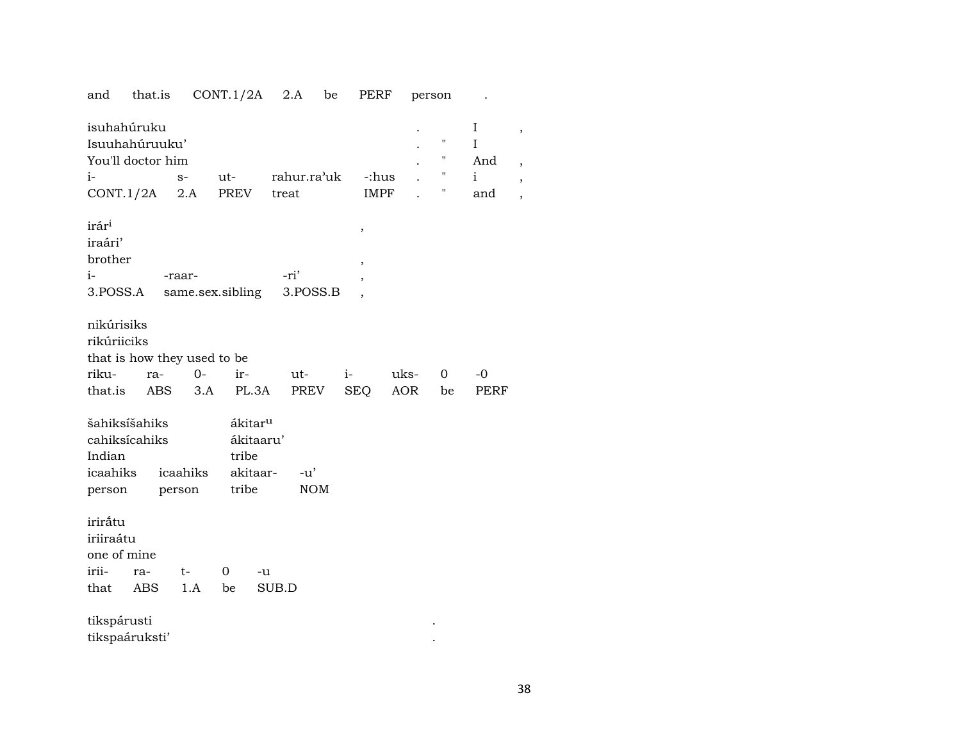| and                                                  | that.is                                                         |                    | CONT.1/2A                                                      | 2.A                  | be         | PERF                             |             | person                            |                                                   |  |
|------------------------------------------------------|-----------------------------------------------------------------|--------------------|----------------------------------------------------------------|----------------------|------------|----------------------------------|-------------|-----------------------------------|---------------------------------------------------|--|
| $i-$                                                 | isuhahúruku<br>Isuuhahúruuku'<br>You'll doctor him<br>CONT.1/2A | $S-$<br>2.A        | ut-<br>PREV                                                    | rahur.ra'uk<br>treat |            | -:hus<br><b>IMPF</b>             |             | н<br>"<br>$\pmb{\mathsf{H}}$<br>П | $\bf{I}$<br>$\rm I$<br>And<br>$\mathbf{i}$<br>and |  |
| irári<br>iraári'<br>brother<br>i-<br>3.POSS.A        |                                                                 | -raar-             | same.sex.sibling                                               | -ri'                 | 3.POSS.B   | $\,$<br>$\overline{\phantom{a}}$ |             |                                   |                                                   |  |
| nikúrisiks<br>rikúriiciks<br>riku-<br>that.is        | that is how they used to be<br>ra-<br>ABS                       | $0-$<br>3.A        | ir-<br>PL.3A                                                   | ut-<br>PREV          |            | $i-$<br>SEQ                      | uks-<br>AOR | $\overline{0}$<br>be              | $-0$<br>PERF                                      |  |
| Indian<br>icaahiks<br>person                         | šahiksíšahiks<br>cahiksícahiks                                  | icaahiks<br>person | ákitar <sup>u</sup><br>ákitaaru'<br>tribe<br>akitaar-<br>tribe | -u'                  | <b>NOM</b> |                                  |             |                                   |                                                   |  |
| iriråtu<br>iriiraátu<br>one of mine<br>irii-<br>that | ra-<br><b>ABS</b>                                               | $t-$<br>1.A        | 0<br>be                                                        | -u<br>SUB.D          |            |                                  |             |                                   |                                                   |  |
| tikspárusti                                          | tikspaáruksti'                                                  |                    |                                                                |                      |            |                                  |             |                                   |                                                   |  |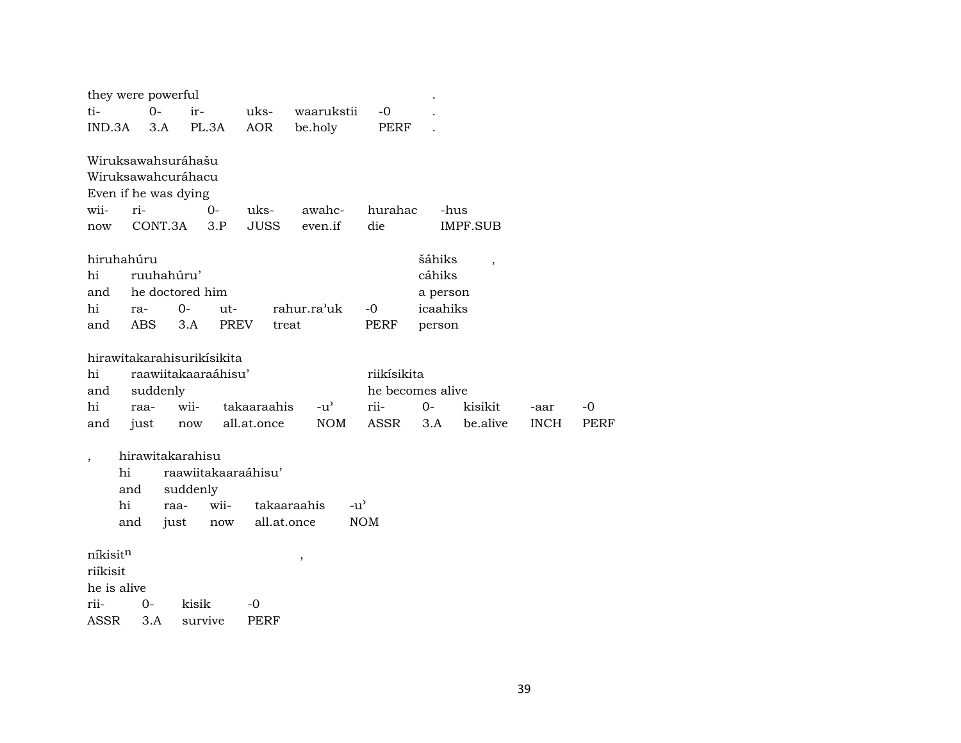|             |     |             | they were powerful   |                            |             |             |               |                  |                      |                          |             |             |
|-------------|-----|-------------|----------------------|----------------------------|-------------|-------------|---------------|------------------|----------------------|--------------------------|-------------|-------------|
| ti-         |     | $0-$        |                      | ir-                        | uks-        |             | waarukstii    | $-0$             |                      |                          |             |             |
| IND.3A      |     | 3.A         |                      | PL.3A                      | <b>AOR</b>  | be.holy     |               | <b>PERF</b>      |                      |                          |             |             |
|             |     |             |                      | Wiruksawahsuráhašu         |             |             |               |                  |                      |                          |             |             |
|             |     |             |                      | Wiruksawahcuráhacu         |             |             |               |                  |                      |                          |             |             |
|             |     |             | Even if he was dying |                            |             |             |               |                  |                      |                          |             |             |
| wii-        |     | ri-         |                      | $0-$                       | uks-        |             | awahc-        | hurahac          |                      | -hus                     |             |             |
| now         |     |             | CONT.3A              | 3.P                        | <b>JUSS</b> |             | even.if       | die              |                      | <b>IMPF.SUB</b>          |             |             |
| hiruhahúru  |     |             |                      |                            |             |             |               |                  | šáhiks               |                          |             |             |
| hi          |     |             | ruuhahúru'           |                            |             |             |               |                  | cáhiks               | $\overline{\phantom{a}}$ |             |             |
| and         |     |             |                      | he doctored him            |             |             |               |                  |                      |                          |             |             |
| hi          |     |             | $0-$                 | ut-                        |             | rahur.ra'uk |               | $-0$             | a person<br>icaahiks |                          |             |             |
|             |     | ra-<br>ABS. |                      |                            | PREV        |             |               |                  |                      |                          |             |             |
| and         |     |             | 3.A                  |                            | treat       |             |               | PERF             | person               |                          |             |             |
|             |     |             |                      | hirawitakarahisurikisikita |             |             |               |                  |                      |                          |             |             |
| hi          |     |             |                      | raawiitakaaraáhisu'        |             |             |               | riikísikita      |                      |                          |             |             |
| and         |     |             | suddenly             |                            |             |             |               | he becomes alive |                      |                          |             |             |
| hi          |     | raa-        |                      | wii-                       | takaaraahis |             | $-u^{\prime}$ | rii-             | $0 -$                | kisikit                  | -aar        | -0          |
| and         |     | just        |                      | now                        | all.at.once |             | <b>NOM</b>    | ASSR             | 3.A                  | be alive                 | <b>INCH</b> | <b>PERF</b> |
|             |     |             |                      |                            |             |             |               |                  |                      |                          |             |             |
|             |     |             |                      | hirawitakarahisu           |             |             |               |                  |                      |                          |             |             |
|             | hi  |             |                      | raawiitakaaraáhisu'        |             |             |               |                  |                      |                          |             |             |
|             | and |             |                      | suddenly                   |             |             |               |                  |                      |                          |             |             |
|             | hi  |             | raa-                 | wii-                       | takaaraahis |             | $-u^{\prime}$ |                  |                      |                          |             |             |
|             | and |             | just                 | now                        | all.at.once |             |               | <b>NOM</b>       |                      |                          |             |             |
|             |     |             |                      |                            |             |             |               |                  |                      |                          |             |             |
| níkisitn    |     |             |                      |                            |             | $\,$        |               |                  |                      |                          |             |             |
| riíkisit    |     |             |                      |                            |             |             |               |                  |                      |                          |             |             |
| he is alive |     |             |                      |                            |             |             |               |                  |                      |                          |             |             |
| rii-        |     | $0-$        |                      | kisik                      | -0          |             |               |                  |                      |                          |             |             |
| ASSR        |     | 3.A         |                      | survive                    | PERF        |             |               |                  |                      |                          |             |             |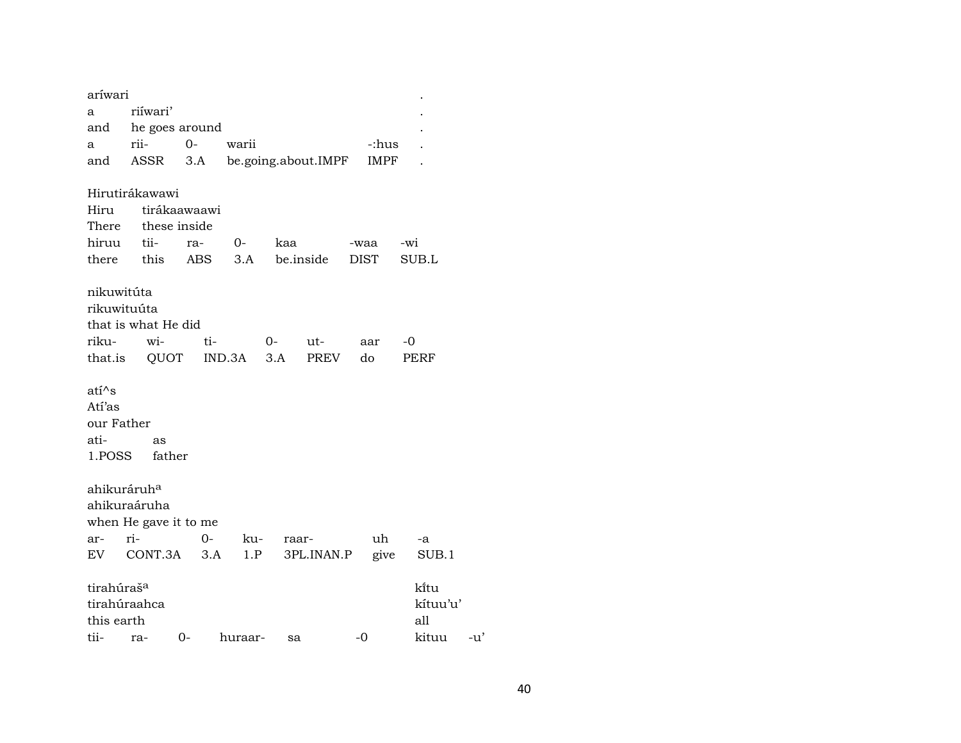| aríwari                                         |                                                         |                              |            |                     |                   |                                    |       |
|-------------------------------------------------|---------------------------------------------------------|------------------------------|------------|---------------------|-------------------|------------------------------------|-------|
| a                                               | riíwari'                                                |                              |            |                     |                   |                                    |       |
| and                                             | he goes around                                          |                              |            |                     |                   |                                    |       |
| a                                               | rii-                                                    | $0-$                         | warii      |                     |                   | -:hus                              |       |
| and                                             | ASSR                                                    | 3.A                          |            | be.going.about.IMPF |                   | <b>IMPF</b>                        |       |
| Hiru<br>There                                   | Hirutirákawawi                                          | tirákaawaawi<br>these inside |            |                     |                   |                                    |       |
|                                                 |                                                         |                              |            |                     |                   |                                    |       |
| hiruu                                           | tii-                                                    | ra-                          | $O-$       | kaa                 | -waa              | -wi                                |       |
| there                                           | this                                                    | ABS                          | 3.A        | be.inside           | <b>DIST</b>       | SUB.L                              |       |
| nikuwitúta<br>rikuwituúta<br>riku-<br>that.is   | that is what He did<br>wi-<br>QUOT                      | ti-                          | IND.3A     | 0-<br>ut-<br>3.A    | aar<br>PREV<br>do | -0<br>PERF                         |       |
| ati^s<br>Atí'as<br>our Father<br>ati-<br>1.POSS | as<br>father                                            |                              |            |                     |                   |                                    |       |
| ahikuráruh <sup>a</sup><br>ar-<br>EV.           | ahikuraáruha<br>when He gave it to me<br>ri-<br>CONT.3A | $0-$<br>3.A                  | ku-<br>1.P | raar-               | 3PL.INAN.P        | uh<br>-a<br>SUB.1<br>give          |       |
| tirahúraš <sup>a</sup><br>this earth<br>tii-    | tirahúraahca<br>ra-                                     | 0-                           | huraar-    | sa                  | -0                | ki̇̃tu<br>kítuu'u'<br>all<br>kituu | $-u'$ |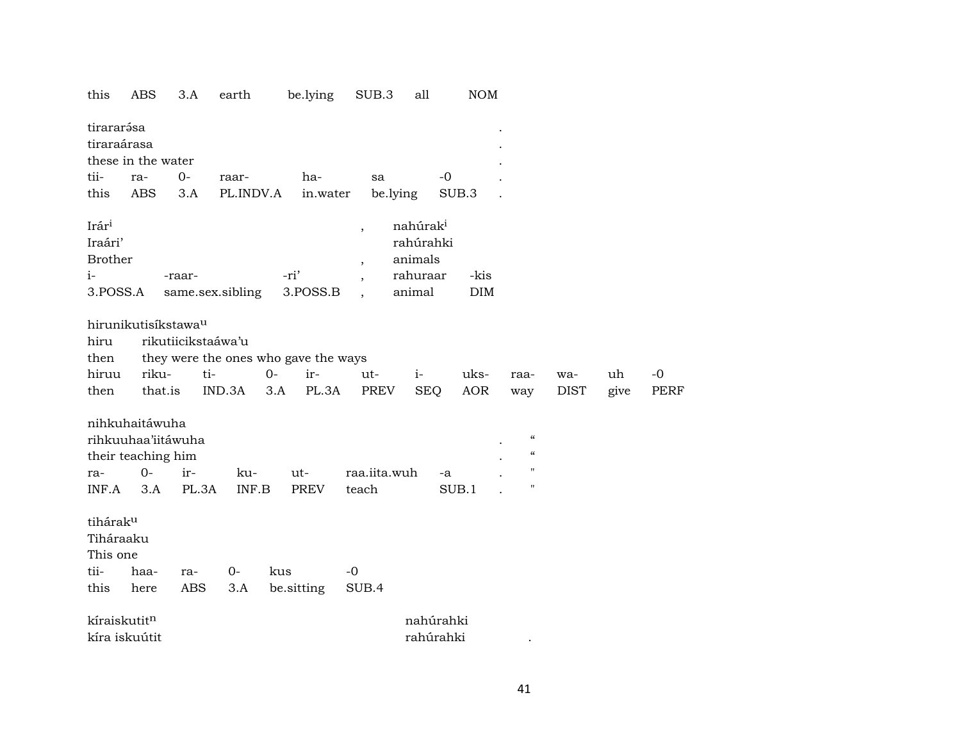| this                                                   | <b>ABS</b>                                                                 | 3.A                | earth            | be.lying                             | SUB.3                                                                            | all                                                                | <b>NOM</b>  |                                                                                  |             |      |             |
|--------------------------------------------------------|----------------------------------------------------------------------------|--------------------|------------------|--------------------------------------|----------------------------------------------------------------------------------|--------------------------------------------------------------------|-------------|----------------------------------------------------------------------------------|-------------|------|-------------|
| tirararása<br>tiraraárasa                              | these in the water                                                         |                    |                  |                                      |                                                                                  |                                                                    |             |                                                                                  |             |      |             |
| tii-                                                   |                                                                            | $0-$               |                  | ha-                                  |                                                                                  | $-0$                                                               |             |                                                                                  |             |      |             |
|                                                        | ra-                                                                        |                    | raar-            |                                      | sa                                                                               |                                                                    |             |                                                                                  |             |      |             |
| this                                                   | <b>ABS</b>                                                                 | 3.A                | PL.INDV.A        | in.water                             | be.lying                                                                         |                                                                    | SUB.3       |                                                                                  |             |      |             |
| Irári<br>Iraári'<br><b>Brother</b><br>$i-$<br>3.POSS.A |                                                                            | -raar-             | same.sex.sibling | -ri'<br>3.POSS.B                     | $\overline{\phantom{a}}$<br>$\overline{\phantom{a}}$<br>$\overline{\phantom{a}}$ | nahúrak <sup>i</sup><br>rahúrahki<br>animals<br>rahuraar<br>animal | -kis<br>DIM |                                                                                  |             |      |             |
|                                                        | hirunikutisíkstawa <sup>u</sup>                                            |                    |                  |                                      |                                                                                  |                                                                    |             |                                                                                  |             |      |             |
| hiru                                                   |                                                                            | rikutiicikstaáwa'u |                  |                                      |                                                                                  |                                                                    |             |                                                                                  |             |      |             |
| then                                                   |                                                                            |                    |                  | they were the ones who gave the ways |                                                                                  |                                                                    |             |                                                                                  |             |      |             |
| hiruu                                                  | riku-                                                                      | ti-                |                  | $0 -$<br>ir-                         | ut-                                                                              | $i-$                                                               | uks-        | raa-                                                                             | wa-         | uh   | $-0$        |
| then                                                   | that.is                                                                    |                    | IND.3A           | PL.3A<br>3.A                         | <b>PREV</b>                                                                      | <b>SEQ</b>                                                         | <b>AOR</b>  | way                                                                              | <b>DIST</b> | give | <b>PERF</b> |
| ra-<br>INF.A                                           | nihkuhaitáwuha<br>rihkuuhaa'iitáwuha<br>their teaching him<br>$0 -$<br>3.A | ir-<br>PL.3A       | ku-<br>INF.B     | ut-<br><b>PREV</b>                   | raa.iita.wuh<br>teach                                                            | -a                                                                 | SUB.1       | $\pmb{\zeta}\pmb{\zeta}$<br>$\pmb{\zeta}\pmb{\zeta}$<br>$\pmb{\mathsf{H}}$<br>11 |             |      |             |
| tiháraku<br>Tiháraaku<br>This one                      |                                                                            |                    |                  |                                      |                                                                                  |                                                                    |             |                                                                                  |             |      |             |
| tii-                                                   | haa-                                                                       | ra-                | $0-$             | kus                                  | $-0$                                                                             |                                                                    |             |                                                                                  |             |      |             |
| this                                                   | here                                                                       | ABS                | 3.A              | be.sitting                           | SUB.4                                                                            |                                                                    |             |                                                                                  |             |      |             |
| kíraiskutitn                                           |                                                                            |                    |                  |                                      |                                                                                  | nahúrahki                                                          |             |                                                                                  |             |      |             |
|                                                        | kíra iskuútit                                                              |                    |                  |                                      |                                                                                  | rahúrahki                                                          |             |                                                                                  |             |      |             |
|                                                        |                                                                            |                    |                  |                                      |                                                                                  |                                                                    |             |                                                                                  |             |      |             |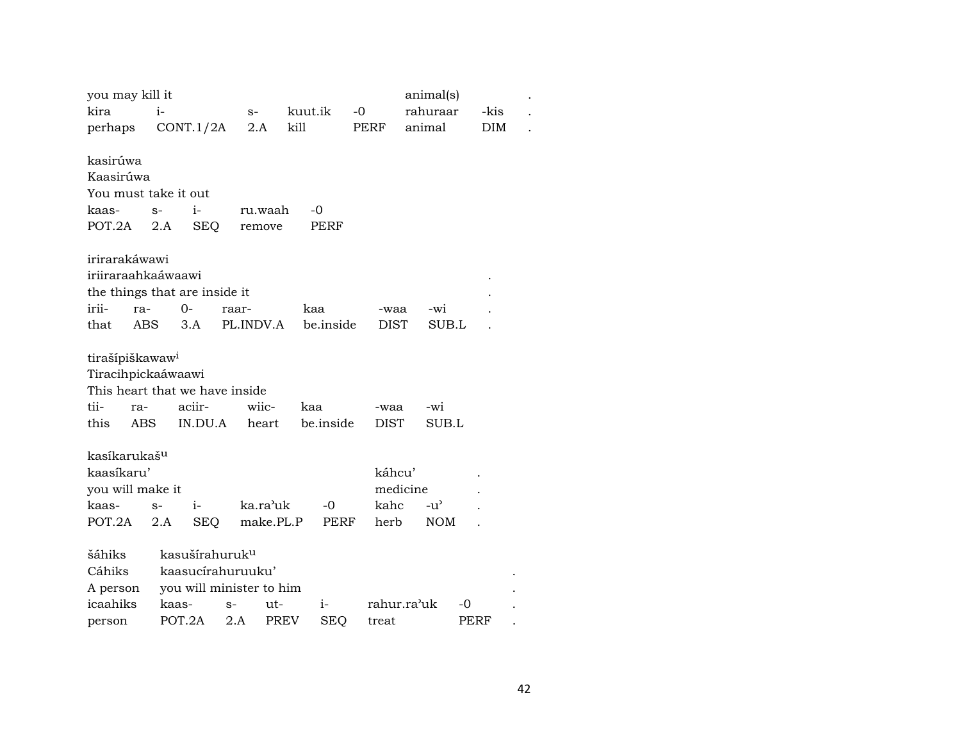| you may kill it<br>animal(s)                                                |  |
|-----------------------------------------------------------------------------|--|
| kira<br>$i-$<br>kuut.ik<br>$-0$<br>rahuraar<br>-kis<br>$S-$                 |  |
| kill<br>CONT.1/2A<br>2.A<br><b>PERF</b><br>animal<br><b>DIM</b><br>perhaps  |  |
|                                                                             |  |
| kasirúwa                                                                    |  |
| Kaasirúwa                                                                   |  |
| You must take it out                                                        |  |
| $i-$<br>-0<br>kaas-<br>$S-$<br>ru.waah                                      |  |
| POT.2A<br>2.A<br><b>SEQ</b><br>PERF<br>remove                               |  |
| irirarakáwawi                                                               |  |
| iriiraraahkaáwaawi                                                          |  |
| the things that are inside it                                               |  |
| irii-<br>0-<br>ra-<br>kaa<br>-wi<br>raar-<br>-waa                           |  |
| be.inside<br><b>ABS</b><br>3.A<br>PL.INDV.A<br>that<br><b>DIST</b><br>SUB.L |  |
|                                                                             |  |
| tirašípiškawaw <sup>i</sup>                                                 |  |
| Tiracihpickaáwaawi                                                          |  |
| This heart that we have inside                                              |  |
| tii-<br>aciir-<br>wiic-<br>kaa<br>-wi<br>ra-<br>-waa                        |  |
| this<br>IN.DU.A<br>be.inside<br>SUB.L<br>ABS<br>heart<br>DIST               |  |
|                                                                             |  |
| kasíkarukaš <sup>u</sup>                                                    |  |
| kaasíkaru'<br>káhcu'                                                        |  |
| medicine<br>you will make it                                                |  |
| ka.ra'uk<br>$-0$<br>kahc<br>$-u^{\prime}$<br>$i-$<br>kaas-<br>$S-$          |  |
| make.PL.P<br>POT.2A<br>2.A<br><b>SEQ</b><br>PERF<br>herb<br><b>NOM</b>      |  |
| šáhiks<br>kasušírahuruk <sup>u</sup>                                        |  |
| Cáhiks<br>kaasucirahuruuku'                                                 |  |
| you will minister to him<br>A person                                        |  |
| icaahiks<br>rahur.ra'uk<br>$i-$<br>$-0$<br>kaas-<br>ut-<br>$S-$             |  |
| POT.2A<br><b>PREV</b><br>2.A<br><b>SEQ</b><br>PERF<br>treat<br>person       |  |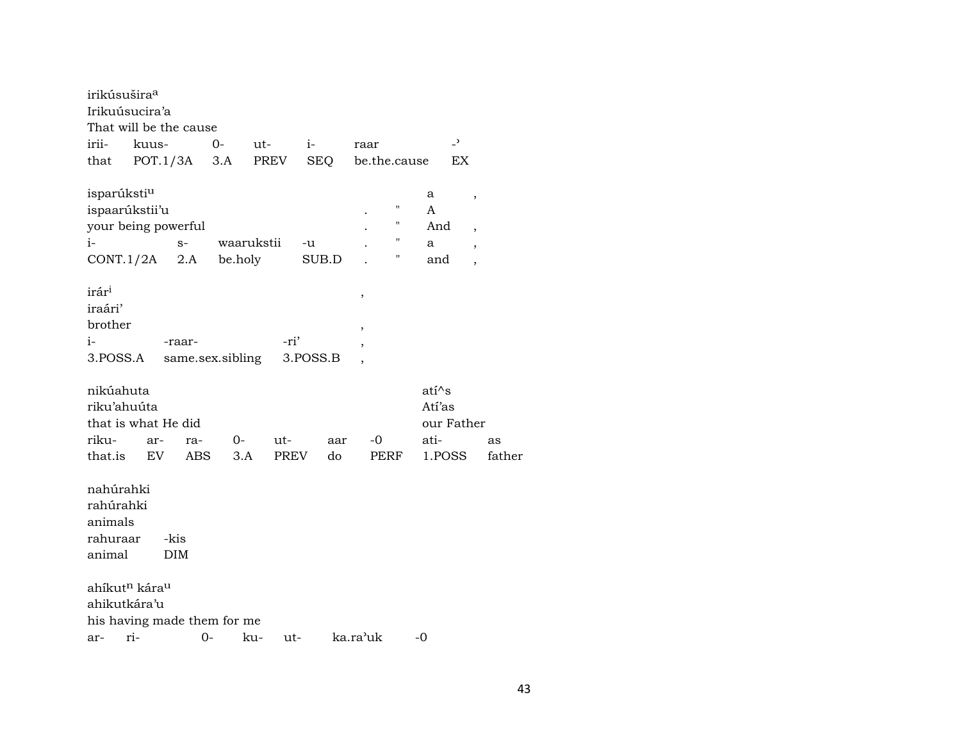| irikúsušira <sup>a</sup>              |       |            |             |       |                  |      |            |     |                          |              |    |         |                |                          |        |
|---------------------------------------|-------|------------|-------------|-------|------------------|------|------------|-----|--------------------------|--------------|----|---------|----------------|--------------------------|--------|
| Irikuúsucira'a                        |       |            |             |       |                  |      |            |     |                          |              |    |         |                |                          |        |
| That will be the cause                |       |            |             |       |                  |      |            |     |                          |              |    |         |                |                          |        |
| irii-                                 | kuus- |            |             | $O -$ |                  | ut-  | $i-$       |     | raar                     |              |    |         | $\overline{a}$ |                          |        |
| that                                  |       | POT.1/3A   |             | 3.A   |                  | PREV | <b>SEQ</b> |     |                          | be.the.cause |    |         | EX             |                          |        |
| isparúksti <sup>u</sup>               |       |            |             |       |                  |      |            |     |                          |              |    | a       |                | $\, ,$                   |        |
| ispaarúkstii'u                        |       |            |             |       |                  |      |            |     |                          |              | Π  | A       |                |                          |        |
| your being powerful                   |       |            |             |       |                  |      |            |     |                          |              | "  | And     |                | $\overline{\phantom{a}}$ |        |
| i-                                    |       |            | $S-$        |       | waarukstii       |      | -u         |     |                          |              | 11 | a       |                | $\overline{\phantom{a}}$ |        |
| CONT.1/2A                             |       |            | 2.A be.holy |       |                  |      | SUB.D      |     |                          |              | 11 | and     |                | $\overline{\phantom{a}}$ |        |
| irár <sup>i</sup>                     |       |            |             |       |                  |      |            |     | ,                        |              |    |         |                |                          |        |
| iraári'                               |       |            |             |       |                  |      |            |     |                          |              |    |         |                |                          |        |
| brother                               |       |            |             |       |                  |      |            |     | ,                        |              |    |         |                |                          |        |
| i-                                    |       | -raar-     |             |       |                  | -ri' |            |     | $\overline{\phantom{a}}$ |              |    |         |                |                          |        |
| 3.POSS.A                              |       |            |             |       | same.sex.sibling |      | 3.POSS.B   |     |                          |              |    |         |                |                          |        |
| nikúahuta                             |       |            |             |       |                  |      |            |     |                          |              |    | $ati^s$ |                |                          |        |
| riku'ahuúta                           |       |            |             |       |                  |      |            |     |                          |              |    | Atí'as  |                |                          |        |
| that is what He did                   |       |            |             |       |                  |      |            |     |                          |              |    |         | our Father     |                          |        |
| riku-                                 |       | ar-        | ra-         |       | $0-$             | ut-  |            | aar |                          | -0           |    | ati-    |                |                          | as     |
| that.is                               |       | EV         | ABS         |       | 3.A              | PREV |            | do  |                          | PERF         |    |         | 1.POSS         |                          | father |
| nahúrahki                             |       |            |             |       |                  |      |            |     |                          |              |    |         |                |                          |        |
| rahúrahki                             |       |            |             |       |                  |      |            |     |                          |              |    |         |                |                          |        |
| animals                               |       |            |             |       |                  |      |            |     |                          |              |    |         |                |                          |        |
| rahuraar                              |       | -kis       |             |       |                  |      |            |     |                          |              |    |         |                |                          |        |
| animal                                |       | <b>DIM</b> |             |       |                  |      |            |     |                          |              |    |         |                |                          |        |
| ahíkut <sup>n</sup> kára <sup>u</sup> |       |            |             |       |                  |      |            |     |                          |              |    |         |                |                          |        |
| ahikutkára'u                          |       |            |             |       |                  |      |            |     |                          |              |    |         |                |                          |        |
| his having made them for me           |       |            |             |       |                  |      |            |     |                          |              |    |         |                |                          |        |
|                                       |       |            |             |       |                  |      |            |     | ka ra'uk                 |              |    | $-()$   |                |                          |        |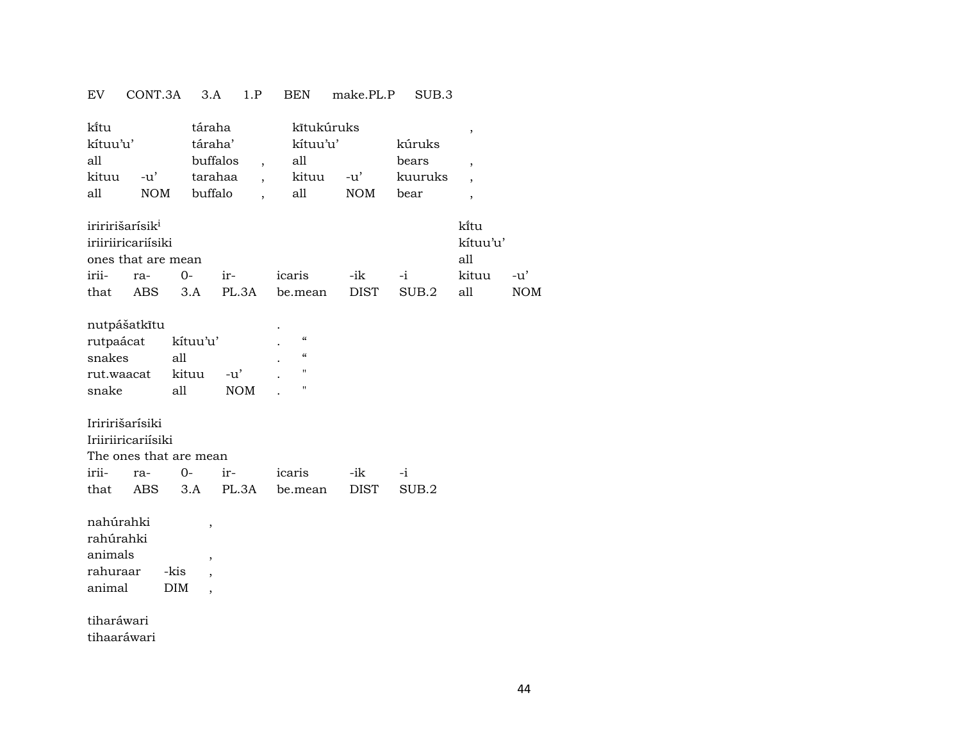#### EV CONT.3A 3.A 1.P BEN make.PL.P SUB.3

| ki̇̃tu             |     | táraha   | kītukúruks |     |         |      |
|--------------------|-----|----------|------------|-----|---------|------|
| kítuu'u'           |     | táraha'  | kítuu'u'   |     | kúruks  |      |
| all                |     | buffalos | all        |     | bears   |      |
| kituu              | -u' | tarahaa  | kituu      | -u' | kuuruks |      |
| all                | NOM | buffalo  | all        | NOM | bear    |      |
| o komunika sukumat |     |          |            |     |         | 1.5. |

| iriririšarisik <sup>i</sup> |                    |                  |                                      |  | kîtu     |         |
|-----------------------------|--------------------|------------------|--------------------------------------|--|----------|---------|
|                             | iriiriiricariisiki |                  |                                      |  | kítuu'u' |         |
|                             | ones that are mean |                  |                                      |  | all      |         |
|                             |                    | irii- ra- 0- ir- | icaris -ik -i                        |  | kituu    | $-11$ ' |
| that                        |                    |                  | ABS 3.A PL.3A be.mean DIST SUB.2 all |  |          | NOM     |

### nutpášatkîtu .

| rutpaácat  | kituu'u' |            | ٠ |            |
|------------|----------|------------|---|------------|
| snakes     | all      |            |   | $\epsilon$ |
| rut.waacat | kituu    | $-11'$     |   | "          |
| snake      | a11      | <b>NOM</b> |   | "          |

#### Iriririšarísiki

| Iriiriiricariisiki |                        |  |  |                                       |  |  |  |  |  |  |
|--------------------|------------------------|--|--|---------------------------------------|--|--|--|--|--|--|
|                    | The ones that are mean |  |  |                                       |  |  |  |  |  |  |
|                    |                        |  |  | irii- ra- 0- ir- icaris -ik -i        |  |  |  |  |  |  |
|                    |                        |  |  | that ABS 3.A PL.3A be.mean DIST SUB.2 |  |  |  |  |  |  |

nahúrahki , rahúrahki

| 1411UL 411N |            |  |
|-------------|------------|--|
| animals     |            |  |
| rahuraar    | -kis       |  |
| animal      | <b>DIM</b> |  |

tiharáwari tihaaráwari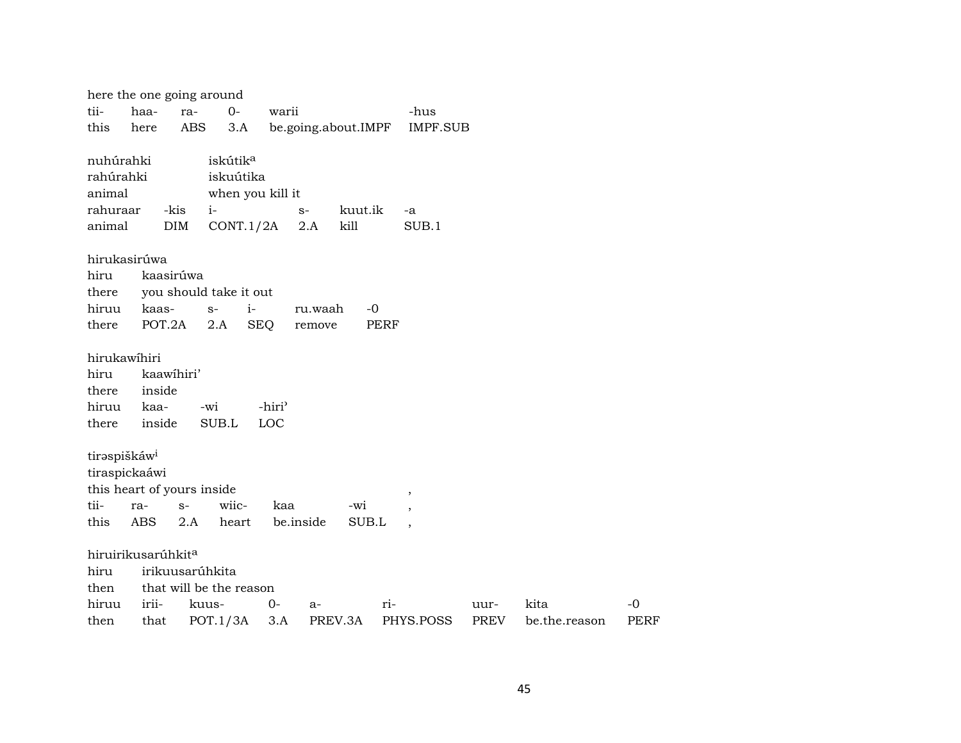|                          | here the one going around      |                 |                         |                    |           |                     |             |                 |             |               |             |
|--------------------------|--------------------------------|-----------------|-------------------------|--------------------|-----------|---------------------|-------------|-----------------|-------------|---------------|-------------|
| tii-                     | haa-                           | ra-             | $O-$                    | warii              |           |                     |             | -hus            |             |               |             |
| this                     | here                           | <b>ABS</b>      | 3.A                     |                    |           | be.going.about.IMPF |             | <b>IMPF.SUB</b> |             |               |             |
| nuhúrahki                |                                |                 | iskútik <sup>a</sup>    |                    |           |                     |             |                 |             |               |             |
| rahúrahki                |                                |                 | iskuútika               |                    |           |                     |             |                 |             |               |             |
| animal                   |                                |                 | when you kill it        |                    |           |                     |             |                 |             |               |             |
| rahuraar                 |                                | -kis<br>$i-$    |                         |                    | $S-$      | kuut.ik             |             | -a              |             |               |             |
| animal                   |                                | <b>DIM</b>      | CONT.1/2A               |                    | 2.A       | kill                |             | SUB.1           |             |               |             |
|                          | hirukasirúwa                   |                 |                         |                    |           |                     |             |                 |             |               |             |
| hiru                     |                                | kaasirúwa       |                         |                    |           |                     |             |                 |             |               |             |
| there                    |                                |                 | you should take it out  |                    |           |                     |             |                 |             |               |             |
| hiruu                    | kaas-                          | $S-$            | $i-$                    |                    | ru.waah   | $-0$                |             |                 |             |               |             |
| there                    | POT.2A                         |                 | 2.A                     | <b>SEQ</b>         | remove    |                     | <b>PERF</b> |                 |             |               |             |
| hirukawihiri             |                                |                 |                         |                    |           |                     |             |                 |             |               |             |
| hiru                     | kaawihiri'                     |                 |                         |                    |           |                     |             |                 |             |               |             |
| there                    | inside                         |                 |                         |                    |           |                     |             |                 |             |               |             |
| hiruu                    | kaa-                           | -wi             |                         | -hiri <sup>3</sup> |           |                     |             |                 |             |               |             |
| there                    | inside                         |                 | SUB.L                   | <b>LOC</b>         |           |                     |             |                 |             |               |             |
| tiraspiškáw <sup>i</sup> |                                |                 |                         |                    |           |                     |             |                 |             |               |             |
|                          | tiraspickaáwi                  |                 |                         |                    |           |                     |             |                 |             |               |             |
|                          | this heart of yours inside     |                 |                         |                    |           |                     |             | $\, ,$          |             |               |             |
| tii-                     | ra-                            | $S-$            | wiic-                   | kaa                |           | -wi                 |             | $\cdot$         |             |               |             |
| this                     | ABS                            | 2.A             | heart                   |                    | be.inside | SUB.L               |             |                 |             |               |             |
|                          | hiruirikusarúhkit <sup>a</sup> |                 |                         |                    |           |                     |             |                 |             |               |             |
| hiru                     |                                | irikuusarúhkita |                         |                    |           |                     |             |                 |             |               |             |
| then                     |                                |                 | that will be the reason |                    |           |                     |             |                 |             |               |             |
| hiruu                    | irii-                          | kuus-           |                         | $0-$               | $a-$      |                     | $ri-$       |                 | uur-        | kita          | $-0$        |
| then                     | that                           |                 | POT.1/3A                | 3.A                |           | PREV.3A             |             | PHYS.POSS       | <b>PREV</b> | be.the.reason | <b>PERF</b> |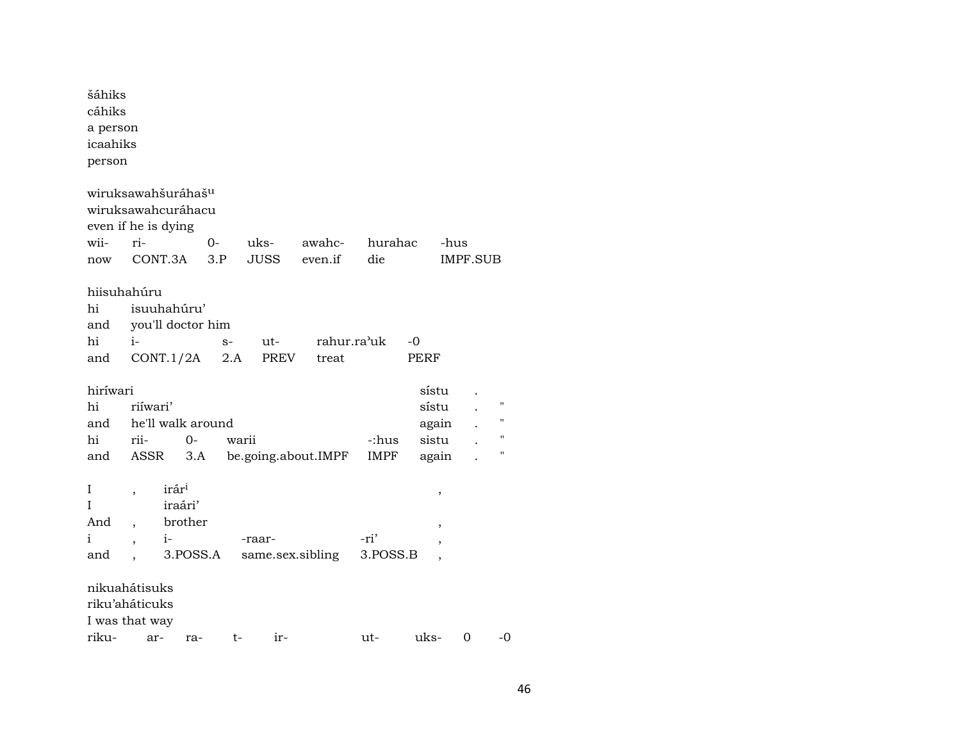| šáhiks<br>cáhiks<br>a person<br>icaahiks<br>person |                |                                |       |          |                     |          |             |                 |                    |
|----------------------------------------------------|----------------|--------------------------------|-------|----------|---------------------|----------|-------------|-----------------|--------------------|
|                                                    |                | wiruksawahšuráhaš <sup>u</sup> |       |          |                     |          |             |                 |                    |
|                                                    |                | wiruksawahcuráhacu             |       |          |                     |          |             |                 |                    |
| even if he is dying                                |                |                                |       |          |                     |          |             |                 |                    |
| wii-                                               | ri-            |                                | $0 -$ | uks-     | awahc-              | hurahac  |             | -hus            |                    |
| now                                                |                | CONT.3A                        | 3.P   | JUSS     | even.if             | die      |             | <b>IMPF.SUB</b> |                    |
| hiisuhahúru                                        |                |                                |       |          |                     |          |             |                 |                    |
| hi                                                 |                | isuuhahúru'                    |       |          |                     |          |             |                 |                    |
| and                                                |                | you'll doctor him              |       |          |                     |          |             |                 |                    |
| hi                                                 | $i-$           |                                | $S-$  | ut-      | rahur.ra'uk         |          | -0          |                 |                    |
| and                                                |                | CONT.1/2A                      |       | 2.A PREV | treat               |          | <b>PERF</b> |                 |                    |
|                                                    |                |                                |       |          |                     |          |             |                 |                    |
| hiríwari                                           |                |                                |       |          |                     |          | sístu       |                 |                    |
| hi                                                 | riiwari'       |                                |       |          |                     |          | sístu       |                 | $\pmb{\mathsf{H}}$ |
| and                                                |                | he'll walk around              |       |          |                     |          | again       |                 |                    |
| hi                                                 | rii-           | 0-                             | warii |          |                     | -:hus    | sistu       |                 |                    |
| and                                                | ASSR           | 3.A                            |       |          | be.going.about.IMPF | IMPF     | again       |                 | $^{\prime}$        |
| I                                                  |                | irár <sup>i</sup>              |       |          |                     |          | ,           |                 |                    |
| T                                                  |                | iraári'                        |       |          |                     |          |             |                 |                    |
| And                                                | $\overline{ }$ | brother                        |       |          |                     |          | ,           |                 |                    |
| i                                                  |                | $i$ -                          |       | -raar-   |                     | -ri'     |             |                 |                    |
| and                                                |                | 3.POSS.A                       |       |          | same.sex.sibling    | 3.POSS.B |             |                 |                    |
| nikuahátisuks<br>riku'aháticuks<br>I was that way  |                |                                |       |          |                     |          |             |                 |                    |
| riku-                                              | ar-            | ra-                            | t-    | ir-      |                     | ut-      | uks-        | 0               | -0                 |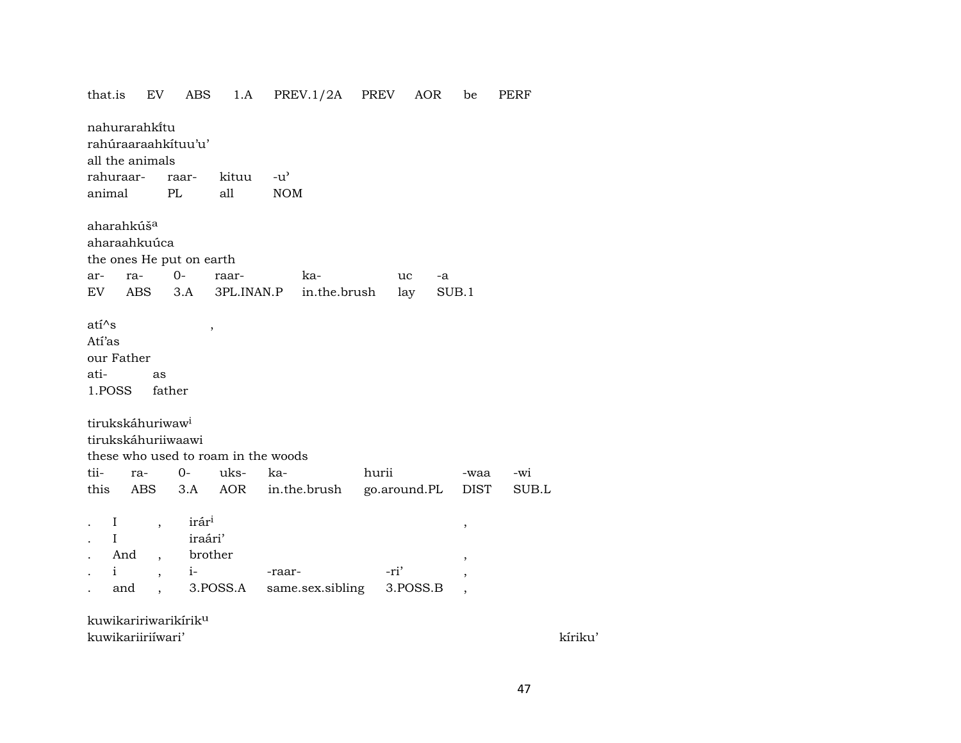PREV.1/2A PREV that.is EV ABS  $1.A$ AOR be PERF nahurarahkitu rahúraaraahkítuu'u' all the animals rahuraarraarkituu  $-u^{\prime}$ animal PL all **NOM** aharahkúš<sup>a</sup> aharaahkuúca the ones He put on earth  $O$ arraraarka--a  $uc$ in.the.brush  $SUB.1$ EV ABS  $3.A$ 3PL.INAN.P lay  $ati^s$  $\cdot$ Atí'as our Father atias 1.POSS father tirukskáhuriwaw<sup>i</sup> tirukskáhuriiwaawi these who used to roam in the woods tiira- $0$ ukskahurii -wi -waa this **ABS**  $3.A$ **AOR** in.the.brush go.around.PL **DIST** SUB.L . I irári  $\overline{\phantom{a}}$  $\,$  $\mathbf{I}$ iraári' And brother  $\overline{\phantom{a}}$ ,  $i \mathbf{i}$ -ri' -raar- $\overline{\phantom{a}}$ 3.POSS.A same.sex.sibling 3.POSS.B and  $\overline{\phantom{a}}$  $\mathbf{r}$  $\overline{\phantom{a}}$ kuwikaririwarikírik<sup>u</sup> kuwikariiriiwari'

kíriku'